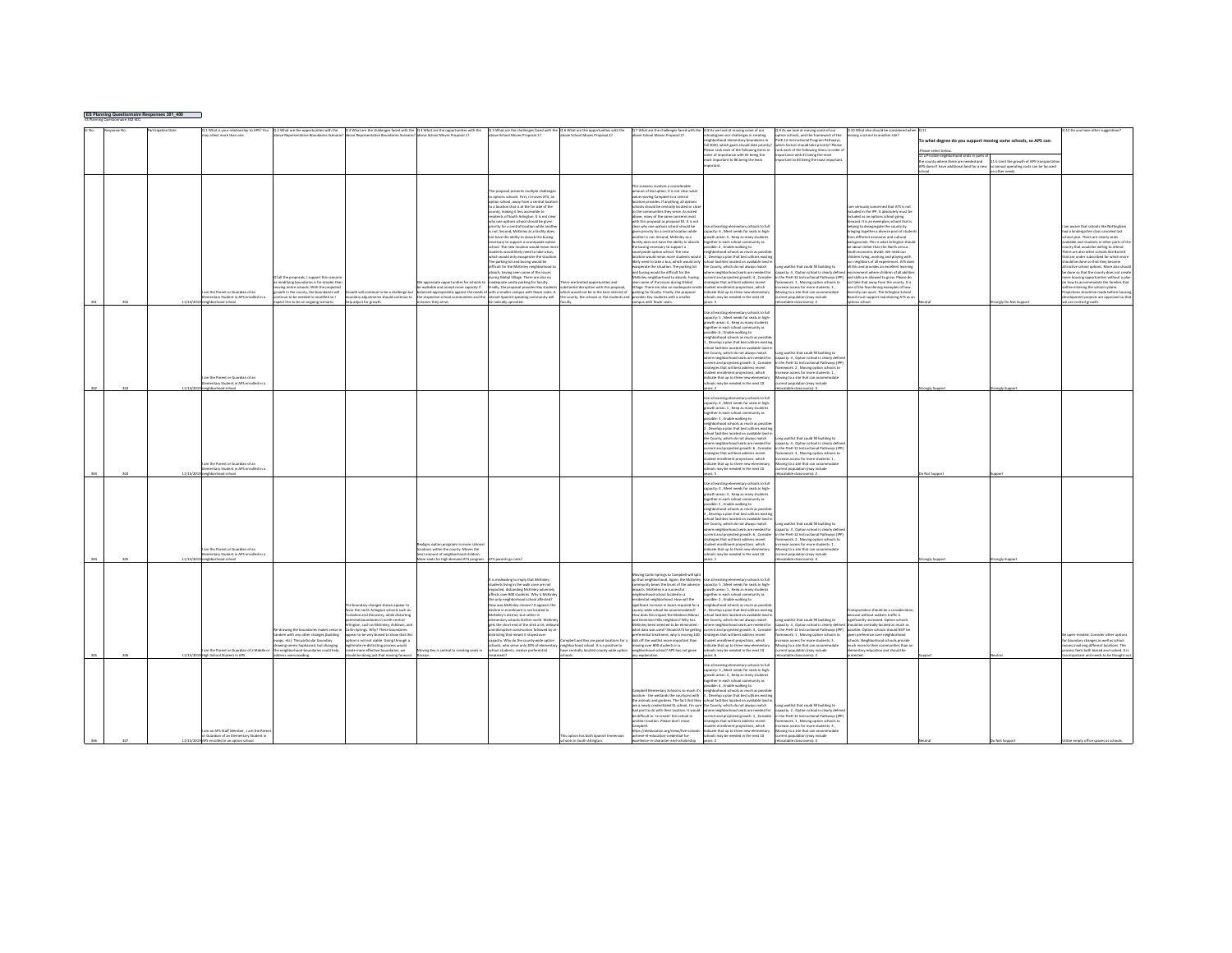|     | ES Planning Questionnaire Responses 301_400<br>ES Planning Questionnaire 302-401 |        |                                          |                                                                                                                                                                   |                                                                               |                                                                                 |                                                                                      |                                                                                          |                                                                                           |                                                                                             |                                                                                        |                                                                                                             |                                                                     |                                                      |                                                                                    |
|-----|----------------------------------------------------------------------------------|--------|------------------------------------------|-------------------------------------------------------------------------------------------------------------------------------------------------------------------|-------------------------------------------------------------------------------|---------------------------------------------------------------------------------|--------------------------------------------------------------------------------------|------------------------------------------------------------------------------------------|-------------------------------------------------------------------------------------------|---------------------------------------------------------------------------------------------|----------------------------------------------------------------------------------------|-------------------------------------------------------------------------------------------------------------|---------------------------------------------------------------------|------------------------------------------------------|------------------------------------------------------------------------------------|
|     |                                                                                  |        | 1 What is your relationship to APS? You  |                                                                                                                                                                   |                                                                               |                                                                                 |                                                                                      |                                                                                          |                                                                                           | Q 8 As we look at moving some of our                                                        |                                                                                        |                                                                                                             |                                                                     |                                                      |                                                                                    |
|     |                                                                                  |        | ay select more than one                  | Q 2 What are the opportunities with the Q 3 What are the challenges faced with the Q 4 What are the opportunities with the<br>so Bennesentative Roundaries Scenar | nue Bennesentatius Roundaries Scenaris                                        | ove School Moyes Proposal 1?                                                    | Q 5 What are the challenges faced with the<br>ove School Moves Proposal 1?           | Q 6 What are the opportunities with the<br>we School Mowes Proposal 2?                   | 7 What are the challenges faced with th<br>ove School Moyes Proposal 2?                   | choolseiven our challenges in creating                                                      | As we look at moving some of our<br>tion schools, and the framework of the             | Q 10 What else should be considered wh<br>oving a school to another site?                                   |                                                                     |                                                      | 2 Do you have other sugg                                                           |
|     |                                                                                  |        |                                          |                                                                                                                                                                   |                                                                               |                                                                                 |                                                                                      |                                                                                          |                                                                                           | ood elementary boundaries                                                                   | K 12-Instructional Program Pathways,                                                   |                                                                                                             | To what degree do you support moving some schools, so APS can:      |                                                      |                                                                                    |
|     |                                                                                  |        |                                          |                                                                                                                                                                   |                                                                               |                                                                                 |                                                                                      |                                                                                          |                                                                                           | fall 2020, which goals should take priority<br>lease rank each of the following items in    | ich factors should take priority? Pleas<br>ink each of the following items in order    |                                                                                                             |                                                                     |                                                      |                                                                                    |
|     |                                                                                  |        |                                          |                                                                                                                                                                   |                                                                               |                                                                                 |                                                                                      |                                                                                          |                                                                                           | order of importance with #1 being the                                                       | portance with #1 being the most                                                        |                                                                                                             | Please select below.<br>11 a Provide neighborhood seats in parts of |                                                      |                                                                                    |
|     |                                                                                  |        |                                          |                                                                                                                                                                   |                                                                               |                                                                                 |                                                                                      |                                                                                          |                                                                                           | most important to #6 being the least                                                        | ortant to #4 being the least importan                                                  |                                                                                                             | county where these are needed and                                   | b Limit the growth of APS transpo                    |                                                                                    |
|     |                                                                                  |        |                                          |                                                                                                                                                                   |                                                                               |                                                                                 |                                                                                      |                                                                                          |                                                                                           |                                                                                             |                                                                                        |                                                                                                             | doesn't have additional land for a new                              | annual operating costs can be focused<br>other needs |                                                                                    |
|     |                                                                                  |        |                                          |                                                                                                                                                                   |                                                                               |                                                                                 |                                                                                      |                                                                                          |                                                                                           |                                                                                             |                                                                                        |                                                                                                             |                                                                     |                                                      |                                                                                    |
|     |                                                                                  |        |                                          |                                                                                                                                                                   |                                                                               |                                                                                 |                                                                                      |                                                                                          |                                                                                           |                                                                                             |                                                                                        |                                                                                                             |                                                                     |                                                      |                                                                                    |
|     |                                                                                  |        |                                          |                                                                                                                                                                   |                                                                               |                                                                                 | he progosal presents multiple challenge                                              |                                                                                          | cenario involves a considerable<br>nount of disruption. It is not clear what              |                                                                                             |                                                                                        |                                                                                                             |                                                                     |                                                      |                                                                                    |
|     |                                                                                  |        |                                          |                                                                                                                                                                   |                                                                               |                                                                                 | cotions schools. First, it moves ATS, an                                             |                                                                                          | lue movine Campbell to a central                                                          |                                                                                             |                                                                                        |                                                                                                             |                                                                     |                                                      |                                                                                    |
|     |                                                                                  |        |                                          |                                                                                                                                                                   |                                                                               |                                                                                 | tion school, away from a central locati                                              |                                                                                          | cation provides. If anything, all options                                                 |                                                                                             |                                                                                        |                                                                                                             |                                                                     |                                                      |                                                                                    |
|     |                                                                                  |        |                                          |                                                                                                                                                                   |                                                                               |                                                                                 | o a location that is at the far side of the                                          |                                                                                          | hoots should be centrally located or clo<br>the corr<br>unities they serve. As noted      |                                                                                             |                                                                                        | m seriously concerned that ATS is not<br>luded in the IPP. It absolutely must be                            |                                                                     |                                                      |                                                                                    |
|     |                                                                                  |        |                                          |                                                                                                                                                                   |                                                                               |                                                                                 | unty, making it less accessible to<br>sidents of South Arlington. It is not clea     |                                                                                          | bove, many of the same concerns exist                                                     |                                                                                             |                                                                                        | ncluded as an options school going                                                                          |                                                                     |                                                      |                                                                                    |
|     |                                                                                  |        |                                          |                                                                                                                                                                   |                                                                               |                                                                                 | y one options school should be given<br>ority for a central location while anot      |                                                                                          | th this proposal as proposal #1. It is not                                                | ie all existing elementary schools to ful                                                   |                                                                                        | <b>forward.</b> It is an exemplary school that is<br>helping to desegregate the county by                   |                                                                     |                                                      | m aware that schools like Nottingham                                               |
|     |                                                                                  |        |                                          |                                                                                                                                                                   |                                                                               |                                                                                 | not, Second, McKinley as a facility does                                             |                                                                                          | ear why one options school should be<br>ven priority for a central location while         | capacity: 6 . Meet needs for seats in high                                                  |                                                                                        |                                                                                                             |                                                                     |                                                      | had a kindernarten class canceled last                                             |
|     |                                                                                  |        |                                          |                                                                                                                                                                   |                                                                               |                                                                                 | t have the ability to absorb the busing                                              |                                                                                          | other is not. Second, McKinley as a                                                       | owth areas: S , Keep as many student                                                        |                                                                                        | inging together a diverse pool of stude<br>inm different economic and cultural<br>ant economic and cultural |                                                                     |                                                      | hool year. There are clearly seats                                                 |
|     |                                                                                  |        |                                          |                                                                                                                                                                   |                                                                               |                                                                                 | ressary to support a countywide optio                                                |                                                                                          | cility does not have the ability to absort                                                | gether in each school community as                                                          |                                                                                        | sckgrounds. This is what Arlington shou                                                                     |                                                                     |                                                      | ailable and students in other parts of th                                          |
|     |                                                                                  |        |                                          |                                                                                                                                                                   |                                                                               |                                                                                 | heed. The new incation would mean or<br>lents would likely need to take a bus        |                                                                                          | he busing necessary to support a<br>ountywide option school. The new                      | sible: 2 . Enable walking to<br>eighborhood schools as much as possib                       |                                                                                        | about rather than the North versus<br>ath economic divide. We need our                                      |                                                                     |                                                      | unty that would be willing to attend.<br>Nere are also other schools like Barrett  |
|     |                                                                                  |        |                                          |                                                                                                                                                                   |                                                                               |                                                                                 | which would only exasperate the situatis                                             |                                                                                          | bluow atnebute erom neen bluow noitsaol                                                   | . Develop a plan that best utilizes existin                                                 |                                                                                        | hildren living, working and playing with                                                                    |                                                                     |                                                      | hat are under subscribed for which more                                            |
|     |                                                                                  |        |                                          |                                                                                                                                                                   |                                                                               |                                                                                 | e parking lot and busing would be<br>flicult for the McKinky neighborhood t          |                                                                                          | ely need to take a bus, which would only                                                  | .<br>chool facilities located on available land i<br>he County, which do not always match   |                                                                                        | neighbors of all experiences. ATS doe                                                                       |                                                                     |                                                      | ould be done so that they become<br>tractive school options. More also should      |
|     |                                                                                  |        |                                          |                                                                                                                                                                   |                                                                               |                                                                                 | sorb, having seen some of the issues                                                 |                                                                                          | perate the situation. The parking lot<br>d busing would be difficult for the              | ere neighborhood seats are needed for                                                       | of gribited IB bleoo fail tailou gn<br>apacity: 4 . Option school is clearly define    | Il this and provides an excellent learning<br>comput where children of all abilities                        |                                                                     |                                                      | a dona so that the county does not create                                          |
|     |                                                                                  |        |                                          | f all the proposals, I support this scena                                                                                                                         |                                                                               |                                                                                 | uring Global Village. There are also no                                              |                                                                                          | Kinley neighborhood to absorb, having                                                     | urrent and projected growth: 4, Consider                                                    | in the PreK-12 Instructional Pathways (IPP) and skills are allowed to grow. Please do  |                                                                                                             |                                                                     |                                                      | ore housing opportunities without a plan                                           |
|     |                                                                                  |        |                                          | modifying boundaries is far simpler that                                                                                                                          |                                                                               | appreciate opportunities for schools t                                          | quate onsite parking for faculty.                                                    | ere are limited opportunities and                                                        | en some of the issues during Global                                                       | trategies that will best address recent                                                     | amework: 1 . Moving option schools to                                                  | not take that away from the county. It is                                                                   |                                                                     |                                                      | in how to accommodate the families that                                            |
|     |                                                                                  |        | am the Parent or Guardian of an          | ing entire schools. With the project<br>wth in the county, the boundaries will                                                                                    | rowth will continue to be a challenge but                                     | walkable and accept more capacity if<br>anced appropriately against the needs o | inally, the proposal provides Key stude<br>with a smaller campus with fewer seats. A | stantial disruption with this proposa<br>which would not be in the best interest of      | lage. There are also no inadequate or<br>arking for faculty. Finally, the proposal        | ent enrollment projections, which<br>dicate that up to three new elementary                 | ease access for more students: 3,<br>vine to a site that can accommodate               | one of the few shining examples of how<br>ersity can work. The Arlineton School                             |                                                                     |                                                      | Il be entering the school system.<br>piections should be made before hou           |
|     |                                                                                  |        | antary Student in APS enrolled in a      | I no healthney of halvens of nt service                                                                                                                           | undary adjustments should cor<br>.<br>Han fin                                 | respective school of<br>sities and the                                          | vibrant Spanish-speaking community will                                              | county, the schools or the students a                                                    | das Kay students with a smaller                                                           | tols may be needed in the next 10                                                           | stina lassu include                                                                    | Anison freezers fourm brand<br>ning ATS as a                                                                |                                                                     |                                                      | opment projects are approved so that                                               |
|     |                                                                                  |        | loorlo boorhodrigien                     | pect this to be an ongoing scenario.                                                                                                                              | help adjust for growth.                                                       | issions they serve.                                                             | be radically uprooted.                                                               | aculty.                                                                                  | campus with fewer seats.                                                                  | $e$ ars: 3                                                                                  | catable classrooms): 2                                                                 | Jooda incite                                                                                                |                                                                     | rongly Do Not Suppor                                 | e can control growth.                                                              |
|     |                                                                                  |        |                                          |                                                                                                                                                                   |                                                                               |                                                                                 |                                                                                      |                                                                                          |                                                                                           | e all existing elementary schools to full                                                   |                                                                                        |                                                                                                             |                                                                     |                                                      |                                                                                    |
|     |                                                                                  |        |                                          |                                                                                                                                                                   |                                                                               |                                                                                 |                                                                                      |                                                                                          |                                                                                           | apacity: S , Meet needs for seats in high-                                                  |                                                                                        |                                                                                                             |                                                                     |                                                      |                                                                                    |
|     |                                                                                  |        |                                          |                                                                                                                                                                   |                                                                               |                                                                                 |                                                                                      |                                                                                          |                                                                                           | rowth areas: 4 . Keep as many student                                                       |                                                                                        |                                                                                                             |                                                                     |                                                      |                                                                                    |
|     |                                                                                  |        |                                          |                                                                                                                                                                   |                                                                               |                                                                                 |                                                                                      |                                                                                          |                                                                                           | ogether in each school community as<br>ossible: 6 . Enable walking to                       |                                                                                        |                                                                                                             |                                                                     |                                                      |                                                                                    |
|     |                                                                                  |        |                                          |                                                                                                                                                                   |                                                                               |                                                                                 |                                                                                      |                                                                                          |                                                                                           | nd schools as much as nossil                                                                |                                                                                        |                                                                                                             |                                                                     |                                                      |                                                                                    |
|     |                                                                                  |        |                                          |                                                                                                                                                                   |                                                                               |                                                                                 |                                                                                      |                                                                                          |                                                                                           | Develop a plan that best utilizes existin                                                   |                                                                                        |                                                                                                             |                                                                     |                                                      |                                                                                    |
|     |                                                                                  |        |                                          |                                                                                                                                                                   |                                                                               |                                                                                 |                                                                                      |                                                                                          |                                                                                           | nol farilities located on available land i                                                  |                                                                                        |                                                                                                             |                                                                     |                                                      |                                                                                    |
|     |                                                                                  |        |                                          |                                                                                                                                                                   |                                                                               |                                                                                 |                                                                                      |                                                                                          |                                                                                           | e County, which do not always match<br>there neighborhood seats are needed for              | ng waitlist that could fill building to<br>apacity: 3 . Option school is clearly defin |                                                                                                             |                                                                     |                                                      |                                                                                    |
|     |                                                                                  |        |                                          |                                                                                                                                                                   |                                                                               |                                                                                 |                                                                                      |                                                                                          |                                                                                           | rrent and projected growth: 3, Consider                                                     | the Dref', 12 Instructional Dathways (ID)                                              |                                                                                                             |                                                                     |                                                      |                                                                                    |
|     |                                                                                  |        |                                          |                                                                                                                                                                   |                                                                               |                                                                                 |                                                                                      |                                                                                          |                                                                                           | rategies that will best address recent                                                      | nework: 2, Moving option schools to                                                    |                                                                                                             |                                                                     |                                                      |                                                                                    |
|     |                                                                                  |        | n the Parent or Guardian of an           |                                                                                                                                                                   |                                                                               |                                                                                 |                                                                                      |                                                                                          |                                                                                           | tudent enrollment projections, which<br>ndicate that up to three new elementa               | pasa arress for more students: 1<br>ving to a site that can accom                      |                                                                                                             |                                                                     |                                                      |                                                                                    |
|     |                                                                                  |        | mentary Student in APS enrolled in a     |                                                                                                                                                                   |                                                                               |                                                                                 |                                                                                      |                                                                                          |                                                                                           | hools may be needed in the next 10                                                          | sent population (may include                                                           |                                                                                                             |                                                                     |                                                      |                                                                                    |
|     |                                                                                  |        | orhood school                            |                                                                                                                                                                   |                                                                               |                                                                                 |                                                                                      |                                                                                          |                                                                                           |                                                                                             | atable classrooms): 4                                                                  |                                                                                                             |                                                                     |                                                      |                                                                                    |
|     |                                                                                  |        |                                          |                                                                                                                                                                   |                                                                               |                                                                                 |                                                                                      |                                                                                          |                                                                                           | to all existing elementary schools to full                                                  |                                                                                        |                                                                                                             |                                                                     |                                                      |                                                                                    |
|     |                                                                                  |        |                                          |                                                                                                                                                                   |                                                                               |                                                                                 |                                                                                      |                                                                                          |                                                                                           | apacity: 4, Meet needs for seats in high-                                                   |                                                                                        |                                                                                                             |                                                                     |                                                      |                                                                                    |
|     |                                                                                  |        |                                          |                                                                                                                                                                   |                                                                               |                                                                                 |                                                                                      |                                                                                          |                                                                                           | rrowth areas: 1 . Keep as many student                                                      |                                                                                        |                                                                                                             |                                                                     |                                                      |                                                                                    |
|     |                                                                                  |        |                                          |                                                                                                                                                                   |                                                                               |                                                                                 |                                                                                      |                                                                                          |                                                                                           | gether in each schoo                                                                        |                                                                                        |                                                                                                             |                                                                     |                                                      |                                                                                    |
|     |                                                                                  |        |                                          |                                                                                                                                                                   |                                                                               |                                                                                 |                                                                                      |                                                                                          |                                                                                           | pssible: 3 . Enable walking to<br>eighborhood schools as much as possi-                     |                                                                                        |                                                                                                             |                                                                     |                                                      |                                                                                    |
|     |                                                                                  |        |                                          |                                                                                                                                                                   |                                                                               |                                                                                 |                                                                                      |                                                                                          |                                                                                           | Develop a plan that best utilizes existin                                                   |                                                                                        |                                                                                                             |                                                                     |                                                      |                                                                                    |
|     |                                                                                  |        |                                          |                                                                                                                                                                   |                                                                               |                                                                                 |                                                                                      |                                                                                          |                                                                                           | hool facilities located on available land i                                                 |                                                                                        |                                                                                                             |                                                                     |                                                      |                                                                                    |
|     |                                                                                  |        |                                          |                                                                                                                                                                   |                                                                               |                                                                                 |                                                                                      |                                                                                          |                                                                                           | he County, which do not always match<br>here neighborhood seats are needed for              | ng waitlist that could fill building to<br>capacity: 4, Option school is clearly defi  |                                                                                                             |                                                                     |                                                      |                                                                                    |
|     |                                                                                  |        |                                          |                                                                                                                                                                   |                                                                               |                                                                                 |                                                                                      |                                                                                          |                                                                                           | urrent and projected erowth: 6. Consider                                                    | in the PreK-12 Instructional Pathways (IP)                                             |                                                                                                             |                                                                     |                                                      |                                                                                    |
|     |                                                                                  |        |                                          |                                                                                                                                                                   |                                                                               |                                                                                 |                                                                                      |                                                                                          |                                                                                           | rategies that will best address recent                                                      | ework: 3, Moving option schools to                                                     |                                                                                                             |                                                                     |                                                      |                                                                                    |
|     |                                                                                  |        | n the Darent or Guardian of an           |                                                                                                                                                                   |                                                                               |                                                                                 |                                                                                      |                                                                                          |                                                                                           | tudent enrollment projections, which                                                        | rease access for more students: 1.                                                     |                                                                                                             |                                                                     |                                                      |                                                                                    |
|     |                                                                                  |        | entary Student in APS enrolled in a      |                                                                                                                                                                   |                                                                               |                                                                                 |                                                                                      |                                                                                          |                                                                                           | dicate that up to three new elements<br>chools may be needed in the next 10                 | ving to a site that can accome<br>rent population (may include                         |                                                                                                             |                                                                     |                                                      |                                                                                    |
|     |                                                                                  |        | loorhood school                          |                                                                                                                                                                   |                                                                               |                                                                                 |                                                                                      |                                                                                          |                                                                                           |                                                                                             | atable classrooms): 2                                                                  |                                                                                                             |                                                                     |                                                      |                                                                                    |
|     |                                                                                  |        |                                          |                                                                                                                                                                   |                                                                               |                                                                                 |                                                                                      |                                                                                          |                                                                                           | se all existing elementary schools to full                                                  |                                                                                        |                                                                                                             |                                                                     |                                                      |                                                                                    |
|     |                                                                                  |        |                                          |                                                                                                                                                                   |                                                                               |                                                                                 |                                                                                      |                                                                                          |                                                                                           | spacity: 4, Meet needs for seats in high                                                    |                                                                                        |                                                                                                             |                                                                     |                                                      |                                                                                    |
|     |                                                                                  |        |                                          |                                                                                                                                                                   |                                                                               |                                                                                 |                                                                                      |                                                                                          |                                                                                           | owth areas: 3, Keep as many students                                                        |                                                                                        |                                                                                                             |                                                                     |                                                      |                                                                                    |
|     |                                                                                  |        |                                          |                                                                                                                                                                   |                                                                               |                                                                                 |                                                                                      |                                                                                          |                                                                                           | seather in each school come<br><b>SERVICE</b><br>sible: S., Enable walking to               |                                                                                        |                                                                                                             |                                                                     |                                                      |                                                                                    |
|     |                                                                                  |        |                                          |                                                                                                                                                                   |                                                                               |                                                                                 |                                                                                      |                                                                                          |                                                                                           | eighborhood schools as much as possib                                                       |                                                                                        |                                                                                                             |                                                                     |                                                      |                                                                                    |
|     |                                                                                  |        |                                          |                                                                                                                                                                   |                                                                               |                                                                                 |                                                                                      |                                                                                          |                                                                                           | Develop a plan that best utilizes                                                           |                                                                                        |                                                                                                             |                                                                     |                                                      |                                                                                    |
|     |                                                                                  |        |                                          |                                                                                                                                                                   |                                                                               |                                                                                 |                                                                                      |                                                                                          |                                                                                           | hool facilities located on available land<br>he County, which do not always match           | ne waitlist that could fill buildine to                                                |                                                                                                             |                                                                     |                                                      |                                                                                    |
|     |                                                                                  |        |                                          |                                                                                                                                                                   |                                                                               |                                                                                 |                                                                                      |                                                                                          |                                                                                           | here neighborhood seats are needed for                                                      | apacity: 3, Option school is clearly defi                                              |                                                                                                             |                                                                     |                                                      |                                                                                    |
|     |                                                                                  |        |                                          |                                                                                                                                                                   |                                                                               |                                                                                 |                                                                                      |                                                                                          |                                                                                           | urrent and projected growth: 6, Conside                                                     | the PreK-12 Instructional Pathways (IP)                                                |                                                                                                             |                                                                     |                                                      |                                                                                    |
|     |                                                                                  |        |                                          |                                                                                                                                                                   |                                                                               |                                                                                 |                                                                                      |                                                                                          |                                                                                           | ategies that will best address recent                                                       | nework: 2, Moving option schools to                                                    |                                                                                                             |                                                                     |                                                      |                                                                                    |
|     |                                                                                  |        | im the Parent or Guardian of an          |                                                                                                                                                                   |                                                                               | aligns option programs in more ration<br>tions within the county. Moves the     |                                                                                      |                                                                                          |                                                                                           | udent enrollment projections, which<br>dicate that up to three new elementary               | rease access for more students: 1,<br>vine to a site that can accommo                  |                                                                                                             |                                                                     |                                                      |                                                                                    |
|     |                                                                                  |        | entary Student in APS enrolled in a      |                                                                                                                                                                   |                                                                               | amount of neighborhood children                                                 |                                                                                      |                                                                                          |                                                                                           | tols may be needed in the next 10                                                           | ent population (may include                                                            |                                                                                                             |                                                                     |                                                      |                                                                                    |
| 304 |                                                                                  |        | eighborhood school                       |                                                                                                                                                                   |                                                                               | re seats for high demand ATS program                                            | S parents eo nuts                                                                    |                                                                                          |                                                                                           | ears: 1                                                                                     | atable classrooms): 4                                                                  |                                                                                                             | ongly Suppor                                                        | ongly Suppo                                          |                                                                                    |
|     |                                                                                  |        |                                          |                                                                                                                                                                   |                                                                               |                                                                                 |                                                                                      |                                                                                          |                                                                                           |                                                                                             |                                                                                        |                                                                                                             |                                                                     |                                                      |                                                                                    |
|     |                                                                                  |        |                                          |                                                                                                                                                                   |                                                                               |                                                                                 | sisleading to imply that McKinley                                                    |                                                                                          | oving Carlin Sorings to Campbell will sold                                                | ie all existing elementary schools to ful                                                   |                                                                                        |                                                                                                             |                                                                     |                                                      |                                                                                    |
|     |                                                                                  |        |                                          |                                                                                                                                                                   |                                                                               |                                                                                 | udents living in the walk zone are not                                               |                                                                                          | p that neighborhood. Again, the McKinley                                                  | ommunity bears the brunt of the adverse capacity: 5 . Meet needs for seats in high-         |                                                                                        |                                                                                                             |                                                                     |                                                      |                                                                                    |
|     |                                                                                  |        |                                          |                                                                                                                                                                   |                                                                               |                                                                                 | pacted; disbanding McKinley adversel<br>fects over 800 students. Why is McKinl       |                                                                                          | pacts. McKinley is a successful                                                           | owth areas: 1 . Keep as many student                                                        |                                                                                        |                                                                                                             |                                                                     |                                                      |                                                                                    |
|     |                                                                                  |        |                                          |                                                                                                                                                                   |                                                                               |                                                                                 | Chartraille Inneho hondorddeisin ulm ar                                              |                                                                                          | eighborhood school located in a                                                           | gether in each school com<br>munity as<br>cibia: 2 Frabia walking to                        |                                                                                        |                                                                                                             |                                                                     |                                                      |                                                                                    |
|     |                                                                                  |        |                                          |                                                                                                                                                                   | undary changes shown appear to                                                |                                                                                 | was McKinley chosen? It appears th                                                   |                                                                                          | .<br>sidential neighborhood. How will the<br>gnificant increase in buses required for     | ighborhood schools as much as possib                                                        |                                                                                        |                                                                                                             |                                                                     |                                                      |                                                                                    |
|     |                                                                                  |        |                                          |                                                                                                                                                                   | layor the north Arlineton schools such as                                     |                                                                                 | ecline in enrollment is not located in                                               |                                                                                          | Stetsbommozos ed loorlar ebiw-vinud                                                       | . Develop a plan that best utilizes existin                                                 |                                                                                        | sportation should be a consideratio                                                                         |                                                                     |                                                      |                                                                                    |
|     |                                                                                  |        |                                          |                                                                                                                                                                   | uckahoe and Discovery, while distorting                                       |                                                                                 | ckinley's district, but rather in<br>entary schools farther north.                   |                                                                                          | fow does this impact the Madison Manor<br>d Dominion Hills neighbors? Why has             | hool facilities located on available land i<br>e County, which do not always match          | of gribited IBI baco fail tailor gn                                                    | cause without walkers traffic is<br>ignificantly increased. Option schools                                  |                                                                     |                                                      |                                                                                    |
|     |                                                                                  |        |                                          |                                                                                                                                                                   | ntial boundaries in north-central<br>inston, such as McKinley, Ashlawn, and   |                                                                                 | ts the short end of the stick a lot: delay                                           |                                                                                          | McKinley been selected to be eliminated                                                   | here neighborhood seats are needed for                                                      | exacity: 4 . Option school is clearly define                                           | ould be centrally-located as much as                                                                        |                                                                     |                                                      |                                                                                    |
|     |                                                                                  |        |                                          | -drawing the boundaries makes sens                                                                                                                                | Springs. Why? These boundaries                                                |                                                                                 |                                                                                      |                                                                                          | at data was used? Should ATS be getting                                                   | rrent and projected growth: 4, Consider                                                     | the PreK-12 Instructional Pathways (IPP)                                               | sible. Option schools should NOT be                                                                         |                                                                     |                                                      |                                                                                    |
|     |                                                                                  |        |                                          | indem with any other changes (building                                                                                                                            | ppear to be very biased to show that this                                     |                                                                                 | tricting that meant it stayed over                                                   |                                                                                          | ferential treatment; why is moving 100                                                    | trategies that will best address recent                                                     | mework: 1, Moving option schools to                                                    | given preference over neighborhood                                                                          |                                                                     |                                                      | coen-minded. Consider other cation                                                 |
|     |                                                                                  |        |                                          | .<br>wes, etc). This particular boundary<br>wwing seems haphazard, but changing                                                                                   | ion is not not viable. Going through a<br>timate re-districting process would |                                                                                 | pacity. Why do the county-wide option<br>hools, who serve only 20% of element        | :<br>lampbell and Key are good locations for<br>seighborhood school. It is a positive to | ods off the waitlist more important than<br>noving over 800 students in a                 | udent enrollment projections, which<br>dicate that up to three new elementar                | :rease access for more students: 3 ,<br>oving to a site that can accommodate           | .<br>hools. Neighborhood schools provide<br>uch more to their communities than a                            |                                                                     |                                                      | or boundary changes as well as school<br>noves involving different locations. This |
|     |                                                                                  |        | am the Parent or Guardian of a Middle or | the neighborhood boundaries could help                                                                                                                            | rate more effective boundaries: we                                            | ving Key is central to creating seats in                                        | hool students, receive preferential                                                  | e centrally located county-wide optio                                                    | hborhood school? APS has not given                                                        | hools may be needed in the next 10                                                          | rent population (may include                                                           | sd bluofit bns notscubs vistne                                                                              |                                                                     |                                                      | pcess feels both biased and rushed. It is                                          |
|     |                                                                                  |        | High School Student in APS               | dress overcrowding                                                                                                                                                | ould be doing just that moving forward.                                       |                                                                                 |                                                                                      |                                                                                          | y explanation                                                                             |                                                                                             | catable classrooms):                                                                   |                                                                                                             |                                                                     |                                                      | important and needs to be thought out                                              |
|     |                                                                                  |        |                                          |                                                                                                                                                                   |                                                                               |                                                                                 |                                                                                      |                                                                                          |                                                                                           | to all existing elementary schools to full                                                  |                                                                                        |                                                                                                             |                                                                     |                                                      |                                                                                    |
|     |                                                                                  |        |                                          |                                                                                                                                                                   |                                                                               |                                                                                 |                                                                                      |                                                                                          |                                                                                           | apacity: 3, Meet needs for seats in high-<br>rrowth areas: 4 . Keep as many student         |                                                                                        |                                                                                                             |                                                                     |                                                      |                                                                                    |
|     |                                                                                  |        |                                          |                                                                                                                                                                   |                                                                               |                                                                                 |                                                                                      |                                                                                          |                                                                                           |                                                                                             |                                                                                        |                                                                                                             |                                                                     |                                                      |                                                                                    |
|     |                                                                                  |        |                                          |                                                                                                                                                                   |                                                                               |                                                                                 |                                                                                      |                                                                                          |                                                                                           | .<br>ogether in each school community as<br>rossible: 6 , Enable walking to                 |                                                                                        |                                                                                                             |                                                                     |                                                      |                                                                                    |
|     |                                                                                  |        |                                          |                                                                                                                                                                   |                                                                               |                                                                                 |                                                                                      |                                                                                          | ampbell Elementary School is so much it's neighborhood schools as much as possibl         |                                                                                             |                                                                                        |                                                                                                             |                                                                     |                                                      |                                                                                    |
|     |                                                                                  |        |                                          |                                                                                                                                                                   |                                                                               |                                                                                 |                                                                                      |                                                                                          | location - the wetlands the courtyard with<br>the animals and earders. The fact that they | , Develop a plan that best utilizes existin<br>chool facilities located on available land i |                                                                                        |                                                                                                             |                                                                     |                                                      |                                                                                    |
|     |                                                                                  |        |                                          |                                                                                                                                                                   |                                                                               |                                                                                 |                                                                                      |                                                                                          | ntialed EL school, I'm sure t<br>a newly credi                                            | e County, which do not always match                                                         | ng waitlist that could fill building to                                                |                                                                                                             |                                                                     |                                                      |                                                                                    |
|     |                                                                                  |        |                                          |                                                                                                                                                                   |                                                                               |                                                                                 |                                                                                      |                                                                                          | had part to do with their location. It would where neighborhood seats are needed for      |                                                                                             | capacity: 2 . Option school is clearly defin                                           |                                                                                                             |                                                                     |                                                      |                                                                                    |
|     |                                                                                  |        |                                          |                                                                                                                                                                   |                                                                               |                                                                                 |                                                                                      |                                                                                          | e difficult to 're-create' this school in<br>other location. Please don't move            | urrent and projected erowth: 1. Conside<br>rategies that will best address recent           | the PreK-12 Instructional Pathways (IP)<br>nework: 1, Moving option schools to         |                                                                                                             |                                                                     |                                                      |                                                                                    |
|     |                                                                                  |        |                                          |                                                                                                                                                                   |                                                                               |                                                                                 |                                                                                      |                                                                                          | Campbell.                                                                                 | tudent enrollment projections, which                                                        | rease access for more students: 3 .                                                    |                                                                                                             |                                                                     |                                                      |                                                                                    |
|     |                                                                                  |        | m an APS Staff Member , I am the Pare    |                                                                                                                                                                   |                                                                               |                                                                                 |                                                                                      |                                                                                          | s://eleducation.org/news/five-schools- indicate that up to three new ele                  |                                                                                             | ving to a site that can accom                                                          |                                                                                                             |                                                                     |                                                      |                                                                                    |
|     |                                                                                  |        | Guardian of an Elementary Student in     |                                                                                                                                                                   |                                                                               |                                                                                 |                                                                                      | This option has both Spanish Immersion                                                   | achieve-el-education-credential-for-                                                      | schools may be needed in the next 10                                                        | rrent population (may include                                                          |                                                                                                             |                                                                     |                                                      |                                                                                    |
|     |                                                                                  | 11/15/ | VPS enrolled in an option school         |                                                                                                                                                                   |                                                                               |                                                                                 |                                                                                      | cols in South Arlinator                                                                  | ellence-in-character-and-scholarship                                                      | vears: 2                                                                                    | table classrooms): 4                                                                   |                                                                                                             |                                                                     |                                                      |                                                                                    |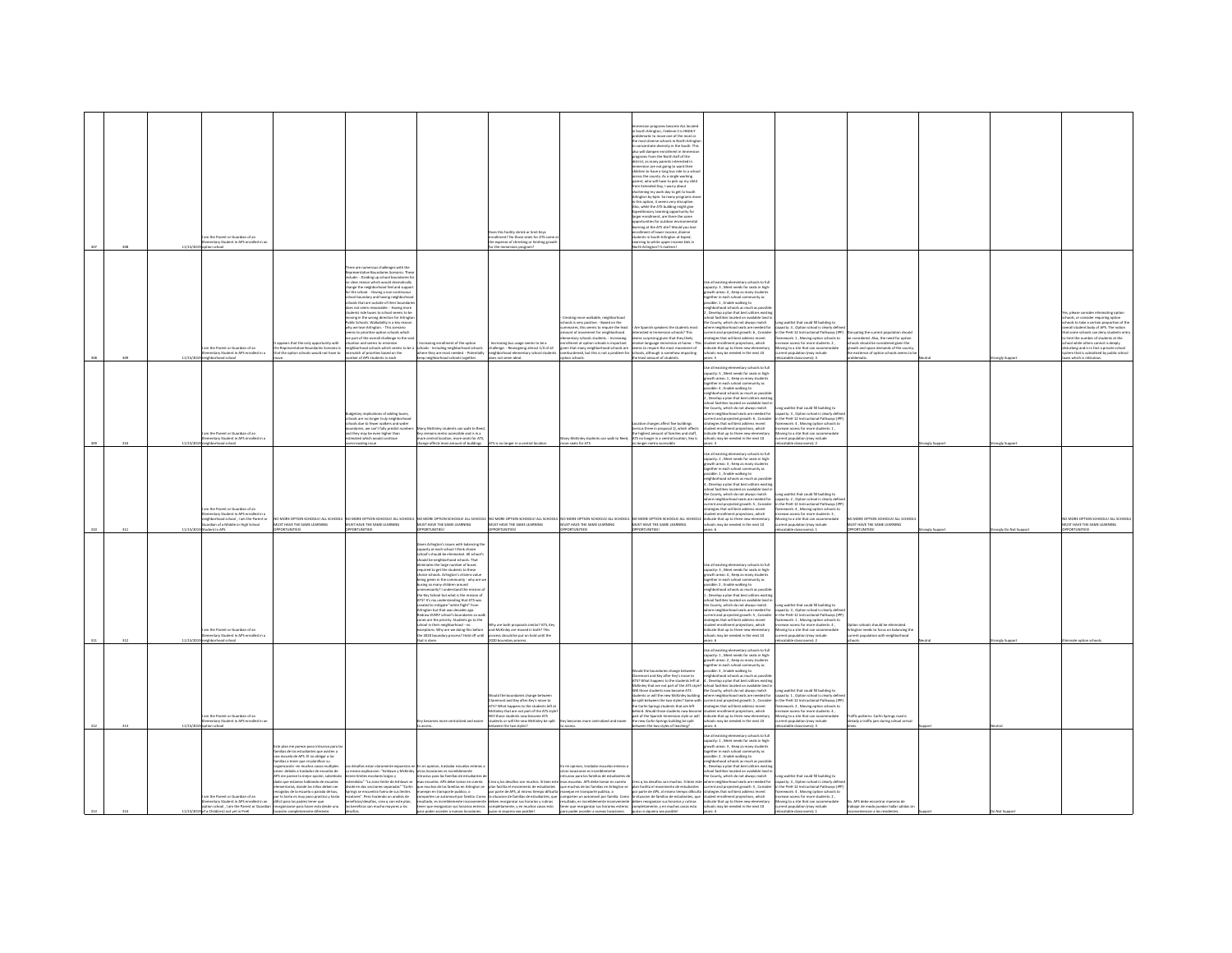|          | 11/15/2 | m the Parent or Guardian of an<br>ementary Student in APS enrolle                                                                                                  |                                                                                                                                                                                                                                                                                                                                                                                                                                                                                                                                                                                                  |                                                                                                                                                                                                                                                                                                                                                                                                                                                                                                                                                                                                                                                                                                                                                                                                                                      |                                                                                                                                                                                                                                                                                                                                                                                                                                                                                                                                                                                                                                                                                                                               | es this facility shrink or limit Keys<br>rollment? Do those seats for ATS con<br>e expense of shrinking or limiting gro                                                                                                                                                                                                                                                                                                                                                                                                                                                                                     |                                                                                                                                                                                                                                                                                                                                              | Immersion programs become ALL locates<br>in South Arlington, I believe it is HIGHLY<br>in seath Amiguar, connect is a marial<br>the most diverse schools in North Arlingto<br>to concentrate diversity in the South. This<br>also will dampen enrolment in Immersi<br>corrams from the North half of the<br>strict, as many parents interested in<br>entity, as many parents interested in<br>infrastion are not going to want their<br>tross the county. As a single working<br>parent, who will have to pick up my child<br>m Extended Day, I worry about<br>ortening my work day to get to South<br>sarsening y www.way.vv.gev.com<br>rington by 6pm. So many programs mo<br>shis option, it seems very disruptive.<br>kko, while the ATS building might give<br>Expeditionary Learning opportunity for<br>larger enrollment, are there the same<br>.<br>portunities for outdoor environmenta<br>irning at the ATS site? Would you lose<br>nant of Insure income dis-<br>adents in South Arlington at Exped,<br>arning to white upper income kids<br>h Arlington? It matte |                                                                                                                                                                                                                                                                                                                                                                                                                                                                                                                                                                                                                                                                                                                                                                       |                                                                                                                                                                                                                                                                                                                                                                   |                                                                                                                                                                                                                           |                 |                                                                                                                                                                                                                                                                                                                                                                                                                                         |
|----------|---------|--------------------------------------------------------------------------------------------------------------------------------------------------------------------|--------------------------------------------------------------------------------------------------------------------------------------------------------------------------------------------------------------------------------------------------------------------------------------------------------------------------------------------------------------------------------------------------------------------------------------------------------------------------------------------------------------------------------------------------------------------------------------------------|--------------------------------------------------------------------------------------------------------------------------------------------------------------------------------------------------------------------------------------------------------------------------------------------------------------------------------------------------------------------------------------------------------------------------------------------------------------------------------------------------------------------------------------------------------------------------------------------------------------------------------------------------------------------------------------------------------------------------------------------------------------------------------------------------------------------------------------|-------------------------------------------------------------------------------------------------------------------------------------------------------------------------------------------------------------------------------------------------------------------------------------------------------------------------------------------------------------------------------------------------------------------------------------------------------------------------------------------------------------------------------------------------------------------------------------------------------------------------------------------------------------------------------------------------------------------------------|-------------------------------------------------------------------------------------------------------------------------------------------------------------------------------------------------------------------------------------------------------------------------------------------------------------------------------------------------------------------------------------------------------------------------------------------------------------------------------------------------------------------------------------------------------------------------------------------------------------|----------------------------------------------------------------------------------------------------------------------------------------------------------------------------------------------------------------------------------------------------------------------------------------------------------------------------------------------|-------------------------------------------------------------------------------------------------------------------------------------------------------------------------------------------------------------------------------------------------------------------------------------------------------------------------------------------------------------------------------------------------------------------------------------------------------------------------------------------------------------------------------------------------------------------------------------------------------------------------------------------------------------------------------------------------------------------------------------------------------------------------------------------------------------------------------------------------------------------------------------------------------------------------------------------------------------------------------------------------------------------------------------------------------------------------------|-----------------------------------------------------------------------------------------------------------------------------------------------------------------------------------------------------------------------------------------------------------------------------------------------------------------------------------------------------------------------------------------------------------------------------------------------------------------------------------------------------------------------------------------------------------------------------------------------------------------------------------------------------------------------------------------------------------------------------------------------------------------------|-------------------------------------------------------------------------------------------------------------------------------------------------------------------------------------------------------------------------------------------------------------------------------------------------------------------------------------------------------------------|---------------------------------------------------------------------------------------------------------------------------------------------------------------------------------------------------------------------------|-----------------|-----------------------------------------------------------------------------------------------------------------------------------------------------------------------------------------------------------------------------------------------------------------------------------------------------------------------------------------------------------------------------------------------------------------------------------------|
|          | 11/15/2 | m the Parent or Guardian of an<br>mentary Student in APS enrolled in a<br>hood school                                                                              | irs that the only opportunity wit<br>e Representative Boundaries Scenario i<br>that the option schools would not have to                                                                                                                                                                                                                                                                                                                                                                                                                                                                         | ere are numerous challenges with the<br>presentative Boundaries Scenario. Thes<br>Jude: - Dividing up school boundaries fo<br>to clear reason which would dramatically<br>change the neighborhood feel and suppo<br>for the school. - Having a non-continuous<br>hool boundary and having neighborhoo<br>tools that are outside of their bound<br>s not seem reasonable. - Having more<br>lents ride buses to school seems to be<br>oving in the wrong direction for Arlingto<br>ublic Schools, Walkability is a key reason<br>fty we love Arlington. - This scenario<br>s to princitize outlos schools which<br>ems to prioritus option scribbs which<br>catton and seems to minimize<br>sation and seems to minimize<br>ighborhood schools which seems to be a<br>natch of priorities based on the<br>ber of APS students in each. | rollment of the option<br>schools - Including neighborhood schools<br>where they are most needed. - Potentially<br>eep neighborhood schools together.                                                                                                                                                                                                                                                                                                                                                                                                                                                                                                                                                                         | asing bus usage seems to be a<br>challenge. - Reassigning almost 1/4 of all<br>neighborhood elementary school students<br>is not seem ideal.                                                                                                                                                                                                                                                                                                                                                                                                                                                                | creating more walkable, neighborhood<br>hools is very positive. - Based on the<br>nmaries, this seems to require the lea<br>ount of movement for neighborhood<br>unt or movement for neignoornood<br>sentary schools students. - Increasing<br>sliment at option schools is important<br>en that many neighborhood schools are<br>on schools | Fee Spanish speakers the students most<br>ested in Immersion schools? This<br>ceresced in intensiven schools? This<br>rems surprising given that they likely<br>roeive language immersion at home. - Th<br>rems to require the most movement of<br>verburdened, but this is not a problem for schools, although is somehow impacting<br>the least amount of students                                                                                                                                                                                                                                                                                                                                                                                                                                                                                                                                                                                                                                                                                                          | tse all existing elementary schools to full<br>apacity: 3, Meet needs for seats in high<br>rowth areas: 4 . Keep as many student<br>eether in each school community as<br>sible: 1 , Enable walking to<br>ghborhood schools as much as poss<br>Develop a plan that best utilizes exi<br>pol facilities located on available land i<br>e County, which do not always match<br>ere neighborhood seats are needed for<br>www.waysuuruudu awaa awa www.waasider<br>reerit and projected growth: 6, Consider<br>ategies that will best address recent<br>dient enrollment projections, which<br>dicate that up to three new elementary<br>ools may be needed in the next 10                                                                                                | ong waitlist that could fill building to<br>etity: 3 . Option school is clearly defi<br>the Dreft, 12 Instructional Dathways (IDD)<br>the view-12 instructional vathways (over<br>amework: 1 , Moving option schools to<br>crease access for more students: 2 ,<br>loving to a site that can accommodate<br>rrent population (may include<br>table classrooms): 4 | ting the current population shoul<br>be considered. Also, the need for option<br>schools should be considered given the<br>growth and space demands of the county,<br>the existence of option schools seems to b<br>matis | ngly Suppo      | s, please consider eliminating option<br>ools, or consider requiring option<br>ools to take a certain proportion of the<br>erall student body of APS. The notion<br>some schools can deny students and<br>nome scribbis can being acquerita a<br>mit the number of students at the<br>sol while others cannot is deeply<br>turbing and is in fact a private school<br>tem that is subsidized by public school<br>s which is ridiculous. |
| $\cdots$ |         | m the Darent or Guardian of an<br>tary Student in APS a<br>d schoo                                                                                                 |                                                                                                                                                                                                                                                                                                                                                                                                                                                                                                                                                                                                  | ins of adding buses<br>hools are no longer truly neighborhool<br>hools due to fewer walkers and wider<br>undaries, we can't fully predict numb<br>nd they may be even higher than<br>itimated which would continue<br>ding issue                                                                                                                                                                                                                                                                                                                                                                                                                                                                                                                                                                                                     | ny McKinley students can walk to Rees<br>remains metro accessible and is in a<br>re central location, more seats for ATS<br>nge affects least amount of buildings                                                                                                                                                                                                                                                                                                                                                                                                                                                                                                                                                             | is no longer in a central location                                                                                                                                                                                                                                                                                                                                                                                                                                                                                                                                                                          | w MrKieley students can walk to Road<br>e seats for ATS                                                                                                                                                                                                                                                                                      | cation changes affect five buildings<br>ersus three in proposal 1), which affects<br>.<br>The highest amount of families and staff,<br>NTS no longer in a central location, Key is<br>nger metro accessible                                                                                                                                                                                                                                                                                                                                                                                                                                                                                                                                                                                                                                                                                                                                                                                                                                                                   | the all existing elementary schools to full<br>pacity: 5 , Meet needs for seats in high-<br>owth areas: 1 , Keep as many students<br>gether in each school community as<br>ssible: 4, Enable walking to<br>eighborhood schools as much as possible<br>, Develop a plan that best utilizes existin<br>, beverage a pair one. best distance example<br>thool facilities located on available land in<br>there neighborhood seats are needed for<br>there neighborhood seats are needed for<br>rrent and projected growth: 6 , Consider<br>rategies that will best address recent<br>dent enrollment projections, which<br>.<br>Scate that up to three new elementa<br>hools may be needed in the next 10                                                                | ong waitlist that could fill building to<br>city: 3, Option school is clearly def<br>n the PreK-12 Instructional Pathways (IPI<br>amework: 4, Moving option schools to<br>crease access for more students: 1.<br>rease excessions<br>oving to a site that can accomm<br>****it population (may include                                                            |                                                                                                                                                                                                                           |                 |                                                                                                                                                                                                                                                                                                                                                                                                                                         |
|          |         | m the Darant or Guardian of an<br>ventary Student in APS enrolled in<br>ghborhood school , I am the Parent or<br>ardian of a Middle or High School                 |                                                                                                                                                                                                                                                                                                                                                                                                                                                                                                                                                                                                  | -<br>HOWEN DIRECT AN HOWEN TO THE RESPONSE A LIGHT AND THE RESPONSE AND THE RESPONSE AND THE RESPONSE AND AN ANY THE SAME LEARING AND SOME AND THE SAME LEARING AND THE SAME LEARING AND THE SAME LEARING AND THE SAME LEARING AN                                                                                                                                                                                                                                                                                                                                                                                                                                                                                                                                                                                                    |                                                                                                                                                                                                                                                                                                                                                                                                                                                                                                                                                                                                                                                                                                                               |                                                                                                                                                                                                                                                                                                                                                                                                                                                                                                                                                                                                             |                                                                                                                                                                                                                                                                                                                                              |                                                                                                                                                                                                                                                                                                                                                                                                                                                                                                                                                                                                                                                                                                                                                                                                                                                                                                                                                                                                                                                                               | se all existing elementary schools to full<br>pacity: 2 . Meet needs for seats in high-<br>.<br>swth areas: 3 , Keep as many student<br>gether in each school community as<br>sible: 1, Enable walking to<br>.<br>neighborhood schools as much as possibli<br>4 , Develop a plan that best utilizes existir<br>chool facilities located on available land is<br>the County, which do not always match<br>here neighborhood seats are needed for<br>eventually respected and are released in<br>the stage of the stage of the stage of the stage of the stage of the stage of the stage of the stage of the stage of the stage of the stage of the stage of the stage of the stage of<br>indicate that up to three new elementary<br>It's may be needed in the next 10 | ong waitlist that could fill building to<br>acity: 2. Option school is clearly defin<br>the PreK-12 Instructional Pathways (IP)<br>e vies-12 instructional vatmways<br>lework: 4 , Moving option schools<br>lase access for more students: 3 ,<br>oving to a site that can accommodate<br>nt population (may include                                              | NO MORE OPTION SCHOOLS! ALL SCHOOLS<br>MUST HAVE THE SAME LEARNING                                                                                                                                                        |                 | NO MORE OPTION SCHOOLS! ALL SCHOOL<br>JST HAVE THE SAME LEARNING                                                                                                                                                                                                                                                                                                                                                                        |
|          |         | m the Parent or Guardian of an<br>entary Student in APS enrolled in a<br>barhood school                                                                            | <b>WTLINITIES</b>                                                                                                                                                                                                                                                                                                                                                                                                                                                                                                                                                                                | <b>WELINITIES</b>                                                                                                                                                                                                                                                                                                                                                                                                                                                                                                                                                                                                                                                                                                                                                                                                                    | <b>PRIMIDING</b><br>ven Arlington's issues with balancing th<br>pacity at each school I think choice<br>hool's should be eliminated. All school's<br>culd be neighborhood schools. That<br>inates the large number of buses<br>immined to get the students to these<br>roice schools. Arlington's citizens value<br>eing green in the community - why are v<br>using so many children around<br>ssarily? I understand the mission<br>e Key School but what is the mission of<br>S? It's my understanding that ATS was<br>an is a my property matter fight" from<br>lington but that was decades ago.<br>draw EVERY school's boundaries so wal<br>nes are the priority. Students go to the<br>thool in their neighborhood - no | <b>ORTUNITIES!</b><br>Vhy are both proposals similar? ATS, Key<br>ceptions. Why are we doing this before and McKinley are moved in both? This<br>a 2020 boundary process? Hold off until process should be put on hold until the<br>120 boundary pri                                                                                                                                                                                                                                                                                                                                                        | <b>PRITUATIVE</b>                                                                                                                                                                                                                                                                                                                            | <b>RTUNITIES</b>                                                                                                                                                                                                                                                                                                                                                                                                                                                                                                                                                                                                                                                                                                                                                                                                                                                                                                                                                                                                                                                              | se all existing elementary schools to full<br>pacity: 3, Meet needs for seats in high<br>ucity: a , ween needs for seurs in m<br>wth areas: 4 , Keep as many stude<br>yther in each school community a<br>sible: 2 , Enable walking to<br>ighborhood schools as much as possibli<br>, Develop a plan that best utilizes existin<br>pol facilities located on available land is<br>incommunication of a conservation of a country, which do not always match<br>here neighborhood seats are needed for<br>reent and projected growth: S , Consider<br>rategies that will best address recent<br>dent enrollment projections, which<br>dicate that up to three new elementary<br>chools may be needed in the next 10                                                    | ong waitlist that could fill building to<br>apacity: 3 , Option school is clearly define<br>1 the PreK-12 Instructional Pathways (IPP<br>ramework: 1 , Moving option schools to<br>rease access for more students: 4,<br>wing to a site that can accommodate<br>sion (may include                                                                                 | <b>DRITING</b><br>ion schools should be eliminated.<br><b>Infington needs to focus on balancing the</b><br>surrent population with neighborhood                                                                           | tely Do Not Sup |                                                                                                                                                                                                                                                                                                                                                                                                                                         |
|          |         | m the Parent or Guardian of an<br>entary Student in APS enrolled in                                                                                                |                                                                                                                                                                                                                                                                                                                                                                                                                                                                                                                                                                                                  |                                                                                                                                                                                                                                                                                                                                                                                                                                                                                                                                                                                                                                                                                                                                                                                                                                      | secomes more centralized and easi                                                                                                                                                                                                                                                                                                                                                                                                                                                                                                                                                                                                                                                                                             | ould the boundaries change between<br>Claremont and Key after Key's move to<br>ATS? What happ<br>ens to the students left a<br>ley that are not part of the ATS st<br>l those students now become ATS<br>dents or will the new McKinley be split<br>en the two styles?                                                                                                                                                                                                                                                                                                                                      | tralized and eas                                                                                                                                                                                                                                                                                                                             | Fould the boundaries change between<br>Jaremont and Key after Key's move to<br>TS? What happens to the students left at<br>McKinley that are not part of the ATS style?<br>Will those students now become ATS<br>udents or will the new McKinley building<br>be split between the two styles? Same with<br>the Carlin Springs students that are left<br>ind. Would those students now bec<br>art of the Spanish Immersion style or will<br>se new Carlin Springs building be split<br>in the two styles of teaching?                                                                                                                                                                                                                                                                                                                                                                                                                                                                                                                                                          | .<br>Jse all existing elementary schools to full<br>apacity: 1 , Meet needs for seats in high-<br>rrowth areas: 2 . Keep as many student<br>eether in each school community as<br>sible: 3 , Enable walking to<br>ihborhood schools as much as possib<br>bevelop a plan that best utilizes exist<br>school facilities located on available land is<br>the County, which do not always match<br>where neighborhood seats are needed for<br>rrent and projected growth: S , Consider<br>ategies that will best address recent<br>weights true will best access receive<br>dicate that up to three new elementary<br>hools may be needed in the next 10                                                                                                                  | ong waitlist that could fill building to<br>apacity: 1 . Option school is clearly defin<br>n the PreK-12 Instructional Pathways (IP)<br>ework: 2, Moving option schools to<br>on (may include<br>stable classrooms): 3                                                                                                                                            | raffic patterns. Carlin Springs road is<br>rady a traffic jam during school arriva                                                                                                                                        |                 |                                                                                                                                                                                                                                                                                                                                                                                                                                         |
|          |         | m the Parent or Guardian of an<br>nentary Student in APS enrolled in an<br>tion school , I am the Parent or Guardian<br>11/15/2019 of a Child(ren) not yet in PreK | e plan me parece poco intrusivo para l<br>nilias de los estudiantes que asisten a<br>ma escuela de APS. El no obligar a las<br>milias a tener que re-planificar su<br>sanización - en muchos casos multiples<br>eces-debido a traslados de escuelas de<br><i>PS me parece la major opción, sobretod</i><br>lado que estamos hablando de escuelas<br>entarias, donde los niños deben ser<br>cogidos de la escuela o parada de bus,<br>or lo tanto es muy poco practico y hasta<br>tificil para los padres tener que<br>organizarse para hacer esto desde una<br>locación completamente diferente. | desafios estan claramente expuestos e<br>i misma explicacion: "Ashlawn y McKinky<br>inen limites escolares largos y<br>itendidos" "La zona limite de Ashlawn se<br>divide en dos secciones separadas" "Carlin<br>Springs se encuentra fuera de sus límites<br>colares". Pero haciendo un analisis de<br>teneficios/desafios, creo o con este plan.<br>os beneficios son mucho mayores a los<br>tesafios.                                                                                                                                                                                                                                                                                                                                                                                                                             | mi opinion, trasladar escuelas enteras<br>tras locaciones es increit<br>ivo para las familias de estudiantes                                                                                                                                                                                                                                                                                                                                                                                                                                                                                                                                                                                                                  | cuelas. APS debe tomar en cuenta <sup>Cr</sup> eo q los desafios son muchos. Si bien este esas escuelas. APS debe tomar en cuenta<br>pa muta da la filia da la parte de la filia de la filia de la filia de la filia de la filia de la filia de la filia<br>origina interpretadas, la construction de la filia de la filia de la filia de la filia de la filia de la f<br>exension, es inconsiderativos en la considerativa de la consideración de la consideración de la consideración<br>En la consideración de la consideración de la consideración de la consideración de la consideración de la consid | mi coinion, trasladar escuelas enteras a<br>.<br>us locaciones es increiblemente<br>rusivo para las famílias de estudiantes                                                                                                                                                                                                                  | Creo q los desafios son muchos. Si bien esti                                                                                                                                                                                                                                                                                                                                                                                                                                                                                                                                                                                                                                                                                                                                                                                                                                                                                                                                                                                                                                  | te all existing elementary schools to full<br>capacity: 1 , Meet needs for seats in high<br>growth areas: 3 , Keep as many students<br>together in each school community as<br>possible: 2, Enable walking to<br>eighborhood schools as much as possib<br>Develop a plan that best utilizes existi<br>op = p=== trem wees Utilizers existin<br>  tool facilities located on available land<br>  County, which do not always match<br>ere neighborhood seats are needed fo<br>current and projected growth: 5, Consider<br>strategies that will best address recent<br>indicate that up to three new elementary<br>chools may be needed in the next 10<br>years: 4                                                                                                     | waitlist that could fill building to<br>apacity: 3, Option school is clearly defi<br>n the PreK-12 Instructional Pathways (IPI<br>ramework: 4, Moving option schools to<br>screase access for more students: 2.<br>loving to a site that can accommodate<br>rent population (may include<br>relocatable classrooms): 1                                            | No. APS debe encontrar maneras de<br>robaiar da modo nuedan hallar salidas-<br>inconvenienciar a los residentes.                                                                                                          |                 |                                                                                                                                                                                                                                                                                                                                                                                                                                         |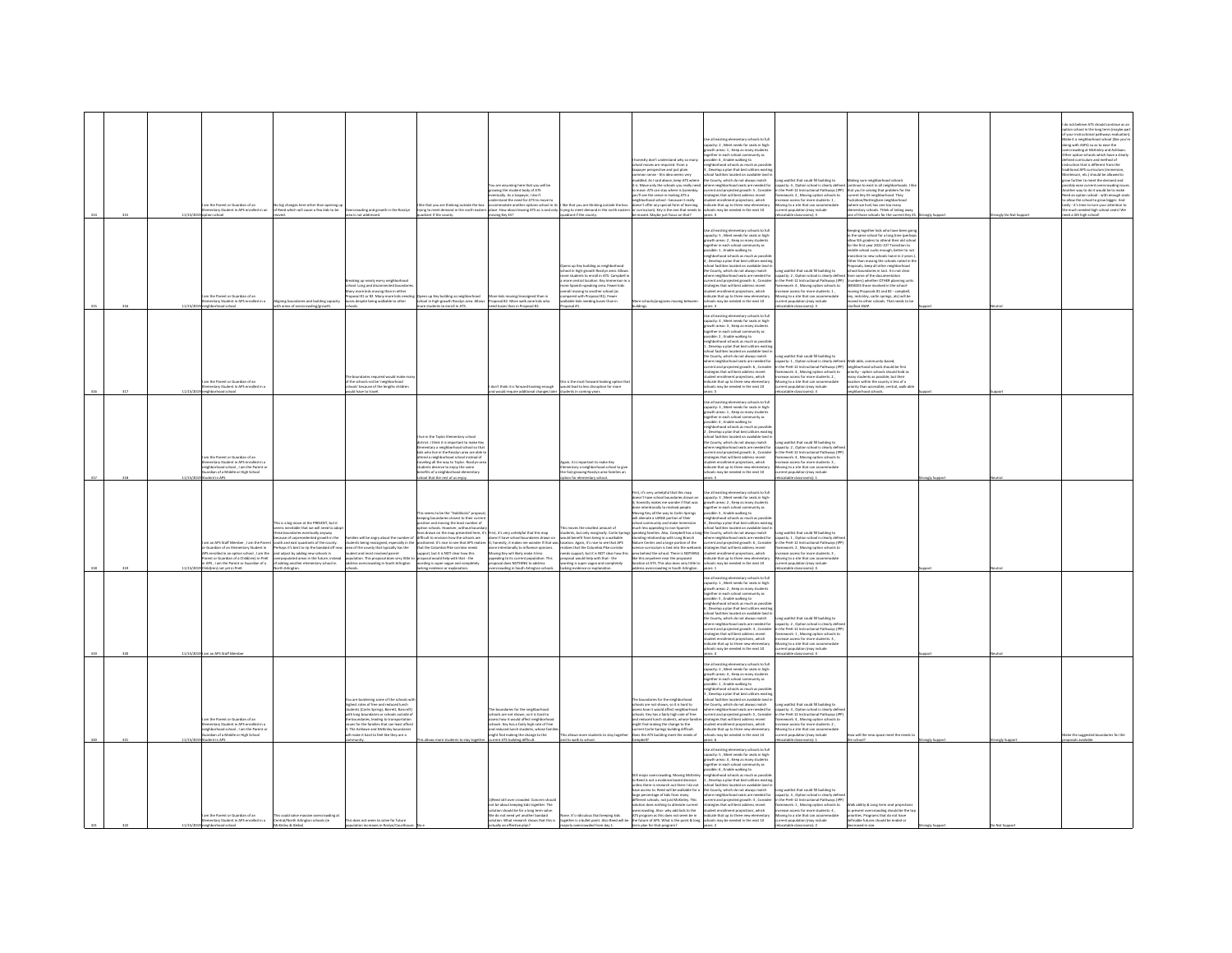|  |         | the Darant or Guardian of an<br>tary Student in APS enrolled in a<br>loorlas noits                                                                                                                                                   | as have other than a<br>ig changes here other than opening u<br>red which will cause a few kids to be                                                                                                                                                                                                                                                                                                                                 | ding and growth in the Rosslyn<br>rea is not addressed.                                                                                                                                                                                                                                                                                       | l like that you are thinking outside the bo<br>trying to meet demand in the north east<br>drant if the county.                                                                                                                                                                                                                                                                                                                                                                                                                                              | are assuming here that you will be<br>wing the student body of ATS<br>stually As a territor Library<br>erstand the need for ATS to<br>accommodate another options school in its    like that you are thinking outside the box<br>place. How about leaving ATS as is and only trying to meet demand in the north easte<br>oving Key ES? | uadrant if the county.                                                                                                                                                                                                                                                                                                                                          | honestly don't understand why so n<br>chool moves are required. From a<br>axpayer perspective and just plain<br>nmon sense - this idea seems very<br>ruddled. As I said above, keep ATS where<br>is. Move only the schools you really need<br>nove. ATS can stay where is (someday<br>outlises the sense in making ATS a<br>seighborhood school - because it really<br>loesn't offer any special form of learning<br>tr curriculum). Key is the one that needs to<br>be moved. Maybe just focus on that?                                                                                                                                                                                                                         | ie all existing elementary schools to full<br>.<br>apacity: 2 , Meet needs for seats in high-<br>rowth areas: 1 , Keep as many students<br>wtn areas: 1 , Meep as many stude<br>ether in each school community as<br>sible: 6 , Enable walking to<br>ghborhood schools as much as pos<br>Develop a plan that best utilizes existi<br>ool facilities located on available land<br>he County, which do not always match<br>here neighborhood seats are needed for<br>surrent and projected mowth: 5 . Consider<br>strategies that will best address recent<br>rategyes true will best address recent<br>udent enrollment projections, which<br>dicate that up to three new elemental<br>hools may be needed in the next 10<br>years: 4                                                     | ong waitlist that could fill building to<br>apacity: 4 , Option school is clearly defined<br>n the PreK-12 Instructional Pathways (IPP)<br>emework : 2 , Moving option schools to<br>rease access for more students: 1 ,<br>sving to a site that can accommodate<br>rent population (may include<br>ocatable classrooms): 3                                                   | king sure neighborhood schools<br>tinue to exist in all neighborhoods. I<br>hat you're solving that problem for the<br>ent Key ES neighborhood. They<br>en Avy La respectance.<br>Interview live) has one too many<br>nentary schools. Think of taking away<br>one of those schools for the current Key ES. Strongly Support                                                                                                                                                                                                                                                                                                                                             |              | rongly Do Not Support | o not believe ATS should continue as a<br>otion school in the long term (maybe par<br>your instructional pathways evaluation<br>alse it a neighborhood school (like you're<br>ing with ASFS) so as to ease the<br>ercrowding at McKinley and Ashlawn.<br>er option schools which have a clearly<br>red curriculum and method of<br>uction that is different from the<br>itional APS curriculum (immersion,<br>tessori, etc.) should be allowed to<br>ow further to meet the demand and<br>sibly ease current overcrowding issu-<br>other way to do it would be to make<br>ad an option school - with enough sea<br>ad an option school - with enough sea<br>For the school to grow bigger. And<br>y - it's time to turn your attention to<br>much needed high school seats! We<br>lloorks right schools |
|--|---------|--------------------------------------------------------------------------------------------------------------------------------------------------------------------------------------------------------------------------------------|---------------------------------------------------------------------------------------------------------------------------------------------------------------------------------------------------------------------------------------------------------------------------------------------------------------------------------------------------------------------------------------------------------------------------------------|-----------------------------------------------------------------------------------------------------------------------------------------------------------------------------------------------------------------------------------------------------------------------------------------------------------------------------------------------|-------------------------------------------------------------------------------------------------------------------------------------------------------------------------------------------------------------------------------------------------------------------------------------------------------------------------------------------------------------------------------------------------------------------------------------------------------------------------------------------------------------------------------------------------------------|----------------------------------------------------------------------------------------------------------------------------------------------------------------------------------------------------------------------------------------------------------------------------------------------------------------------------------------|-----------------------------------------------------------------------------------------------------------------------------------------------------------------------------------------------------------------------------------------------------------------------------------------------------------------------------------------------------------------|----------------------------------------------------------------------------------------------------------------------------------------------------------------------------------------------------------------------------------------------------------------------------------------------------------------------------------------------------------------------------------------------------------------------------------------------------------------------------------------------------------------------------------------------------------------------------------------------------------------------------------------------------------------------------------------------------------------------------------|------------------------------------------------------------------------------------------------------------------------------------------------------------------------------------------------------------------------------------------------------------------------------------------------------------------------------------------------------------------------------------------------------------------------------------------------------------------------------------------------------------------------------------------------------------------------------------------------------------------------------------------------------------------------------------------------------------------------------------------------------------------------------------------|-------------------------------------------------------------------------------------------------------------------------------------------------------------------------------------------------------------------------------------------------------------------------------------------------------------------------------------------------------------------------------|--------------------------------------------------------------------------------------------------------------------------------------------------------------------------------------------------------------------------------------------------------------------------------------------------------------------------------------------------------------------------------------------------------------------------------------------------------------------------------------------------------------------------------------------------------------------------------------------------------------------------------------------------------------------------|--------------|-----------------------|---------------------------------------------------------------------------------------------------------------------------------------------------------------------------------------------------------------------------------------------------------------------------------------------------------------------------------------------------------------------------------------------------------------------------------------------------------------------------------------------------------------------------------------------------------------------------------------------------------------------------------------------------------------------------------------------------------------------------------------------------------------------------------------------------------|
|  |         | n the Parent or Guardian of an<br>ntary Student in APS enrolled in a                                                                                                                                                                 | ligning boundaries and building capacity<br>rith areas of overcrowding/growth.                                                                                                                                                                                                                                                                                                                                                        | sing up nearly every neighborhoo<br>maning spread disconnected boundaries<br>and Long and disconnected boundaries<br>aposal #1 or #2. Many more kids need<br>ses despite being walkable to other                                                                                                                                              | Opens up Key building as neighborhood<br>ichool in high-growth Rosslyn area. Allows<br>more students to enroll in ATS.                                                                                                                                                                                                                                                                                                                                                                                                                                      | Proposal #2. More walk zone kids who<br>need buses than in Proposal #2.                                                                                                                                                                                                                                                                | pens up Key building as neighborhood<br>hool in high-growth Rosslyn area. Allow<br>ore students to enroll in ATS. Campbell<br>nore central location. Key Immersi<br>re Spanish-speaking area. Fewer kid<br>rall moving to another school (as<br>pared with Proposal #1). Fewer<br>kable kids needing buses than in<br>posal #1.                                 | ore schools/programs moving bete<br>Idings.                                                                                                                                                                                                                                                                                                                                                                                                                                                                                                                                                                                                                                                                                      | ie all existing elementary schools to full<br>Use all existing eliminately schools to full<br>spacing 5, Meet needs for seats in high<br>growth areas: 2, Neep as many students<br>together in each school community as<br>possible : 1, Ernalde walking to<br>mighborhood schools as much<br>ool facilities located on available land<br>the County, which do not always match<br>here neighborhood seats are needed for<br>urrent and projected erowth: 6. Consider<br>rategies that will hast arbitess rarent<br>udent enrollment projections, which<br>dicate that up to three new elementar<br>hooks may be needed in the next 10                                                                                                                                                   | ong waitlist that could fill building to<br>apacity: 2, Option school is clearly defin<br>in the PreK-12 Instructional Pathways (IPP)<br><b>nework: 4</b> , Moving option schools to<br>ease access for more students: 1,<br>ving to a site that can accome<br>rrent population (may include<br>ocatable classrooms): 3                                                       | ping together kids who have been ap<br>o the same school for a long time (per)<br>to the sieme school for a long time (perhaps)<br>allow 5th graders to attend their old school<br>for the first year 2021-22? Transition to<br>middle school sucks enough; better to not<br>transition to new schools twice in 2 years.]<br>Ot<br>sosals, keep all other neighborhood<br>ol boundaries in tact. It is not clear<br>m some of the documentation<br>bers) whether OTHER planning unit<br><b>SIDES those involved in the school.</b><br>ing Proposals #1 and #2 - campbell<br>reng Proposes H2 and H2 - Campoon,<br>red to other schools. That needs to be<br>rified ASAP. |              |                       |                                                                                                                                                                                                                                                                                                                                                                                                                                                                                                                                                                                                                                                                                                                                                                                                         |
|  |         | m the Parent or Guardian of an<br>stary Student in APS enrolled in<br>head school                                                                                                                                                    |                                                                                                                                                                                                                                                                                                                                                                                                                                       | indaries required would make m<br>the schools not be 'neighborhood<br>ols' because of the lengths childre                                                                                                                                                                                                                                     |                                                                                                                                                                                                                                                                                                                                                                                                                                                                                                                                                             | on't think it is forward-looking enough                                                                                                                                                                                                                                                                                                | is is the most forward-looking cotion to<br>ald lead to less disruption for more<br>coming yea                                                                                                                                                                                                                                                                  |                                                                                                                                                                                                                                                                                                                                                                                                                                                                                                                                                                                                                                                                                                                                  | se all existing elementary schools to full<br>spacity: 4, Meet needs for seats in high<br>growth areas: 3 . Keep as many students<br>together in each school community as<br>ssible: 2, Enable walking to<br>eighborhood schools as much as possible.<br>Die providing a plan that best utilizes existicated parameters of the state of the section of the state of the<br>chool facilities located on available land<br>the County, which do not always match<br>where neighborhood seats are needed for<br>strategies that will best address recent<br>tudent enrollment projections, which<br>ndicate that up to three new elementary<br>(10 tope set) ni babaan ed vam als                                                                                                           | .<br>Long waitlist that could fill building to<br>capacity: 1 , Option school is clearly defi<br>current and projected growth: 6, Consider in the PreK-12 Instructional Pathways (IPP)<br>framework: 4 . Moving option schools to<br>rease access for more students: 2<br>loving to a site that can accommodate<br>rrent population (may include<br>table classr<br>$F$ -laws | neighborhood schools should be first<br>.<br>http://www.schools.should.hold.as<br>namy students as possible, but their<br>ation within the county is less of a<br>the than accessible, central, walk-abi                                                                                                                                                                                                                                                                                                                                                                                                                                                                 |              |                       |                                                                                                                                                                                                                                                                                                                                                                                                                                                                                                                                                                                                                                                                                                                                                                                                         |
|  |         | m the Parent or Guardian of an<br>entary Student in APS enrolled in<br>ighborhood school, I am the Parent or<br>sian of a Middle or High School                                                                                      |                                                                                                                                                                                                                                                                                                                                                                                                                                       |                                                                                                                                                                                                                                                                                                                                               | Ive in the Taylor Elementary school<br>listrict. I think it is important to make K<br>.<br>ementary a neighborhood school so the<br>distribution in the Rosslyn area are able<br>ind a neighb<br>reling all the way to Taylor. Rosslyn-ar<br>lents deserve to enjoy the same<br>nefits of a neighborhood elementary<br>ool that the rest of us enjoy                                                                                                                                                                                                        |                                                                                                                                                                                                                                                                                                                                        | Again, it is important to make Key<br>Elementary a neighborhood school to give<br>the fast-growing Rosslyn area families an                                                                                                                                                                                                                                     |                                                                                                                                                                                                                                                                                                                                                                                                                                                                                                                                                                                                                                                                                                                                  | .<br>Jse all existing elementary schools to full<br>apacity: 3 , Meet needs for seats in high-<br>growth areas: 1 , Keep as many students<br>together in each school community as<br>ssible: 4 . Enable walking to<br>eighborhood schools as much as possib<br>. Develop a plan that best utilizes existi<br>chool facilities located on available land<br>he County, which do not always match<br>ne County, which as not aways match<br>where neighborhood seats are needed for<br>turrent and projected growth: 6 , Consider<br>trategies that will best address recent<br>lent enrollment projections, which<br>ndicate that up to three new elementary<br>ols may be needed in the next 10                                                                                          | waitist that could fill huilding to<br>ong www.trait trust could his bisanty define<br>apacity: 2 , Option school is clearly define<br>in the PreK-12 Instructional Pathways (IPF<br>ramework: 4 , Moving option schools to<br>ease access for more students: 3,<br>foving to a site that can accommodat<br>rrent population (may include<br>stable classrooms): 1            |                                                                                                                                                                                                                                                                                                                                                                                                                                                                                                                                                                                                                                                                          |              |                       |                                                                                                                                                                                                                                                                                                                                                                                                                                                                                                                                                                                                                                                                                                                                                                                                         |
|  | 11/15/2 | m an APS Staff Member , I am the Pare<br>ardian of an Elementary Student in<br>enrolled in an option school , I am the<br>nt or Guardian of a Child(ren) in PreK<br>APS , I am the Parent or Guardian of a<br>d(ren) not yet in PreK | is is a big move at the PRESENT, but it<br>ms inevitable that we will need to add<br>asa houndarias aventually anyway<br>ini boundaries eventually anyway<br>cause of unprecedented growth in the<br>uth and east quadrants of the county.<br>rhaps it's best to rip the bandaid off now<br>nd adjust by adding new schools in<br>verpopulated areas in the future, instead<br>f adding another elementary school in<br>th Arlington. | Families will be angry about the number o<br>students being reassigned, especially in th<br>area of the county that typically has the<br>loudest and most involved parent<br>opulation. This proposal does very little to<br>ddress overcrowding in South Arlington                                                                           | is seems to be the "Goldilocks" propo<br>leeping boundaries closest to their curre<br>sition and moving the least number of<br>tion schools. However, without bound<br>es drawn on the map presented here. it's<br>imes arawin on the map presented nere, i<br>difficult to envision how the schools are<br>positioned. It's nice to see that APS realize<br>that the Columbia Pike corridor needs<br>support, but it is NOT clear how this<br>roposal would help with that - the<br>wording is super vague and completely<br>cking evidence or explanation | first it's very cribalisful that this man<br>esn't have school boundaries drawn or<br>honestly, it makes me wonder if that w<br>ne intentionally to influence opinions.<br>ing Key will likely make it less<br>ling to its current population. This<br>osal does NOTHING to address<br>wding in South Arlington schools                | is moves the smallest amount of<br>an more un any marginally. Carlin Sprin<br>sulet benefit from being in a walkable<br>sation. Again, it's nice to see that APS<br>alises that the Columbia Pike corridor<br>ds support, but it is NOT clear how th<br>posal would help with that - the<br>rding is super vague and completely<br>king evidence or explanation | st, it's very unhelpful that this ma<br>oesn't have school boundaries drawn on<br>; honestly makes me wonder if that was<br>lone intentionally to mislead people.<br>Aoving Key all the way to Carlin Springs<br>will alienate a LARGE portion of their<br>thool community and make Immersion<br>ruch less appealing to non-Spanish-<br>eaeing samilies. And, Campbell has a long<br>anding relationship with Long Branch<br>sture Center and a large portion of the<br>lence curriculum is tied into the wetlands<br>ea behind the school. There is NOTHING<br>e this anywhere near the proposed<br>cation at ATS. This also does very little to<br>awding in South Arlington.                                                  | any schools to full<br>Use all existing elementary schools to fu<br>capacity: 3 , Meet needs for seats in hig<br>growth areas: 2 , Keep as many student<br>hig<br>together in each school community as<br>possible: 5 , Enable walking to<br>neighborhood schools as much as possib<br>, Develop a plan that best utilizes existi<br>school facilities located on available land<br>aking families. Also, Campbell has a long-the County, which do not always match<br>the County, which as not always match<br>where neighborhood seats are needed for<br>current and projected growth: 6 , Consider<br>strategies that will best address recent<br>student enrollment projections, which<br>indicate that up to three new elementary<br>hools may be needed in the next 10<br>vears: 1 | or waitlist that could fill huilding to<br>spacity: 1, Option school is clearly def<br>the PreK-12 Instructional Pathways (I<br>ework: 2, Moving option schools to<br>crease access for more students: 3 ,<br>loving to a site that can accommodat<br>arrent population (may include<br>table classrooms): 4                                                                  |                                                                                                                                                                                                                                                                                                                                                                                                                                                                                                                                                                                                                                                                          |              |                       |                                                                                                                                                                                                                                                                                                                                                                                                                                                                                                                                                                                                                                                                                                                                                                                                         |
|  |         | m an APS Staff Men                                                                                                                                                                                                                   |                                                                                                                                                                                                                                                                                                                                                                                                                                       |                                                                                                                                                                                                                                                                                                                                               |                                                                                                                                                                                                                                                                                                                                                                                                                                                                                                                                                             |                                                                                                                                                                                                                                                                                                                                        |                                                                                                                                                                                                                                                                                                                                                                 |                                                                                                                                                                                                                                                                                                                                                                                                                                                                                                                                                                                                                                                                                                                                  | se all'existine elementary schools to full<br>use as examply every expressive corrects<br>applied to a state in a growth areas: 2 , Keep as many students<br>together in each school community as<br>possible: 5 , Enable walking to<br>veighborhood schools as much as possi<br>, Develop a plan that best utilizes existin<br>ool facilities located on available land<br>the County, which do not always match<br>where neighborhood seats are needed for<br>urrent and projected growth: 3, Conside<br>rategies that will best address recent<br>udent enrollment projections, which<br>dicate that up to three new el<br>ite that up to three new elemental<br>Its may be needed in the next 10                                                                                     | one waitlist that could fill buildine to<br>acity: 2. Option school is clearly defin<br>n the PreK-12 Instructional Pathways (IP)<br>.<br>awork: 1 , Moving option schools t<br>hase eccess for more students: 3 ,<br>ving to a site that can acc<br>int population (may include<br>itable classrooms): 4                                                                     |                                                                                                                                                                                                                                                                                                                                                                                                                                                                                                                                                                                                                                                                          |              |                       |                                                                                                                                                                                                                                                                                                                                                                                                                                                                                                                                                                                                                                                                                                                                                                                                         |
|  |         | m the Parent or Guardian of an<br>ntary Student in APS enrolled in a<br>Nhorboot school 1 am the Darent of<br>lian of a Middle or High School                                                                                        |                                                                                                                                                                                                                                                                                                                                                                                                                                       | u are burdening some of the schools w<br>highest rates of free and reduced lunch<br>students (Carlin Springs, Barrett, Barcroft<br>vith long boundaries or schools outside o<br>boundaries, leading to transportation<br>ass for the families that can least afford<br>The Ashlawn and McKinley hounda<br>ske it hard to feel like they are a |                                                                                                                                                                                                                                                                                                                                                                                                                                                                                                                                                             | he boundaries for the neighbo<br>hools are not shown, so it is hard to<br>iess how it would affect neighbor<br>ools. Key has a fairly high rate of free<br><b>Enadored longh stude</b><br>vouced runch studencs, whose t<br>t find making the change to the<br>int ATS building difficult.                                             | ore students to stay toge                                                                                                                                                                                                                                                                                                                                       | e boundaries for the neighb<br>chools are not shown, so it is hard to<br>ssess how it would affect neighbor<br>chools. Key has a fairly high rate of free<br>nd reduced lunch students, whose far<br>might find making the change to the<br>servent Carlin Springs building difficult.<br>Joes the ATS building meet the needs of                                                                                                                                                                                                                                                                                                                                                                                                | te all existing elementary schools to full<br>apacity: 2 . Meet needs for seats in high<br>owth areas: 4 . Keep as many student<br>growth areas: 4 , Keep as many students<br>together in each school community as<br>possible: 1 , Enable walking to<br>neighborhood schools as much as possible<br>3 , Develop a plan that best utilizes existin<br>school facilities located<br>he County, which do not always match<br>ahere neighborhood seats are needed for<br>current and projected growth: 5, Consider<br>ategies that will best address recent<br>udent enrollment projections, which<br>dicate that up to three new elements<br>hools may be needed in the next 10                                                                                                            | ong waitlist that could fill building to<br>acity: 3, Option school is clearly defi<br>in the PreK-12 Instructional Pathways (IP<br>sework: 4, Moving option schools to<br>ease access for more students: 2<br>wing to a site that can acco<br>on (may include                                                                                                                | will the new space meet the needs t                                                                                                                                                                                                                                                                                                                                                                                                                                                                                                                                                                                                                                      | ongly Suppor | trongly Suppo         | alse the suggester.<br>Market and the set of the set of the set of the set of the set of the set of the set of the set of the set of the set of the set of the set of the set of the set of the set of the set of the set of the                                                                                                                                                                                                                                                                                                                                                                                                                                                                                                                                                                        |
|  |         | m the Parent or Guardian of an<br>ntary Student in APS enrolled in a                                                                                                                                                                 | his could solve massive overcrowding at<br>Central/North Arlineton schools (ie<br><b>Kinley &amp; Glebe)</b>                                                                                                                                                                                                                                                                                                                          | This does not seem to solve for future                                                                                                                                                                                                                                                                                                        |                                                                                                                                                                                                                                                                                                                                                                                                                                                                                                                                                             | leed still over crowded. Concern shou                                                                                                                                                                                                                                                                                                  |                                                                                                                                                                                                                                                                                                                                                                 | .<br>till major overcrowding. Moving McKinl<br>a Reed is not a evidence based decision<br>to mean is not a evidence distribution of<br>unless there is research out there I do not<br>have access to. Reed will be walkable for a<br>large percentage of kids from many<br>different schools, not just McKinley. This<br>$\begin{minipage}[t]{0.9\textwidth} {\small \textbf{[3] \textbf{[1] \textbf{[1] \textbf{[1] \textbf{[1] \textbf{[1] \textbf{[1] \textbf{[1] \textbf{[1] \textbf{[1] \textbf{[1] \textbf{[1] \textbf{[1] \textbf{[1] \textbf{[1] \textbf{[1] \textbf{[1] \textbf{[1] \textbf{[1] \textbf{[1] \textbf{[1] \textbf{[1] \textbf{[1] \textbf{[1] \textbf{[1] \textbf{[1] \textbf{[1] \textbf{[1] \textbf{[1$ | Use all existing elementary schools to full<br>capacity: 5, Meet needs for seats in high-<br>growth areas: 4, Keep as many student<br>together in each school community as<br>sible: 6 . Enable walking to<br>veighborhood schools as much as possi<br>L, Develop a plan that best utilizes exis<br>1, Develop a pain triat best utilizes existing<br>school facilities located on available land in<br>the County, which do not always match<br>where neighborhood seats are needed for<br>current and projected growth: 3, Conside                                                                                                                                                                                                                                                     | acity: 3, Option school is clearly de<br>in the PreK-12 Instructional Pathways (IPP)<br>framework: 1, Moving option schools to<br>ncrease access for more students: 4<br>foving to a site that can accommodate<br>rrent population (may include                                                                                                                               | lalk ability & Long term seat projection<br>owding should be the to<br>prevent over<br>prities. Programs that do not have<br>Inable futures should be ended or                                                                                                                                                                                                                                                                                                                                                                                                                                                                                                           |              |                       |                                                                                                                                                                                                                                                                                                                                                                                                                                                                                                                                                                                                                                                                                                                                                                                                         |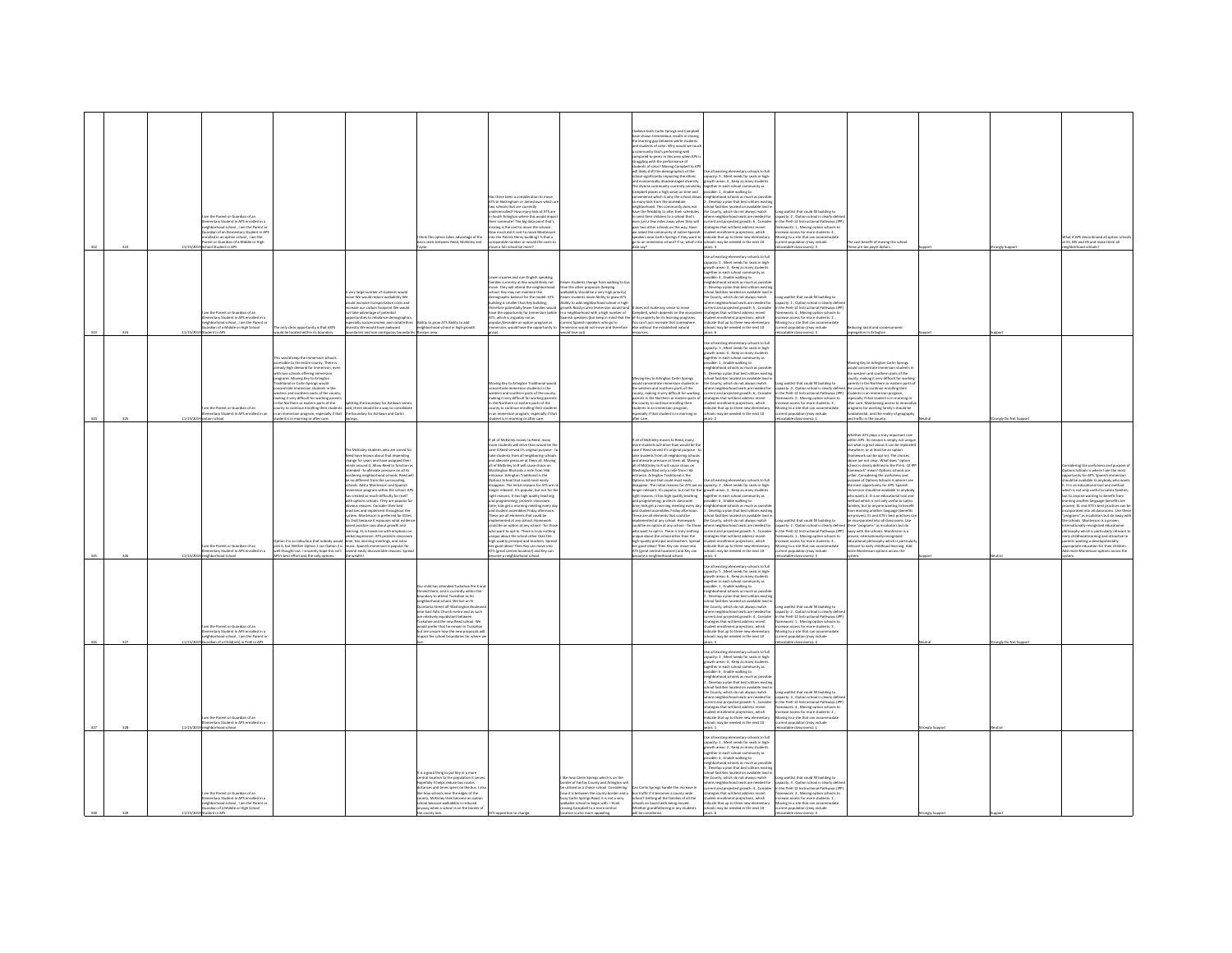|      |          | m the Parent or Guardian of an<br>nentary Student in APS enrolled in<br>ishborhood school . I am the Parent or<br>rdian of an Elementary Student in AP:<br>died in an outloo school. I am the<br>ent or Guardian of a Middle or High<br>ol Student in AP |                                                                                                                                                                                                                                                                                                                                                                                                                                                                                                                                                |                                                                                                                                                                                                                                                                                                                                                                                                                                                                                                                                                                                                                                                                                                                                                                                                                                                                                                                                                                         | tiek this ontion takes arbantage of the<br>a seats between Reed, McKinley and                                                                                                                                                                                                                                                                                                                                                   | las there been a consideration to move<br>Fax some or an animal state of the action of the schools that are currently<br>to schools that are currently<br>underenrolled? How many kids at ATS are<br>in South Arlington where this would impact<br>ir commute? The big data point that's<br>nissing is the cost to move the schools.<br>tw much did it cost to move Mont<br>the the Datrick Henry huilding? Is that a<br>arable number or would t<br>ve a full school be more?                                                                                                                                                                                                                                                                                                                                                                                                                                                                                                                                                                                                                                        |                                                                                                                                                                                                                                                                                                                                                                                                                                                                                                                                                        | elieve both Carlin Springs and Campbel<br>allows<br>The shown tremendous results in close<br>the learning gap between white students of color. Why would we<br>mmunity that's performing well<br>ompared to peers in this area when APS<br>uzzlinz with the performance of<br>students of color? Moving Campbell to APS<br>will likely shift the demographics of the<br>school significantly impacting the ethnic<br>nd economically disadvantaged diversity.<br>The diverse community currently served by<br>ampbell places a high value on time and<br>venience which is why the school draw<br>many kids from the immediate<br>ishborhood. This community does not<br>ighborhood. This community open no<br>we the flexibility to alter their schedu<br>send their children to a school that's<br>.<br>ven just a few miles away when they will<br>ass two other schools on the way. Have<br>we asked the community of native Spanish<br>peakers near Carlin Springs if they want to<br>o to an immersion school? If so, what's the                                                                                                                                                                                                                | a all avistina elementary schools to full<br>se as existing elementary schools to ru<br>apacity: S , Meet needs for seats in high<br>rowth areas: 4 , Keep as many students<br>agether in each school community as<br>possible: 1, Enable walking to<br>eighborhood schools as much as possib<br>Develop a plan that best utilizes exi-<br>bool facilities located on available land<br>noor raciimes rocareo on avaname rano<br>e County, which do not always match<br>sere neighborhood seats are needed fo<br>urrent and projected growth: 6, Consider<br>strategies that will best address recent<br>tudent enrollment projections, which<br><b>Scate that un to three new elementary</b><br>ols may be needed in the next 10<br>Four | Long waitlist that could fill building to<br>capacity: 2 , Option school is clearly define<br>in the PreK-12 Instructional Pathways (IPP<br>ramework: 1 . Moving option schools to<br>crease access for more students: 4<br>wine to a site that can accome<br>tion (may include                               | cost benefit of moving the school.<br>ese are tax payer dollar                                                                                                                                                                                                                                                                                                                                                                                                                                                                                                                                                                                                                                                                                                                                                                                                                                                                                                                                                                                      |                 | hat if APS discontinued all ontion sels<br>it ES, MS and HS and make them all                                                                                                                                                                                                                                                                                                                                                                                                                                                                                                                                                                                                                                                                                     |
|------|----------|----------------------------------------------------------------------------------------------------------------------------------------------------------------------------------------------------------------------------------------------------------|------------------------------------------------------------------------------------------------------------------------------------------------------------------------------------------------------------------------------------------------------------------------------------------------------------------------------------------------------------------------------------------------------------------------------------------------------------------------------------------------------------------------------------------------|-------------------------------------------------------------------------------------------------------------------------------------------------------------------------------------------------------------------------------------------------------------------------------------------------------------------------------------------------------------------------------------------------------------------------------------------------------------------------------------------------------------------------------------------------------------------------------------------------------------------------------------------------------------------------------------------------------------------------------------------------------------------------------------------------------------------------------------------------------------------------------------------------------------------------------------------------------------------------|---------------------------------------------------------------------------------------------------------------------------------------------------------------------------------------------------------------------------------------------------------------------------------------------------------------------------------------------------------------------------------------------------------------------------------|-----------------------------------------------------------------------------------------------------------------------------------------------------------------------------------------------------------------------------------------------------------------------------------------------------------------------------------------------------------------------------------------------------------------------------------------------------------------------------------------------------------------------------------------------------------------------------------------------------------------------------------------------------------------------------------------------------------------------------------------------------------------------------------------------------------------------------------------------------------------------------------------------------------------------------------------------------------------------------------------------------------------------------------------------------------------------------------------------------------------------|--------------------------------------------------------------------------------------------------------------------------------------------------------------------------------------------------------------------------------------------------------------------------------------------------------------------------------------------------------------------------------------------------------------------------------------------------------------------------------------------------------------------------------------------------------|-------------------------------------------------------------------------------------------------------------------------------------------------------------------------------------------------------------------------------------------------------------------------------------------------------------------------------------------------------------------------------------------------------------------------------------------------------------------------------------------------------------------------------------------------------------------------------------------------------------------------------------------------------------------------------------------------------------------------------------------------------------------------------------------------------------------------------------------------------------------------------------------------------------------------------------------------------------------------------------------------------------------------------------------------------------------------------------------------------------------------------------------------------------------------------------------------------------------------------------------------------|-------------------------------------------------------------------------------------------------------------------------------------------------------------------------------------------------------------------------------------------------------------------------------------------------------------------------------------------------------------------------------------------------------------------------------------------------------------------------------------------------------------------------------------------------------------------------------------------------------------------------------------------------------------------------------------------------------------------------------------------|---------------------------------------------------------------------------------------------------------------------------------------------------------------------------------------------------------------------------------------------------------------------------------------------------------------|-----------------------------------------------------------------------------------------------------------------------------------------------------------------------------------------------------------------------------------------------------------------------------------------------------------------------------------------------------------------------------------------------------------------------------------------------------------------------------------------------------------------------------------------------------------------------------------------------------------------------------------------------------------------------------------------------------------------------------------------------------------------------------------------------------------------------------------------------------------------------------------------------------------------------------------------------------------------------------------------------------------------------------------------------------|-----------------|-------------------------------------------------------------------------------------------------------------------------------------------------------------------------------------------------------------------------------------------------------------------------------------------------------------------------------------------------------------------------------------------------------------------------------------------------------------------------------------------------------------------------------------------------------------------------------------------------------------------------------------------------------------------------------------------------------------------------------------------------------------------|
|      | 11/15/2  | m the Parent or Guardian of an<br>entary Student in APS en<br>mentary student in APS enroled in a<br>ghborhood school , I am the Parent or<br>ardian of a Middle or High School<br>adent in APS                                                          | only clear opportunity is that ASFS<br>add be located within its boundary                                                                                                                                                                                                                                                                                                                                                                                                                                                                      | .<br>A very large number of students would<br>move We would reduce walkability We<br>uld increase transportation costs and<br>ease our carbon footprint We would<br>take advantage of potential<br>tunities to rebalance demographic<br>secially socioeconomic and racial/ethnis<br>ersity We would have awkward<br>undaries and non-contiguous boundari                                                                                                                                                                                                                                                                                                                                                                                                                                                                                                                                                                                                                | ity to grow ATS Ability to add<br>eighborhood school in high-growth<br>asslyn area                                                                                                                                                                                                                                                                                                                                              | er income and non-English speaking<br>cower income and non-crigism speaking<br>families currently at Key would likely not<br>move. They will attend the neighborhoo<br>school. Key may not maintain the<br>demographic balance for the model. ATS<br>uilding is smaller than Key building;<br>fore potentially fewer families would<br>ave the coportunity for Immersion (while<br>ave use oppositely not as<br>the seguiday not as the program as<br>condity desirable an option program as<br>mmersion, would have the opportunity to                                                                                                                                                                                                                                                                                                                                                                                                                                                                                                                                                                               | wer students change from walking to bu<br>in the other proposals (keeping<br>lkability should be a very high prior<br>ewer students move Ability to grow ATS<br>Ability to add neighborhood school in high<br>wth Rossiyn area Immersion would lan-<br>a neighborhood with a high number of<br>interpretations were approached to the comparison were transported to the specific state of the property for its barening programs<br>rent Spanish speakers who go to the car't just recreate that somewhere<br>mersion would not mo<br>(fuo seol bluow | loes not make any sense to move<br>Campbell, which depends on the ec<br>sources.                                                                                                                                                                                                                                                                                                                                                                                                                                                                                                                                                                                                                                                                                                                                                                                                                                                                                                                                                                                                                                                                                                                                                                      | se all existing elementary schools to full<br>apacity: 2, Meet needs for seats in high-<br>growth areas: 3, Keep as many student<br>seether in each school community as<br>ssible: 4 , Enable walking to<br>lighborhood schools as much as possi<br>Develop a plan that best utilizes exis<br>ool facilities located on available land is<br>County, which do not always match<br>ere neighborhood seats are needed for<br>rent and projected growth: S , Consider<br>tegies that will best address recent<br>dent enrollment projections, which<br>licate that up to three new elementary<br>cols may be needed in the next 10<br>rs: 6                                                                                                  | ong waitlist that could fill building to<br>apacity: 1, Option school is clearly defin<br>n the PreK-12 Instructional Pathways (IP)<br>ework: 4 . Moving option schools<br>rease access for mor<br>students: 2<br>ving to a site that can acco<br>ent population (may include<br>ocatable classrooms): 3      | scing racial and socio<br>segregation in Arlington                                                                                                                                                                                                                                                                                                                                                                                                                                                                                                                                                                                                                                                                                                                                                                                                                                                                                                                                                                                                  |                 |                                                                                                                                                                                                                                                                                                                                                                                                                                                                                                                                                                                                                                                                                                                                                                   |
|      |          | m the Parent or Guardian of an<br>entary Student in APS enrolled in an                                                                                                                                                                                   | This would keep the immersion schools<br>accessible to the entire county. There is<br>already high demand for immersion, even<br>ith two schools offering immersion<br>ograms. Moving Key to Arlington<br>onal or Carlin Sorines would<br>ncentrate immersion students in the<br>estern and southern parts of the county,<br>aking it very difficult for working parents<br>the Northern or eastern parts of the<br>unty to continue enrolling their students<br>an immersion program, especially if that<br>dent is in morning or after care. | itting the boundary for Ashlawn seem<br>odd, there should be a way to consolidati<br>the boundary for Ashlawn and Carlin                                                                                                                                                                                                                                                                                                                                                                                                                                                                                                                                                                                                                                                                                                                                                                                                                                                |                                                                                                                                                                                                                                                                                                                                                                                                                                 | ving Key to Arlington Traditional would<br>concentrate immersion students in the<br>watern and southern parts of the county,<br>making it very difficult for working parents<br>in the Northern or eastern parts of the<br>unty to continue enrolling their studes<br>an immersion program, especially if that<br>dent is in morning or after care.                                                                                                                                                                                                                                                                                                                                                                                                                                                                                                                                                                                                                                                                                                                                                                   |                                                                                                                                                                                                                                                                                                                                                                                                                                                                                                                                                        | wing Key to Arlington Carlin Springs<br>the western and southern parts of the<br>county, making it very difficult for working<br>sarents in the Northern or eastern parts of<br>he county to continue enrolling their<br>dents in an immersion program,<br>secially if that student is in morning or                                                                                                                                                                                                                                                                                                                                                                                                                                                                                                                                                                                                                                                                                                                                                                                                                                                                                                                                                  | the all existing elementary schools to full<br>se all existing elementary schools to ful<br>spacity: 3 , Meet needs for seats in high<br>rowth areas: 4 , Keep as many students<br>rowth areas: 4 , Keep as many students<br>ossible: 1 , Enable walking to<br>eighborhood schools as much a<br>Develop a plan that best utilizes existin<br>ol facilities located on available land i<br>County, which do not always match<br>ere neighborhood seats are needed for<br>rent and projected growth: 6 , Consider<br>rent and projected growth: 6 , Consider<br>regies that will best address recent<br>dent enrollment projections, which<br>dicate that up to three new elementary<br>ools may be needed in the next 10                   | na waitlist that could fill building to<br>angluity: 4 , Option school is clearly defined<br>the PreK-12 Instructional Pathways (IPP)<br>ramework: 2 , Moving option schools to<br>rease access for more students: 3,<br>oving to a site that can accommodate<br>lation (may include<br>atable classrooms): 1 | Moving Key to Arlington Carlin Springs<br>the western and southern parts of the<br>unty, making it very difficult for workin<br>rents in the Northern or eastern parts<br>county to continue enrolling their<br>students in an immersion program,<br>especially if that student is in morning or<br>after care. Maintaining access to innova<br>programs for working family's should be<br>mental, and the reality of eeperaphy<br>and traffic in the county                                                                                                                                                                                                                                                                                                                                                                                                                                                                                                                                                                                        | ngly Do Not Su  |                                                                                                                                                                                                                                                                                                                                                                                                                                                                                                                                                                                                                                                                                                                                                                   |
|      |          | m the Darent or Guardian of an<br>ntary Student in APS enrolled in<br>tood schor                                                                                                                                                                         | on 2 is so ridiculous that nobody was<br>extern a to successive transferred model would<br>will thought-out. I sincerely hope this isn't<br>'s best effort and the only options.                                                                                                                                                                                                                                                                                                                                                               | McKinley students who are zoned for<br>leed have known about that impending<br>.<br>change for years and have wrapped their<br>minds around it. Allow Reed to function a<br>tended - to alleviate pressure on all its<br>ordering neighborhood schools. Reed wil<br>it no different from the surrounding<br>hools. Add a Montessori and Spanish<br>rsion program within the school. Af<br>as created so much difficulty for itself<br>h options schools. They are popular fo<br>is reasons. Consider their best<br>consumers comment throughout the<br>system. Montessori is preferred for littles<br>(to 2nd) because it espouses what evidence<br>based practice says about growth and<br>ming. Et is hands-on with emphasis or<br>rbal expression. ATS protects classroc<br>entail expression. Arts process cassivore<br>time, has morning meetings, and extra<br>music. Spanish immersion is popular for<br>several easily discoverable reasons. Sprea<br>e wealth! |                                                                                                                                                                                                                                                                                                                                                                                                                                 | all of McKinley moves to Reed, many<br>more students will drive than would be the<br>case if Reed served it's original purpose - to<br>take students from all neighboring schools<br>and alleviate pressure at them all. Moving<br>all of McKinley to R will cause chaos on<br>or measurey to A wir cause crists on<br>ishington Blvd only a mile from I-66<br>stions School that could most easily<br>disappear. The initial reasons for ATS are r<br>longer relevant. It's popular, but not for the<br>right reasons. It has high quality teaching<br>nd programming; protects classroom<br>ime; kids get a morning meeting every di<br>and student assemblies Friday afternoon.<br>These are all elements that could be<br>implemented at any school. Homework<br>could be an option at any school - for those<br>could be an option at any school - for those<br>who want to opt-in. There is truly nothing<br>nique about the school other than the<br>.<br>h-quality principal and teachers. Sprea<br>reood ideas! Then Key can move into<br>S (great central location!) and Key can<br>me a neighborhood schor |                                                                                                                                                                                                                                                                                                                                                                                                                                                                                                                                                        | If all of McKinley moves to Reed, many<br>more students will drive than would be the<br>case if Reed served it's original purpose - to<br>take students from all neighboring schools<br>and alleviate pressure at them all. Moving<br>all of McKinley to R will cause chaos on<br>in on money is a mile from 1-66<br>Intrance. Arlington Traditional is the<br>Options School that could most easily<br>disappear. The initial reasons for ATS are no<br>.<br>disappear. The initial reasons for ATS are no capacity: 2 , Meet needs for seats in high-<br>longer relevant. It's popular, but not for the growth areas: 3 , Keep as many students<br>right reasons. It has high quality teaching<br>nd programming; protects classroom<br>me; kids get a morning meeting every day<br>and student assembles Friday afternoor<br>These are all elements that could be<br>mplemented at any school. Homework<br>mplemented at any school. Homework<br>could be an option at any school - for those<br>who want to opt-in. There is truly nothing<br>sigue about the school other than the<br>igh-quality principal and teachers. Spread<br>er good ideas! Then Key can move into<br>S (great central location!) and Key car<br>me a neighborhood school | e all existing eler<br>v schools to full<br>together in each school community as<br>sible: 6 . Enable walking to<br>ehborhood schools as much as possib<br>Develop a plan that best utilizes existing<br>hool facilities located on available land in<br>County, which do not always match<br>where neighborhood seats are needed for<br>current and projected growth: 5 , Consider<br>atesies that will best address recent<br>.<br>dent enrollment projections, which<br>icate that up to three new elementa<br>s may be needed in the next 10                                                                                                                                                                                          | ong waitlist that could fill building to<br>apacity: 2 , Option school is clearly defined<br>n the PreK-12 Instructional Pathways (IPP)<br>mework: 1 . Moving option schools to<br>ion (may include                                                                                                           | ther ATS plays a truly important roll<br>within APS. Its mission is simply not unique<br>but what is great about it can be replicate<br>where, or at least be an option<br>(homework can be opt-in). The choices<br>above are not clear. What does "option<br>chool is clearly defined in the Pre-k -12 IPF<br>Framework" mean? Options schools are<br>unfair. Considering the usefulness and<br>purpose of Options Schools is where I see<br>the most opportunity for APS. Spanish<br>immersion should be available to anybody<br>who wants it. It is an educational tool and<br>thod which is not only useful to Lating<br>lies, but to anyone wanting to benefit<br>n learning another language (benefits<br>proven). EL and ATS's best practices c<br>orporated into all classrooms. Use<br>these "programs" as incubators but do<br>away with the schools. Montessori is a<br>proven, internationally-recognized<br>ducational philosophy which is particular<br>devant to early childhood learning. Add<br>nore Montessori options across the |                 | dering the usefulness and purpose o<br>tions Schools is where I see the most<br>sortunity for APS. Spanish immersion<br>ald be available to anybody who want<br>It is an educational tool and method<br>ich is not only useful to Latinx families,<br>ut to anyone wanting to benefit from<br>ning another language (benefits are<br>ven). EL and ATS's best practices can be<br>corporated into all classrooms. Use these<br>programs" as incubators but do away with<br>se schools. Montessori is a proven,<br>ernationally-recognized educational<br>losophy which is particularly relevant<br>arly childhood learning and attractive to<br>.<br>Ints wanting a developmentally<br>rooriate education for their children<br>more Montessori options across the |
|      |          | n the Parent or Guardian of an<br>entary Student in APS enrolled in<br>phorhood school, I am the Parent or<br>erdian of a Childfren) in PreK in APS                                                                                                      |                                                                                                                                                                                                                                                                                                                                                                                                                                                                                                                                                |                                                                                                                                                                                                                                                                                                                                                                                                                                                                                                                                                                                                                                                                                                                                                                                                                                                                                                                                                                         | child has attended Tuckahoe Pre K a<br>d there, and is currently within the<br>dary to attend Tuckahoe as his<br>thanhood school. We live on N<br>tanta Street off Washington Bouley<br>ar East Falls Church metro and as such<br>relatively equidistant between<br>ahoe and the new Reed school. We<br>ould prefer that he remain in Tuckahoe<br>ut are unsure how the new proposals wi<br>act the school boundaries for where |                                                                                                                                                                                                                                                                                                                                                                                                                                                                                                                                                                                                                                                                                                                                                                                                                                                                                                                                                                                                                                                                                                                       |                                                                                                                                                                                                                                                                                                                                                                                                                                                                                                                                                        |                                                                                                                                                                                                                                                                                                                                                                                                                                                                                                                                                                                                                                                                                                                                                                                                                                                                                                                                                                                                                                                                                                                                                                                                                                                       | Use all existing elementary schools to full<br>pacity: 5, Meet needs for seats in high<br>wth areas: 6 . Keep as many student<br>ogether in each school community as<br>ossible: 1 , Enable walking to<br>eighborhood schools as much as possib<br>Develop a plan that best utilizes existin<br>ool facilities located on available land i<br>the County, which do not always match<br>tre neighborhood seats are needed for<br>sere neighborhood seats are reessed to<br>rrent and projected growth: 4 , Conside<br>ategies that will best address recent<br>dent enrollment projections, which<br>cate that up to three new elementary<br>ols may be needed in the next 10                                                              | one waitlist that could fill building to<br>pacity: 2, Option school is clearly definitional Pathways (IP)<br><b>rework: 1</b> , Maving option schools to<br>rease access for more students: 3 ,<br>wing to a site that can accommodate<br>nt population (may include<br>atable classrooms): 4                |                                                                                                                                                                                                                                                                                                                                                                                                                                                                                                                                                                                                                                                                                                                                                                                                                                                                                                                                                                                                                                                     | ngly Do Not Sup |                                                                                                                                                                                                                                                                                                                                                                                                                                                                                                                                                                                                                                                                                                                                                                   |
| ono. | 11/1679  | m the Parent or Guardian of an<br>Intary Student in APS enrolled in                                                                                                                                                                                      |                                                                                                                                                                                                                                                                                                                                                                                                                                                                                                                                                |                                                                                                                                                                                                                                                                                                                                                                                                                                                                                                                                                                                                                                                                                                                                                                                                                                                                                                                                                                         |                                                                                                                                                                                                                                                                                                                                                                                                                                 |                                                                                                                                                                                                                                                                                                                                                                                                                                                                                                                                                                                                                                                                                                                                                                                                                                                                                                                                                                                                                                                                                                                       |                                                                                                                                                                                                                                                                                                                                                                                                                                                                                                                                                        |                                                                                                                                                                                                                                                                                                                                                                                                                                                                                                                                                                                                                                                                                                                                                                                                                                                                                                                                                                                                                                                                                                                                                                                                                                                       | ise all existing elementary schools to full<br>spacity: 2 , Meet needs for seats in high-<br>rowth areas: 3 , Keep as many students<br>ogether in each school community as<br>rossible: 6 , Enable walking to<br>eighborhood schools as much as possibl<br>Develop a plan that best utilizes exist<br>arr uran wenn wuntuen easour<br>Jeromael een availabla laevi i<br>æ<br>County, which do not always match<br>ere neighborhood seats are needed for<br>rent and projected growth: S , Consider<br>tegies that will best address recent<br>ent enrollment projections, which<br>icate that up to three new elementary<br>s may be needed in the next 10                                                                                | g waitlist that could fill building to<br>apacity: 3 , Option school is clearly defin<br>1 the PreK-12 Instructional Pathways (IPI<br>ramework: 4, Moving option schools to<br>rease access for more students: 2,<br>oving to a site that can accommodate<br>ation (may include                               |                                                                                                                                                                                                                                                                                                                                                                                                                                                                                                                                                                                                                                                                                                                                                                                                                                                                                                                                                                                                                                                     |                 |                                                                                                                                                                                                                                                                                                                                                                                                                                                                                                                                                                                                                                                                                                                                                                   |
| 329  | 11/15/20 | m the Darant or Guardian of an<br>ary Student in APS e<br>mentary student in APS enroled in a<br>ighborhood school , I am the Parent or<br>iardian of a Middle or High School                                                                            |                                                                                                                                                                                                                                                                                                                                                                                                                                                                                                                                                |                                                                                                                                                                                                                                                                                                                                                                                                                                                                                                                                                                                                                                                                                                                                                                                                                                                                                                                                                                         | is a good thing to put Key in a more<br>ntral location to the population it serv<br>efully it helps reduce bus routes<br>nces and times spent on the bus. I all<br>how schools near the edges of the<br>ity, McKinley then become an optio<br>of because walkability is red<br>way when a school is on the border o                                                                                                             |                                                                                                                                                                                                                                                                                                                                                                                                                                                                                                                                                                                                                                                                                                                                                                                                                                                                                                                                                                                                                                                                                                                       | ike how Carlin Springs which is on the<br>sorder of Fairfax County and Arlington wil<br>utilized as a choice school. Considering<br>will is heltween the county horder and<br>sy Carlin Springs Road, it is not a ve<br>liable school to begin with. I think<br>oving Campbell to a more central<br>on is also more appealing.                                                                                                                                                                                                                         | an Carlin Sorines handle the increase in<br>us traffic if it becomes a county wide<br>thool? Getting all the families of all the<br>chools on board with being moved.<br>ether grandfathering in any students                                                                                                                                                                                                                                                                                                                                                                                                                                                                                                                                                                                                                                                                                                                                                                                                                                                                                                                                                                                                                                         | .<br>Jse all existing elementary schools to full<br>apacity: 1 , Meet needs for seats in high-<br>rrowth areas: 2 . Keep as many students<br>ether in each school community as<br>ssible: 3, Enable walking to<br>stone. J., Lindone wanting to:<br>Develop a plan that best utilizes existing<br>col facilities located on available land<br>County, which do not always match<br>re neighborhood seats are needed for<br>rent and projected erowth: 4 . Consider<br>atential and projected growint. 4 , consider<br>ategies that will best address recent<br>dicate that up to three new elementary<br>ols may be needed in the next 10                                                                                                 | ong waitlist that could fill building to<br>acity: 3, Option school is clearly defi<br>in the PreK-12 Instructional Pathways (IP)<br>nework: 2, Moving option schools to<br>ring to a site that can acco<br>ent population (may include                                                                       |                                                                                                                                                                                                                                                                                                                                                                                                                                                                                                                                                                                                                                                                                                                                                                                                                                                                                                                                                                                                                                                     |                 |                                                                                                                                                                                                                                                                                                                                                                                                                                                                                                                                                                                                                                                                                                                                                                   |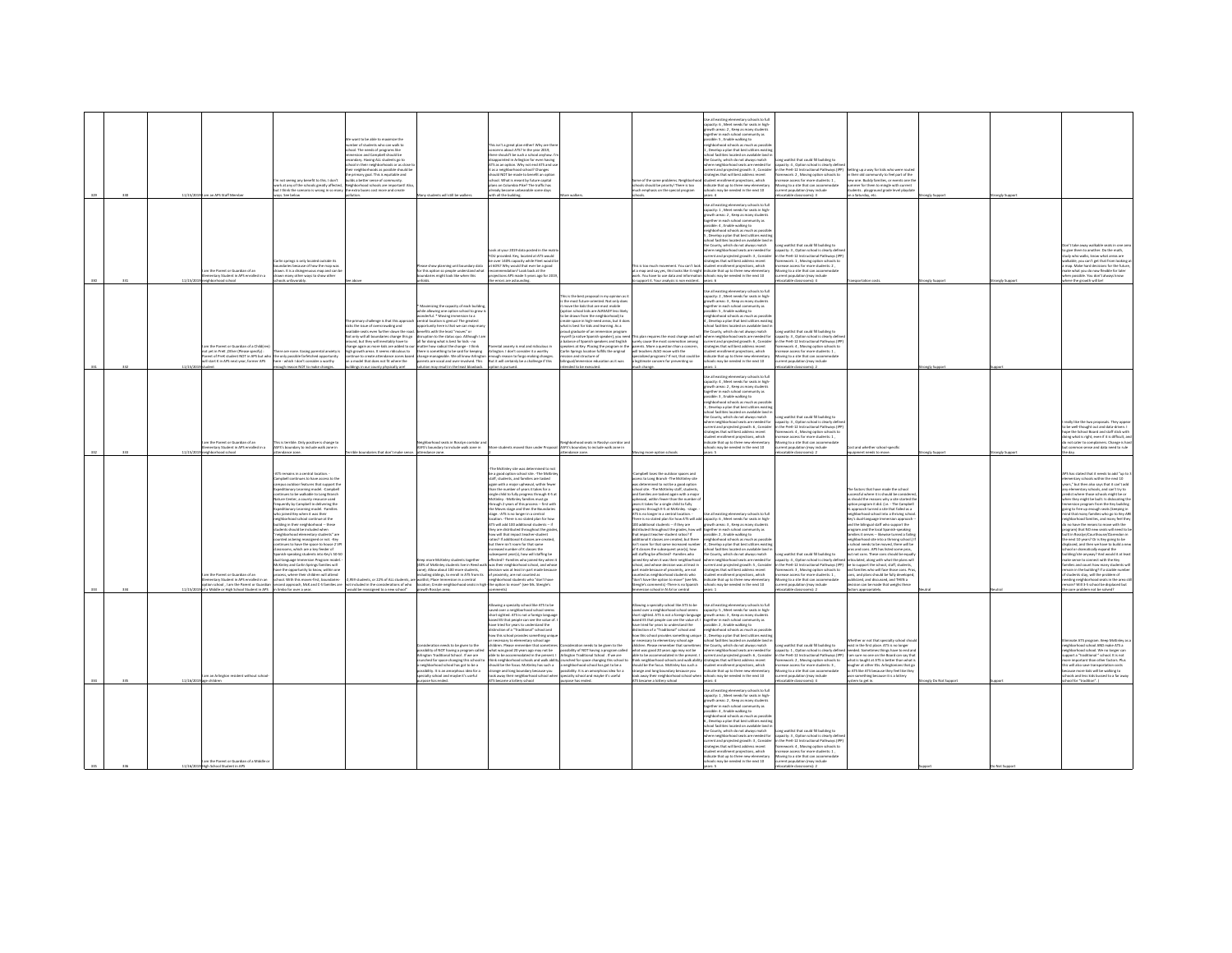|  | 11/15/2019 | am an APS Staff Membe                                                                                                                                            | frob I aids then the street yes anisez ton n<br>ork at any of the schools greatly affected,<br>it I think the scenario is wrong in so many<br>ins. See below                                                                                                                                                                                                                                                                                                                                                                                                                                                                                                                                                                                                                                                                                                                                                                                 | re want to be able to maximize the<br>umber of students who can walk to<br>chool. The needs of programs like<br>remersion and Campbell should be<br>condary. Havine ALL students eo to<br>hool in their neighborhoods or as close<br>eir neighborhoods as possible should b<br>e primary goal. This is equitable and<br>alds a better sense of community.<br>.<br>Neighborhood schools are important! A<br>the extra buses cost more and create<br>rollution. | v students will still be walkers                                                                                                                                                                                                                                                                                                                                                                                                                                                                                                                       | s isn't a ereat plan either! Why are th-<br>bout ATS? In the year 2019.<br>re should't be such a school anyhow.<br>appointed in Arlington for even having<br>TS as an option. Why not end ATS and u<br>as a neighborhood school? Changes<br>ould NOT be made to benefit an ootio<br>hool. What is meant by future capital<br>nsse. verus in memit by tuture capital<br>lans on Columbia Pike? The traffic has<br>ready become unbearable some days<br>with all the building.                                                                                                                                                                                                                                                                                                                                                                                                                                                                                                                                                       |                                                                                                                                                                                                                                                                                                                                                                                                                                                                                                                                                                                                               | me of the same problems. Neighbo<br>hools should be priority! There is too<br>uch emphasis on the special program                                                                                                                                                                                                                                                                                                                                                                                                                                                                                                                                                                                                                                                                                                                                                                                                                                                                    | .<br>Use all existing elementary schools to full<br>capacity: 6 , Meet needs for seats in high-<br>.<br>rowth areas: 2 , Keep as many students<br>agether in each school community as<br>ssible: 5, Enable walking to<br>ishborhood schools as much as possi<br>Develop a plan that best utilize<br>hool facilities located on available land i<br>he County, which do not always match<br>rhood seats are needed for<br>rent and projected growth: 3, Consider<br>atesies that will best address recent<br>dent enrollment projections, which<br>dicate that up to three new elementa<br>hools may be needed in the next 10<br>20.4                                                                                                | ong waitlist that could fill building to<br>pacity: 4 . Option school is clearly defin<br>n the PreK-12 Instructional Pathways (IPP<br>ramework: 2 . Moving option schools to<br>rease access for more students: 1.<br>ving to a site that can accome<br>rent population (may include<br>catable classrooms): 3                              | ing up a way for kids who were ros<br>their old community to feel part of the<br>tew one. Buddy families, or events one t<br>ner for them to mingle with curre<br>lents playground grade level playda<br>on a Saturday, etc.                                                                                                                                                                                                                                                                                                                                                                                                                                                                                                                                                                                                                                  | angly Support       | rongly Support |                                                                                                                                                                                                                                                                                                                                                                                                                                                                                                                                                                                                                                                                                                                                                                                                                                                                                                                                                                                                    |
|--|------------|------------------------------------------------------------------------------------------------------------------------------------------------------------------|----------------------------------------------------------------------------------------------------------------------------------------------------------------------------------------------------------------------------------------------------------------------------------------------------------------------------------------------------------------------------------------------------------------------------------------------------------------------------------------------------------------------------------------------------------------------------------------------------------------------------------------------------------------------------------------------------------------------------------------------------------------------------------------------------------------------------------------------------------------------------------------------------------------------------------------------|---------------------------------------------------------------------------------------------------------------------------------------------------------------------------------------------------------------------------------------------------------------------------------------------------------------------------------------------------------------------------------------------------------------------------------------------------------------|--------------------------------------------------------------------------------------------------------------------------------------------------------------------------------------------------------------------------------------------------------------------------------------------------------------------------------------------------------------------------------------------------------------------------------------------------------------------------------------------------------------------------------------------------------|------------------------------------------------------------------------------------------------------------------------------------------------------------------------------------------------------------------------------------------------------------------------------------------------------------------------------------------------------------------------------------------------------------------------------------------------------------------------------------------------------------------------------------------------------------------------------------------------------------------------------------------------------------------------------------------------------------------------------------------------------------------------------------------------------------------------------------------------------------------------------------------------------------------------------------------------------------------------------------------------------------------------------------|---------------------------------------------------------------------------------------------------------------------------------------------------------------------------------------------------------------------------------------------------------------------------------------------------------------------------------------------------------------------------------------------------------------------------------------------------------------------------------------------------------------------------------------------------------------------------------------------------------------|--------------------------------------------------------------------------------------------------------------------------------------------------------------------------------------------------------------------------------------------------------------------------------------------------------------------------------------------------------------------------------------------------------------------------------------------------------------------------------------------------------------------------------------------------------------------------------------------------------------------------------------------------------------------------------------------------------------------------------------------------------------------------------------------------------------------------------------------------------------------------------------------------------------------------------------------------------------------------------------|-------------------------------------------------------------------------------------------------------------------------------------------------------------------------------------------------------------------------------------------------------------------------------------------------------------------------------------------------------------------------------------------------------------------------------------------------------------------------------------------------------------------------------------------------------------------------------------------------------------------------------------------------------------------------------------------------------------------------------------|----------------------------------------------------------------------------------------------------------------------------------------------------------------------------------------------------------------------------------------------------------------------------------------------------------------------------------------------|---------------------------------------------------------------------------------------------------------------------------------------------------------------------------------------------------------------------------------------------------------------------------------------------------------------------------------------------------------------------------------------------------------------------------------------------------------------------------------------------------------------------------------------------------------------------------------------------------------------------------------------------------------------------------------------------------------------------------------------------------------------------------------------------------------------------------------------------------------------|---------------------|----------------|----------------------------------------------------------------------------------------------------------------------------------------------------------------------------------------------------------------------------------------------------------------------------------------------------------------------------------------------------------------------------------------------------------------------------------------------------------------------------------------------------------------------------------------------------------------------------------------------------------------------------------------------------------------------------------------------------------------------------------------------------------------------------------------------------------------------------------------------------------------------------------------------------------------------------------------------------------------------------------------------------|
|  | 11/15/2019 | m the Parent or Guardian of an<br>imentary Student in APS enrolled in a<br>loorloa boortoddaien                                                                  | elin springs is only located outside its<br>ndaries because of how the map was<br>ww. It is a disingenuous map and can<br>wwn many other ways to show other<br>cols unfavorably.                                                                                                                                                                                                                                                                                                                                                                                                                                                                                                                                                                                                                                                                                                                                                             |                                                                                                                                                                                                                                                                                                                                                                                                                                                               | se show planning unit boundary data<br>this option so people understand what<br>undaries might look like when this                                                                                                                                                                                                                                                                                                                                                                                                                                     | de at unur 2010 data nostad in the m<br>CU provided. Key, located at ATS would<br>1 over 140% capacity while fleet would b<br>at 60%? Why would that ever be a spod<br>nmendation? Look back at the<br>ctions APS made 5 years ago for 201<br>errors are astounding.                                                                                                                                                                                                                                                                                                                                                                                                                                                                                                                                                                                                                                                                                                                                                               |                                                                                                                                                                                                                                                                                                                                                                                                                                                                                                                                                                                                               | is is too much movement. You can't look<br>.<br>La map and say,yes, this looks like it might in<br>Jork. You have to use data and information is<br>support it. Your analysis is non existent.                                                                                                                                                                                                                                                                                                                                                                                                                                                                                                                                                                                                                                                                                                                                                                                       | se all existing elementary schools to full<br>apacity: 1, Meet needs for seats in high-<br>rowth areas: 2, Keep as many stude<br>ogether in each school commu<br>ossible: 4 , Enable walking to<br>eighborhood schools as much as possibl<br>, Develop a plan that best utilizes existir<br>hool facilities located on available land i<br>he County, which do not always match<br>bond seats are needed for<br>rrent and projected growth: 3, Consider<br>ategies that will best address recent<br>dent enrollment projections, which<br>sticate that up to three new elementar<br>chools may be needed in the next 10<br>www.6                                                                                                    | ng waitlist that could fill building to<br>pacity: 3 . Option school is clearly defi<br>n the PreK-12 Instructional Pathways (IP)<br>ramework: 1, Moving option schools to<br>crease access for more students: 2.<br>ving to a site that can accom<br>nt population (may include<br>catable classrooms): 4                                   |                                                                                                                                                                                                                                                                                                                                                                                                                                                                                                                                                                                                                                                                                                                                                                                                                                                               | onely Support       | onely Support  | on't take away walkable seats in one an<br>give them to another. Do the math,<br>udy who walks, know what areas are<br>walkable, you can't get that from looking<br>map. Make hard decisions for the future<br>ake what you do now flexible for later<br>hen possible. You don't always know<br>where the growth will be!                                                                                                                                                                                                                                                                                                                                                                                                                                                                                                                                                                                                                                                                          |
|  |            | m the Parent or Guardian of a Child(n<br>If you in their Other (Neare snerify)<br>ent of PreK student NOT in APS but who<br>start K in APS next year; former APS | ere are none. Easing parental arctisty i<br>the only possible farfetched opportunity<br>here - which I don't consider a worthy<br>ough reason NOT to make changer                                                                                                                                                                                                                                                                                                                                                                                                                                                                                                                                                                                                                                                                                                                                                                            | mary challenge is that this appro<br>kicks the issue of overcrowding and<br>available seats even further down the road<br>lot only will all boundaries change this go<br>round, but they will inevitably have to<br>hange again as more kids are added to or<br>ah armath areas. It seems ridir drug to<br>continue to create attendance zones based<br>on a model that does not fit where the<br>aldings in our county physically are!                       | oimizing the capacity of each buildin<br>ile allowing one option school to grow<br>inderful. * Moving immersion to a<br>tral location is genius! The greatest<br>ortunity here is that we can reap ma<br>nefits with the least "moves" or<br>uption to the status oug. Although I a<br>I for doing what is best for kids - no<br>ther how radical the change - I think<br>re is something to be said for keeping<br>change manageable. We all know Arlington<br>parents are vocal and over-involved. This<br>slution may result in the least blowback. | ntal arosety is real and ridiculous in<br>lington. I don't consider it a worthy<br>enough reason to forgo making changes<br>But it will certainly be a challenge if this<br>option is pursued.                                                                                                                                                                                                                                                                                                                                                                                                                                                                                                                                                                                                                                                                                                                                                                                                                                     | his is the best proposal in my opinion as<br>the most future-oriented. Not only doe<br>move the kids that are most mobile<br>tion school kids are ALREADY less likely<br>o be drawn from the neighborhood) to<br>create space in high-need areas, but it doe<br>what is best for kids and learning. As a<br>roud graduate of an immersion progra<br>self (a native Spanish speaker), you<br>ance of Spanish speakers and English<br>in Springs location fulfills the original<br>in springs www.west.com and structure<br>sion and structure of<br>sgual/immersion education as it was<br>ded to be executed. | slan requires the most change and will<br>surely cause the most commotion among<br>kers at Key. Placing the program in the parents. More a question than a concern<br>Il teachers AISO move with the<br>ialized programs? If not, that could be<br>egitimate concern for preventing so<br>.<br>h change.                                                                                                                                                                                                                                                                                                                                                                                                                                                                                                                                                                                                                                                                             | ie all existing elementary schools to full<br>apacity: 2 . Meet needs for seats in high-<br>growth areas: 3 , Keep as many students<br>together in each school community as<br>ossible: 5, Enable walking to<br>eighborhood schools as much as possib<br>Develop a plan that best utilizes existin<br>hool facilities located on available land is<br>he County, which do not always match<br>ere neighborhood seats are needed for<br>rrent and projected growth: 6, Consider<br>rategies that will best address recent<br>udent enrollment projections, which<br>dicate that up to three new elementary<br>ools may be needed in the next 10                                                                                      | ong waitlist that could fill building to<br>.<br>Lapacity: 3 , Option school is clearly definition<br>in the PreK-12 Instructional Pathways (IPI<br>imework: 4, Moving option schools to<br>C-2014 Service for more students 1<br>wing to a site that can accom<br>sent population (may include<br>atable classrooms): 2                     |                                                                                                                                                                                                                                                                                                                                                                                                                                                                                                                                                                                                                                                                                                                                                                                                                                                               |                     |                |                                                                                                                                                                                                                                                                                                                                                                                                                                                                                                                                                                                                                                                                                                                                                                                                                                                                                                                                                                                                    |
|  |            | n the Parent or Guardian of an<br>entary Student in APS enrolled in a<br>ighborhood school                                                                       | is is terrible. Only positive is change to<br>If S's boundary to include walk zone in<br>ndance zone.                                                                                                                                                                                                                                                                                                                                                                                                                                                                                                                                                                                                                                                                                                                                                                                                                                        | rible boundaries that don't make sense.                                                                                                                                                                                                                                                                                                                                                                                                                       | borhood seats in Rosslyn corridor a<br>SFS's boundary to include walk zone in<br>indance zone                                                                                                                                                                                                                                                                                                                                                                                                                                                          |                                                                                                                                                                                                                                                                                                                                                                                                                                                                                                                                                                                                                                                                                                                                                                                                                                                                                                                                                                                                                                    | borhood seats in Rossiyn corride<br>ore students moved than under Proposal ASFS's boundary to include walk zone in<br>ndance zone                                                                                                                                                                                                                                                                                                                                                                                                                                                                             | ing more option sche                                                                                                                                                                                                                                                                                                                                                                                                                                                                                                                                                                                                                                                                                                                                                                                                                                                                                                                                                                 | se all existing elementary schools to full<br>apacity: 4 . Meet needs for seats in high<br>rowth areas: 2 . Keep as many student<br>ogether in each school com<br>pssible: 3 . Enable walking to<br>eighborhood schools as much as possib<br>Develop a plan that best utilizes exist<br>hool facilities located on available land is<br>he County, which do not always match<br>re neighborhood seats are needed for<br>urrent and projected growth: 6, Consider<br>trategies that will best address recent<br>sudent enrollment projections, which<br>idicate that up to three new elementa<br>ols may be needed in the next 10                                                                                                    | one waitlist that could fill buildine to<br>capacity: 3, Option school is clearly define<br>in the PreK-12 Instructional Pathways (IPP<br>ramework: 4, Moving option schools to<br>rease access for more students: 1,<br>wing to a site that can accommodat<br>ent population (may include<br>atable classrooms): 2                          | Cost and whether school-specific<br>pment needs to mow                                                                                                                                                                                                                                                                                                                                                                                                                                                                                                                                                                                                                                                                                                                                                                                                        | angly Support       | ongly Support  | ally like the two proposals. They appe<br>to be well-thought out and data-driven. I<br>hope the School Board and staff stick with<br>.<br>doing what is right, even if it is difficult, an<br>do not cater to complainers. Change is har<br>ommon sense and data need to rule                                                                                                                                                                                                                                                                                                                                                                                                                                                                                                                                                                                                                                                                                                                      |
|  |            | am the Parent or Guardian of an<br>entary Student in APS enrolled in an<br>on school , I am the Parent or Guardian                                               | VTS remains in a central location.<br>mpbell continues to have access to the<br>mpus outdoor features that support th<br>editionary Learning model. -Campbel<br>tinues to be walkable to Long Branch<br>re Center, a county resource used<br>quently by Campbell in delivering the<br>litionary Learning model. -Family<br>o joined Key when it was their<br>eighborhood school continue at the<br>sliding in their neighborhood -- these<br>ands should be included when<br>eighborhood elementary students" are<br>anted as being reassigned or not. -Key<br>tinues to have the space to house 2 VI<br>oms, which are a key feeder of<br>ish-speaking students into Key's 50-50<br>al language Immersion Program model<br>Kinley and Carlin Sorines families will<br>a the opportunity to know, within one<br>cess, where their children will attend<br>tool. With this moves-first, boundaries-<br>Ind approach, McK and C-S families are | 2.959 students, or 22% of ALL students, an<br>not included in the considerations of who                                                                                                                                                                                                                                                                                                                                                                       | p more McKinkry students together<br><b>40% of McKinley students live in Reed wa</b><br>e); Allow about 100 more students,<br>cluding siblings, to enroll in ATS from its<br>itlist: Place Immersion in a central<br>location; Create neighborhood seats in hig                                                                                                                                                                                                                                                                                        | e McKinley site was determined to no<br>e a eood option school site. -The McKinl<br>aff, students, and families are tasked<br>ain with a major upheaval, within few<br>han the number of years it takes for a<br>ingle child to fully progress through K-5 at<br>AcKinley. -McKinley families must go<br>rough 2 years of this process -- first wit<br>e Moves stage and then the Boundarie<br>age. - ATS is no longer in a central<br>iocation. -There is no stated plan for how<br>VTS will add 100 additional students -- if<br>ey are distributed throughout the erad<br>w will that impact teacher-student<br>tios? If additional K classes are created<br>it there isn't room for that same<br>sed mimber of K classes the<br>puent year(s), how will staffing be<br>ffected? - Families who joined Key when<br>vas their neighborhood school, and who:<br>lecision was at least in part made becaus<br>f proximity, are not counted as<br>went freeb" orlw identicate boortrodiffs<br>he option to move" (see Ms. Stengle's |                                                                                                                                                                                                                                                                                                                                                                                                                                                                                                                                                                                                               | Campbell loses the outdoor spaces and<br>ccess to Long Branch -The McKinley site<br>s determined to not be a good option<br>hool site. - The McKinley staff, students<br>of families are tasked again with a majo<br>eaval, within fewer than the num<br>ars it takes for a single child to fully<br>peress through K-S at McKinley, -stage<br>S is no longer in a central location.<br>100 additional students -- if they are<br>tributed throughout the grades, how will together in each school c<br>hat impact teacher-student ratios? If<br>tional K classes are created, but there<br>n't room for that same increased numbe<br>K classes the subsequent year(s), how<br>II staffing be affected? -Families who<br>ined Key when it was their neighborhood<br>hoof and whose derision was at least in<br>t made because of proximity, are not<br>offer attraduct boorhod fisien as bettur<br>fon't have the option to move" (see Ms.<br>ingle's comments) -There is no Spanish | e all existing ele<br>réarv schools to ful<br>TS is no longer in a central location.<br>here is no stated plan for how ATS will add capacity: 6 , Meet needs for seats in high-<br>OO additional students -- if they are growth areas: 3 , Keep as many students<br>ossible: 2, Enable walking to<br>ighborhood schools as much as por<br>Develop a plan that best utilizes existin<br>chool facilities located on available land is<br>he County, which do not always match<br>here neighborhood seats are needed for<br>urrent and projected growth: S , Consider<br>trategies that will best address recent<br>udent enrollment projections, which<br>dicate that up to three new elementa<br>hools may be needed in the next 10 | ne waitlist that could fill buildine to<br>pacity: 4 . Option school is clearly define<br>n the DreK-12 Instructional Dathways (IDD)<br>ework: 3, Moving option schools to<br>rease access for more students: 1.<br>vine to a site that can accomm<br>ent population (may include                                                            | he factors that have made the school<br>staful where it is should be consider<br>should the reasons why a site started !<br>option program it did. (i.e. - The Campbe<br>approach turned a site that failed as a<br>borhood school into a thriving scho<br>.<br>Key's dual-language Immersion approach<br>and the bilingual staff who support the<br>peram and the local Spanish-speaking<br>les it serves -- likewise turned a faili<br>(ghborhood site into a thriving school.)<br>hool needs to be moved, there will be<br>is and cons. APS has listed some pro-<br>not cons. These cons should be equa<br>rticulated, along with what the plans will<br>steature Batz leeds adt tweeze of a<br>lamities who will face those cons. Pr<br>cons, and plans should be fully developed<br>cized, and discussed, and THEN a<br>on can be made that weighs these |                     |                | APS has stated that it needs to add "up to<br>intary schools within the next 10<br>ars," but then also says that it can't add<br>any elementary schools, and can't try to<br>redict where those schools might be or<br>hen they might be built. Is dislocating th<br>ersion program from the Key building<br>toing to free up enough seats (keeping in<br>nd that many families who go to Key A<br>neighborhood families, and many feel the<br>do no have the means to move with the<br>ogram) that NO new seats will need to<br>built in Rosslyn/Courthouse/Clarendon in<br>the next 10 years? Or is Key going to be<br>placed, and then we have to build a ne<br>ool or dramatically expand the<br>Iding/site anyway? And would it at leas<br>nake sense to connect with the Key<br>milias and count how many students w<br>sain in the building? If a sizable numbe<br>f students stay, will the problem of<br>eding neighborhood seats in the area st<br>ain? Will 3-5 school be displaced but |
|  | 11/16/20   | of a Middle or High School Student in APS<br>m an Arlington resident without school<br><b><i>Children</i></b>                                                    | in limbo for over a year.                                                                                                                                                                                                                                                                                                                                                                                                                                                                                                                                                                                                                                                                                                                                                                                                                                                                                                                    | "would be reassigned to a new school"                                                                                                                                                                                                                                                                                                                                                                                                                         | growth Rosslyn area;<br>deration needs to be given to the<br>ssibility of NOT having a program call<br>lington Traditional School . If we are<br>unched for space changing this school<br>eighborhood school has got to be a<br>.<br>sibility. It is an amorphous idea for a<br>cialty school and maybe it's useful<br>pose has ended.                                                                                                                                                                                                                 | wing a specialty school like ATS to be<br>wid over a neighborhood school seem<br>ort sighted. ATS is not a foreign langu<br>ised ES that people can see the value o<br>ave tried for years to understand the<br>nction of a "Traditional" school and<br>w this school provides s<br>ecessary to elementary school age<br>dren. Please remember that someti-<br>hat was good 20 years ago may not be<br>le to be accommodated in the present. I<br>ink neighborhood schools and walk ability crunched for space changing this school<br>dd be the focus. McKinley has such a<br>ange and long boundary because you<br>ik away their neighborhood school when<br>became a lottery school                                                                                                                                                                                                                                                                                                                                             | feration needs to be eiven to the<br>possibility of NOT having a program calls<br>Arlington Traditional School . If we are<br>neighborhood school has got to be a<br>bility. It is an amorphous idea for<br>ecialty school and maybe it's useful<br>roose has ended.                                                                                                                                                                                                                                                                                                                                          | ersion school in N Arl or central<br>owing a specialty school like ATS to be<br>saved over a neighborhood school seems<br>nort sighted. ATS is not a foreign languag<br>ased ES that people can see the value of.<br>ave tried for years to understand the<br>her leeds "Traditional" school and<br>w this school provides so<br>cessary to elementary school age<br>dren. Please remember that sometimes<br>it was good 20 years ago may not be<br>ito be accommodated in the present. I<br>nk neighborhood schools and walk ability<br>uld be the focus. McKinley has such a<br>nge and long boundary because you<br>away their neighborhood school whe                                                                                                                                                                                                                                                                                                                            | ears: 1<br>Use all existing elementary schools to full<br>capacity: 5 , Meet needs for seats in high-<br>rowth areas: 3 , Keep as many stude<br>ogether in each school community a<br>ssible: 2, Enable walking to<br>ighborhood schools as much as nossib<br>Develop a plan that best utilize<br>hool facilities located on available land is<br>e County, which do not always match<br>there neighborhood seats are needed for<br>urrent and projected growth: 6, Consider<br>trategies that will best address recent<br>tudent enrollment projections, which<br>dicate that up to three new elementa<br>chools may be needed in the next 10<br>ears: 4                                                                           | catable classrooms): 2<br>one waitlist that could fill building to<br>capacity: 1, Option school is clearly defined<br>in the PreK-12 Instructional Pathways (IPP)<br>framework: 2 . Moving option schools to<br>rease access for more students: 3<br>ving to a site that can accor<br>ent population (may include<br>catable classrooms): 4 | ors appropriately<br>ther or not that specialty school she<br>ixist in the first place. ATS is no longer<br>meeded. Sometimes things have to end an<br>familian sure no one on the Board can say that<br>what is taught at ATS is better than what i<br>sugher at other ESs. Arlingtonians that<br>ATS like ATS because they feel like the<br>something because it is a lottery<br>am to get in.                                                                                                                                                                                                                                                                                                                                                                                                                                                              |                     |                | Sbevios ed ton mothong enos<br>inate ATS program. Keep McKinley as<br>righborhood school AND make ATS a<br>sourced school. We no longer a<br>port a "traditional " school. It is not<br>ore important than other factors. Plus<br>his will also save transportation cost:<br>cause more kids will be walking to<br>nools and less kids bussed to a far away<br>1."noifiss1" tolloon                                                                                                                                                                                                                                                                                                                                                                                                                                                                                                                                                                                                                |
|  | 11/16/     | am the Parent or Guardian of a Middle or<br>h School Student in APS                                                                                              |                                                                                                                                                                                                                                                                                                                                                                                                                                                                                                                                                                                                                                                                                                                                                                                                                                                                                                                                              |                                                                                                                                                                                                                                                                                                                                                                                                                                                               |                                                                                                                                                                                                                                                                                                                                                                                                                                                                                                                                                        |                                                                                                                                                                                                                                                                                                                                                                                                                                                                                                                                                                                                                                                                                                                                                                                                                                                                                                                                                                                                                                    |                                                                                                                                                                                                                                                                                                                                                                                                                                                                                                                                                                                                               | S became a lottery school                                                                                                                                                                                                                                                                                                                                                                                                                                                                                                                                                                                                                                                                                                                                                                                                                                                                                                                                                            | se all existing elementary schools to full<br>apacity: 1 . Meet needs for seats in high-<br>-<br>rowth areas: 2 , Keep as many students<br>ogether in each school community as<br>ossible: 4, Enable walking to<br>eighborhood schools as much as pos<br>, Develop a plan that best utilizes ex<br>hool facilities located on available land is<br>he County, which do not always match<br>hood seats are needed for<br>rrent and projected growth: 3, Consider<br>rategies that will best address recent<br>tudent enrollment projections, which<br>dicate that up to three new elementary<br>ools may be needed in the next 10                                                                                                    | or waitlist that could fill huilding to<br>cang waters that could in building co-<br>capacity: 3 , Option school is clearly definitional Pathways (IP)<br>ramework: 4, Moving option schools to<br>rease arress for more students: 1<br>wing to a site that can accom<br>sent population (may include                                        |                                                                                                                                                                                                                                                                                                                                                                                                                                                                                                                                                                                                                                                                                                                                                                                                                                                               | angly Do Not Suppor |                |                                                                                                                                                                                                                                                                                                                                                                                                                                                                                                                                                                                                                                                                                                                                                                                                                                                                                                                                                                                                    |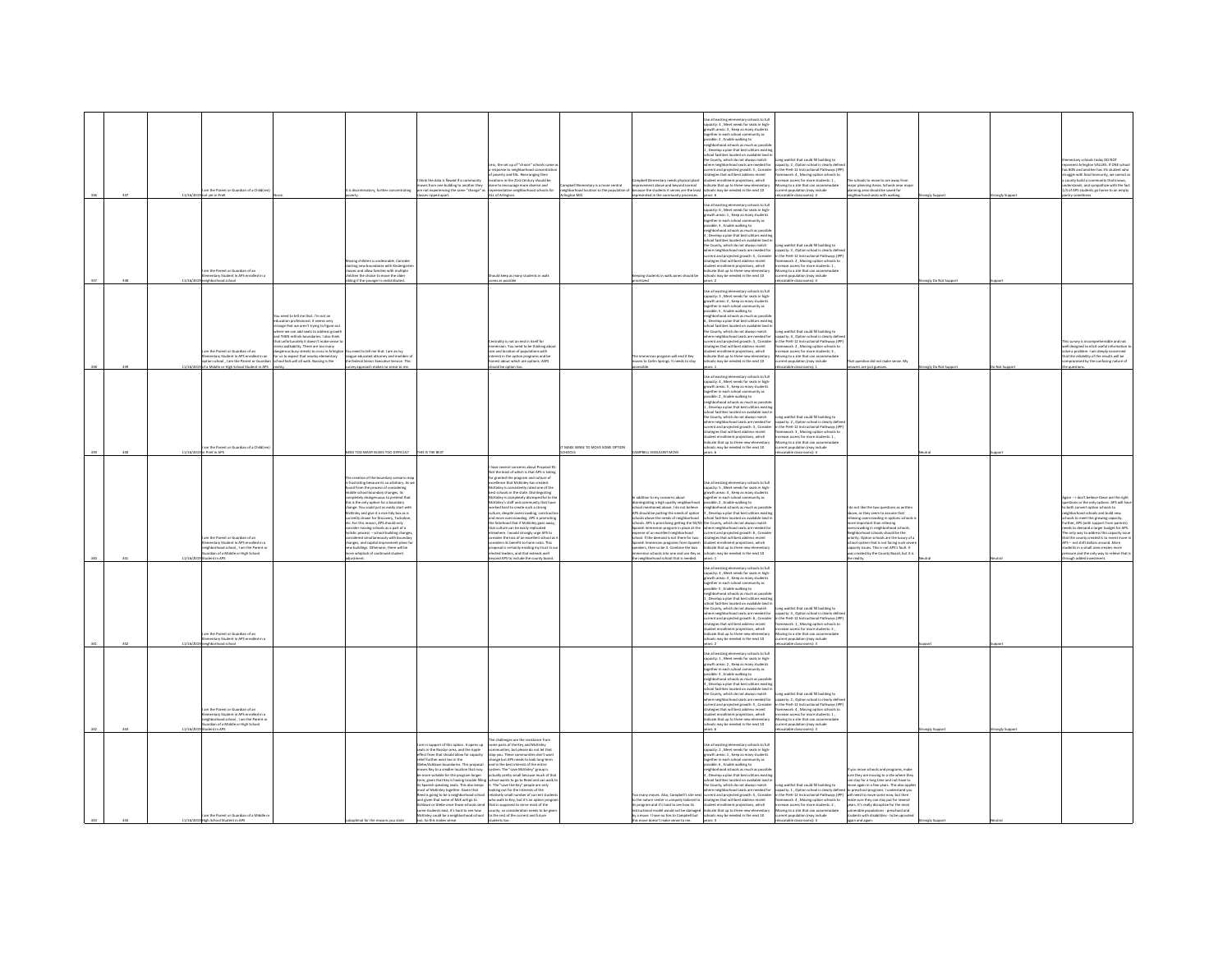| 337  | 11/16/    | n the Parent or Guardian of a Child(r<br>vet in PreK                                                                                                                   |                                                                                                                                                                                                                                                                                                                                                                                                                         | discriminatory, further concentrating                                                                                                                                                                                                                                                                                                                                                                                                                                                                                                                                                                                                                                                          | think the data is flawed if a community<br>rows from one building to another they<br>re not experiencing the same "change" a<br>ripped apart.                                                                                                                                                                                                                                                                                                                                                                                                                                                                                                                 | ess, the set up of "choice" schools came a<br>.<br>werty and ESL. Rearranging their<br>tions in the 21st Century should be<br>one to encourage more diverse and<br>presentative neighborhood schools for<br>LL of Arlington.                                                                                                                                                                                                                                                                                                                                                                                                                                                                                                                                                                                                                                                                                            | ampbell Elementary is a more central<br>eighborhood location to the population o<br>LibM notes | npbell Elementary needs physical plan<br>provement above and beyond normal<br>cause the students it serves are the lea<br>med in the com                                                                                                                                                                                                                                                                                                                                                                                                                                                      | se all existing elementary schools to full<br>city: 4 . Meet needs for seats in high<br>wth areas: 3, Keep as many stude<br>ether in each school community a<br>ible: 2, Enable walking to<br>righborhood schools as much as possi<br>. Develop a plan that best utilizes exis<br>ool facilities located on available land<br>the County, which do not always match<br>ere neighborhood seats are needed for<br>here neighborhood seals are needed for<br>erent and projected growth: S , Consider<br>vategies that will best address recent<br>udent enrollment projections, which<br>dicate that up to three new elementary<br>hools may be needed in the n<br>all existing elementary schools to full                           | ng waitlist that could fill building to<br>city: 2 . Option school is clearly defin<br>the PreK-12 Instructional Pathways (IP)<br>e PreK-12 Instructivese recovery:<br>sework: 4 , Moving option schools to<br>ease access for more students: 1 ,<br>iving to a site that can accomi<br>rent population (may include<br>$x = 1$                 | schools to move to are away from<br>major planning Areas. Schools near majo<br>planning area should be saved for<br>rood seats with walkin                                                                                                                                                                                                                                                                                                                 |                      | tely Support  | TOW OO valori aloofsa valme<br>present Arlineton VALUES. If ONE school<br>as 80% and another has 1% student who<br>is work and amount mark and a statement as<br>county build a community that knows,<br>idenstands, and sympathize with the fact<br>3 of APS students go home to an empty                                                                                                                                                                                                                                                       |
|------|-----------|------------------------------------------------------------------------------------------------------------------------------------------------------------------------|-------------------------------------------------------------------------------------------------------------------------------------------------------------------------------------------------------------------------------------------------------------------------------------------------------------------------------------------------------------------------------------------------------------------------|------------------------------------------------------------------------------------------------------------------------------------------------------------------------------------------------------------------------------------------------------------------------------------------------------------------------------------------------------------------------------------------------------------------------------------------------------------------------------------------------------------------------------------------------------------------------------------------------------------------------------------------------------------------------------------------------|---------------------------------------------------------------------------------------------------------------------------------------------------------------------------------------------------------------------------------------------------------------------------------------------------------------------------------------------------------------------------------------------------------------------------------------------------------------------------------------------------------------------------------------------------------------------------------------------------------------------------------------------------------------|-------------------------------------------------------------------------------------------------------------------------------------------------------------------------------------------------------------------------------------------------------------------------------------------------------------------------------------------------------------------------------------------------------------------------------------------------------------------------------------------------------------------------------------------------------------------------------------------------------------------------------------------------------------------------------------------------------------------------------------------------------------------------------------------------------------------------------------------------------------------------------------------------------------------------|------------------------------------------------------------------------------------------------|-----------------------------------------------------------------------------------------------------------------------------------------------------------------------------------------------------------------------------------------------------------------------------------------------------------------------------------------------------------------------------------------------------------------------------------------------------------------------------------------------------------------------------------------------------------------------------------------------|------------------------------------------------------------------------------------------------------------------------------------------------------------------------------------------------------------------------------------------------------------------------------------------------------------------------------------------------------------------------------------------------------------------------------------------------------------------------------------------------------------------------------------------------------------------------------------------------------------------------------------------------------------------------------------------------------------------------------------|-------------------------------------------------------------------------------------------------------------------------------------------------------------------------------------------------------------------------------------------------------------------------------------------------------------------------------------------------|------------------------------------------------------------------------------------------------------------------------------------------------------------------------------------------------------------------------------------------------------------------------------------------------------------------------------------------------------------------------------------------------------------------------------------------------------------|----------------------|---------------|--------------------------------------------------------------------------------------------------------------------------------------------------------------------------------------------------------------------------------------------------------------------------------------------------------------------------------------------------------------------------------------------------------------------------------------------------------------------------------------------------------------------------------------------------|
| 338  | 11/16/201 | m the Parent or Guardian of an<br>mentary Student in APS enrolled in a<br>loorhood school                                                                              |                                                                                                                                                                                                                                                                                                                                                                                                                         | ing children is undesirable. Conside<br>enting constructs a societies with Kindergart<br>sies and allow families with multiple<br>lidren the choice to move the older<br>ling if the younger is redistributed.                                                                                                                                                                                                                                                                                                                                                                                                                                                                                 |                                                                                                                                                                                                                                                                                                                                                                                                                                                                                                                                                                                                                                                               | hould keep as many students in walk<br>es as possible                                                                                                                                                                                                                                                                                                                                                                                                                                                                                                                                                                                                                                                                                                                                                                                                                                                                   |                                                                                                | reping students in walk zones should be<br>ized                                                                                                                                                                                                                                                                                                                                                                                                                                                                                                                                               | pacity: 6 . Meet needs for seats in high<br>why. o , were meas to reason!<br>wth areas: 1 , Keep as many stude<br>wher in each school community a<br>sible: 3 , Enable walking to<br>ighborhood schools as much as possibl<br>, Develop a plan that best utilizes existir<br>hool facilities located on available land i<br>the County, which do not always match<br>ere neighborhood seats are needed for<br>rent and projected growth: 5 , Consider<br>stegies that will best address recent<br>avegres one will be a sources receive<br>direct that up to three new elementary<br>hools may be needed in the next 10<br>are 2                                                                                                   | one waitlist that could fill buildine to<br>etity: 3 . Option school is clearly defin<br>the Dreft, 12 Instructional Dathways (ID)<br>ework: 2, Moving option schools t<br>students: 1<br>wing to a site that can accomm<br>stable classrooms): 4                                                                                               |                                                                                                                                                                                                                                                                                                                                                                                                                                                            | ingly Do Not Support |               |                                                                                                                                                                                                                                                                                                                                                                                                                                                                                                                                                  |
|      | 11/16/2   | m the Parent or Guardian of an<br>nentary Student in APS enrolled in an<br>ion school , I am the Parent or Guardian<br>a Middle or High School Student in APS reality. | eed to tell me that. I'm not an<br>lucation professional. It seems very<br>trange that we aren't trying to figure ou<br>here we can add seats to address grow<br>nd THEN rethink boundaries. I also think<br>at unfortunately it doesn't make sem<br>ress walkability. There are too many<br>rous busy streets to cross in Arlingto<br>r us to expect that nearby elementary<br>hool kids will all walk. Bussing is the | eed to tell me that. I am an by<br>League educated attorney and member<br>the federal Senior Executive Service. This<br>vey approach makes no sense to me.                                                                                                                                                                                                                                                                                                                                                                                                                                                                                                                                     |                                                                                                                                                                                                                                                                                                                                                                                                                                                                                                                                                                                                                                                               | traity is not an and in itself for<br>rsion You need to be thinking at<br>ize and location of populations w<br>erest in the option programs and be<br>sest about which are options. ASFS<br>uid be option too.                                                                                                                                                                                                                                                                                                                                                                                                                                                                                                                                                                                                                                                                                                          |                                                                                                | he immersion program will end if Key<br>10461 to Carlin Springs. It needs to stay<br>------bi-<br>sible.                                                                                                                                                                                                                                                                                                                                                                                                                                                                                      | Se all existing elementary schools to full<br>acity: 3, Meet needs for seats in high<br>apacity: 3 , Meet needs for seats in hyp-<br>powth areas: 2 , Keep as many students<br>ogether in each school community as<br>ossible: 5 , Enable walking to<br>eighborhood schools as much as possible<br>1, Develop a plan that best utiliz<br>school facilities located on available land is<br>the County, which do not always match<br>here neighborhood seats are needed for<br>rrent and projected growth: 4, Consider<br>ateries that will best address recent<br>derges true will best address recent<br>dent enrollment projections, which<br>icate that up to three new elementary<br>ools may be needed in the next 10<br>rs:1 | ing waitlist that could fill building to<br>etity: 4 . Option school is clearly defin<br>the Dreft, 12 Instructional Dathways (ID)<br>ework: 2 . Moving option schools t<br>students: 3<br>ving to a site that can accor<br>ation (may include<br>atable classrooms): 1                                                                         | That question did not make sense. My<br>wers are just guesses                                                                                                                                                                                                                                                                                                                                                                                              | ingly Do Not Support | o Not Support | designed to aligit readed informa-<br>I designed to entit Lowre<br>we a problem. I am deeply concerned<br>it the reliability of the results will be<br>mpromised by the confusing nature of<br>ouestions.                                                                                                                                                                                                                                                                                                                                        |
|      |           | n the Parent or Guardian of a Child(re<br>PreK in APS                                                                                                                  |                                                                                                                                                                                                                                                                                                                                                                                                                         | ED TOO MANY BUSES TOO DIFFICULT                                                                                                                                                                                                                                                                                                                                                                                                                                                                                                                                                                                                                                                                | THIS IS THE BEST                                                                                                                                                                                                                                                                                                                                                                                                                                                                                                                                                                                                                                              |                                                                                                                                                                                                                                                                                                                                                                                                                                                                                                                                                                                                                                                                                                                                                                                                                                                                                                                         | MAKE SENSE TO MOVE SOME OPTION                                                                 | <b>IPBELL SHOULDNT MOVE</b>                                                                                                                                                                                                                                                                                                                                                                                                                                                                                                                                                                   | se all existing elementary schools to full<br>acity: 4 , Meet needs for seats in high-<br>wth areas: 5 , Keep as many students<br>own and a chool community as<br>gether in each school community as<br>ssible: 2 , Enable walking to<br>ighborhood schools as much as possible<br>, Develop a plan that best utilizes existin<br>hool facilities located on available land i<br>the County, which do not always match<br>ere neighborhood seats are needed for<br>rent and projected growth: 3, Conside<br>tegies that will best address recent<br>of the mediate that projections, which<br>licate that up to three new elementary<br>costs may be needed in the next 10<br>rs: 6.<br>ars6                                       | ong waitlist that could fill building to<br>etity: 2. Option school is clearly defin<br>the Dref. 12 Instructional Dather<br>ne Pres-12 Instructional Patriways (iii)<br>rease access for more students: 1<br>ving to a site that can accommodate<br>wing to a site that can accommodate<br>nt population (may include<br>atable classrooms): 4 |                                                                                                                                                                                                                                                                                                                                                                                                                                                            |                      |               |                                                                                                                                                                                                                                                                                                                                                                                                                                                                                                                                                  |
| tas. | 11/16/2   | m the Parent or Guardian of an<br>nentary Student in APS enrolled in a<br>irhborhood school . I am the Parent or<br>international Middle or High School                |                                                                                                                                                                                                                                                                                                                                                                                                                         | creation of the boundary scenario map<br>ustrating because its so arbitrary. As we<br>d from the process of considering<br>niddle school boundary changes, its<br>completely disingenuous to pretend that<br>this is the only option for a boundary<br>change. You could just as easily start with<br>McKinley and give it a nice tidy box as is<br>numeraly drawn for Discovery, Tuckahoe,<br>tre- For this reason, APS should only<br>consider moving schools as a part of a<br>colistic process -- school building changes,<br>midered simultaneously with boundar<br>changes, and capital imprvement plans fo<br>w buildings. Otherwise, there will be<br>re whislash of continued student |                                                                                                                                                                                                                                                                                                                                                                                                                                                                                                                                                                                                                                                               | e several concerns about Proc<br><b>Angel M</b><br>Not the least of which is that APS is takin<br>or granted the program and culture of<br>receilence that McKinley has created.<br>AcKinley is consistently rated one of the<br>McKinley is consistently rated one of the<br>best schools in the state. Disintegrating<br>McKinley is completely disrespectful to the<br>McKinley's staff and community that have<br>vorked hard to create such a strong<br>siture, despite overcrowding, constru<br>d more overcrowding. APS is pror<br>na more overcrowang, w 5 n prom<br>he falsehood that if McKinley goes a<br>hat culture can be easily replicated<br>where. I would strongly urge APS to<br>insider the loss of an excellent school as i<br>iders its benefit-to-harm ratio. This<br>posal is certainly eroding my trust in ou<br>Base phenomena send that and note that<br>ond APS to include the county board |                                                                                                | addition to my concerns about<br>integrating a high quality neighborhood<br>hool mentioned above. I do not believe<br>APS should be outting the needs of option<br>tols above the needs of neighborhood<br>loots above the newos or neighborhood<br>looks. APS is prioritizing getting the SQ/<br>anish immersion program in place at th<br>boorhodrigion troileans na to sens<br>chool. If the demand is not there for two<br>anish Immersion programs from Spanisl<br>peakers, then so be it. Combine the two<br>sion schools into one and use Key a<br>neighborhood school that is needed. | <b>Se all existing elementary schools to full</b><br>apacity: <b>5</b> , Meet needs for seats in high-<br>growth areas: 4, Keep as many students<br>ogether in each school community as<br>ssible: 2, Enable walking to<br>ishborhood schools as much as possib<br>. Develop a plan that best utilizes existin<br>nol facilities located on available land<br>oor raciities located on available rand<br>County, which do not always match<br>are neighborhood seats are needed fi<br>rrent and projected growth: 6, Conside<br>trategies that will best address recent<br>dent enrollment projections, which<br>dicate that up to three new elementar<br>ols may be needed in the next 10                                         |                                                                                                                                                                                                                                                                                                                                                 | do not like the two questions as written<br>bowl, as they seem to assume that<br>asserve as any awarrang in options school<br>more important than relieving<br>overcrowding in neighborhood schools<br>Neighborhood schools should be the<br>priority. Option schools are the luxury of a<br>school system that is not facing such sev<br>capacity issues. This is not APS's fault. It<br>reated by the County Board, but it                               |                      |               | ain -- I don't believe these are the right<br>tions or the only options. APS will ha<br>both convert option schools to<br>wen bliud bns aloofs boorhod te<br>ols to meet the growing capacity<br>soos commer one growing capacity:<br>ther, APS (with support from parents)<br>eds to demand a larger budget for APS<br>only way to address this capacity issu<br>t the county created is to invest more<br>US - not shift dollars around. More<br>fents in a small area creates more<br>sure and the only way to relieve that<br>ugh added inve |
| san. | 11/16/20  | m the Parent or Guardian of an<br>nentary Student in APS enrolled in a<br><b>Innehment</b> school                                                                      |                                                                                                                                                                                                                                                                                                                                                                                                                         |                                                                                                                                                                                                                                                                                                                                                                                                                                                                                                                                                                                                                                                                                                |                                                                                                                                                                                                                                                                                                                                                                                                                                                                                                                                                                                                                                                               |                                                                                                                                                                                                                                                                                                                                                                                                                                                                                                                                                                                                                                                                                                                                                                                                                                                                                                                         |                                                                                                |                                                                                                                                                                                                                                                                                                                                                                                                                                                                                                                                                                                               | ie all existing elementary schools to full<br>pacity: 4 , Meet needs for seats in high-<br>growth areas: 3 , Keep as many students<br>together in each school community as<br>ssible: 5, Enable walking to<br>ishborhood schools as much as possib<br>Develop a plan that best utilizes exis<br>ol faritei<br>s located on available land<br>corructions tocated on available tand<br>County, which do not always match<br>are neighborhood seats are needed fo<br>rent and projected growth: 6 , Consider<br>itegies that will best address recent<br>sent enrolment projections, which<br><b>Scate that up to three new elementary</b><br>of the net ni below ad year ad                                                         | ong waitlist that could fill building to<br>spacity: 4 , Option school is clearly defin<br>the PreK-12 Instructional Pathways (IP)<br>amework: 1 , Moving option schools to<br>rease access for more students: 2,<br>wing to a site that can accommodate<br>tion (may include<br>$F$ -laws                                                      |                                                                                                                                                                                                                                                                                                                                                                                                                                                            |                      |               |                                                                                                                                                                                                                                                                                                                                                                                                                                                                                                                                                  |
|      |           | n the Parent or Guardian of an<br>nentary Student in APS enrolled in a<br>ehborhood school . I am the Parent or<br>ardian of a Middle or High School<br>ent in APS     |                                                                                                                                                                                                                                                                                                                                                                                                                         |                                                                                                                                                                                                                                                                                                                                                                                                                                                                                                                                                                                                                                                                                                |                                                                                                                                                                                                                                                                                                                                                                                                                                                                                                                                                                                                                                                               |                                                                                                                                                                                                                                                                                                                                                                                                                                                                                                                                                                                                                                                                                                                                                                                                                                                                                                                         |                                                                                                |                                                                                                                                                                                                                                                                                                                                                                                                                                                                                                                                                                                               | ise all existing elementary schools to full<br>apacity: 1 , Meet needs for seats in high-<br>owth areas: 2, Keep as many students<br>gether in each school community as<br>ssible: 3 . Enable walking to<br>ehborhood schools as much as possib<br>Develop a plan that best utilize<br>ous Leyes and Maritims in the Maritims (School facilities located on available land)<br>County, which do not always match ا<br>cod seats are needed for<br>e neighbo<br>rent and projected growth: S , Consider<br>itegies that will best address recent<br>ent enrollment projections, which<br>icate that up to three new elementary<br>ols may be needed in the next 10<br>er 6.                                                         | waitlist that could fill building to<br>city: 2, Option school is clearly defi<br>the PreK-12 Instructional Pathways (IP)<br>amework: 4 , Moving option schools to<br>ease access for more students: 1,<br>wing to a site that can accommodate<br>ation (may include<br>stable classrooms): 3                                                   |                                                                                                                                                                                                                                                                                                                                                                                                                                                            |                      |               |                                                                                                                                                                                                                                                                                                                                                                                                                                                                                                                                                  |
|      |           | n the Parent or Guardian of a Middle o<br>11/16/2019 High School Student in APS                                                                                        |                                                                                                                                                                                                                                                                                                                                                                                                                         |                                                                                                                                                                                                                                                                                                                                                                                                                                                                                                                                                                                                                                                                                                | art of this option. It opens up<br>in support or trits option. it opens up<br>in the Rosslyn area, and the ripple<br>Hect from that should allow for capacity<br>elief further west too in the<br>be/Ashlawn boundaries. This proposal<br>ves Key to a smaller location that may<br>more suitable for the program longer<br>m, given that Key is having trouble filling<br>Spanish speaking seats. This also keeps<br>st of McKinley together. Given that<br>d is going to be a neighborhood school<br>nd given that some of McK will go to<br>me students east, it's hard to see how<br>McKinley could be a neighborhood school<br>too. So this makes sense. | he challenges are the resistance from<br>some parts of the Key and McKinley<br>communities, but please do not let that<br>stop you. These communities don't want<br>change but APS needs to look long-term<br>and in the best interest of the entire<br>system. The "save McKinley" group is<br>actually pretty small because much of that<br>school wants to go to fleed and can walk t<br>it. The "save the Key" people are only<br>looking out for the interests of the<br>vely small number of current stu<br>who walk to Key, but it's an option progra-<br>in or Glebe once those schools send that is supposed to serve most of the<br>county, so consideration needs to be give<br>to the rest of the current and future                                                                                                                                                                                        |                                                                                                | many moves. Also, Campbell's site n<br>to the nature center is uniquely tailored to<br>its program and it's hard to see how its<br>tional model would not be damage<br>by a move. I have no ties to Campbell but<br>this move doesn't make sense to me. years: 3                                                                                                                                                                                                                                                                                                                              | ie all existing elementary schools to full<br>capacity: 2, Meet needs for seats in high-<br>growth areas: 1, Keep as many students<br>together in each school community as<br>ssible: 6, Enable walking to<br>ehborhood schools as much as possi<br>,<br>Jevelop a plan that best util<br>nol farilities located on axai<br>County, which do not always match<br>ere neighborhood seats are needed for<br>rent and projected growth: 5 , Consider<br>trategies that will best address recent<br>student enrollment projections, which<br>dicate that up to three new elementary<br>hools may be needed in the next 10                                                                                                              | g waitlist that could fill building to<br>apacity: 1, Option school is clearly defined<br>1 the PreK-12 Instructional Pathways (IPP)<br>ramework: 4, Moving option schools to<br>hase access for more students: 2.<br>wing to a site that can accome<br>lation (may include<br>atable classrooms): 3                                            | ou move schools and programs, make<br>you move sances and programs, many<br>on stay for a long time and not have to<br>ove again in a few years. This also applie<br>to preschool programs. I understand you<br>will need to move some now, but then<br>make sure they can stay put for several<br>years. It's really disruptive for the most<br>vulnerable populations - preschool and<br>students with disabilities - to be uprooter<br>again and again. |                      |               |                                                                                                                                                                                                                                                                                                                                                                                                                                                                                                                                                  |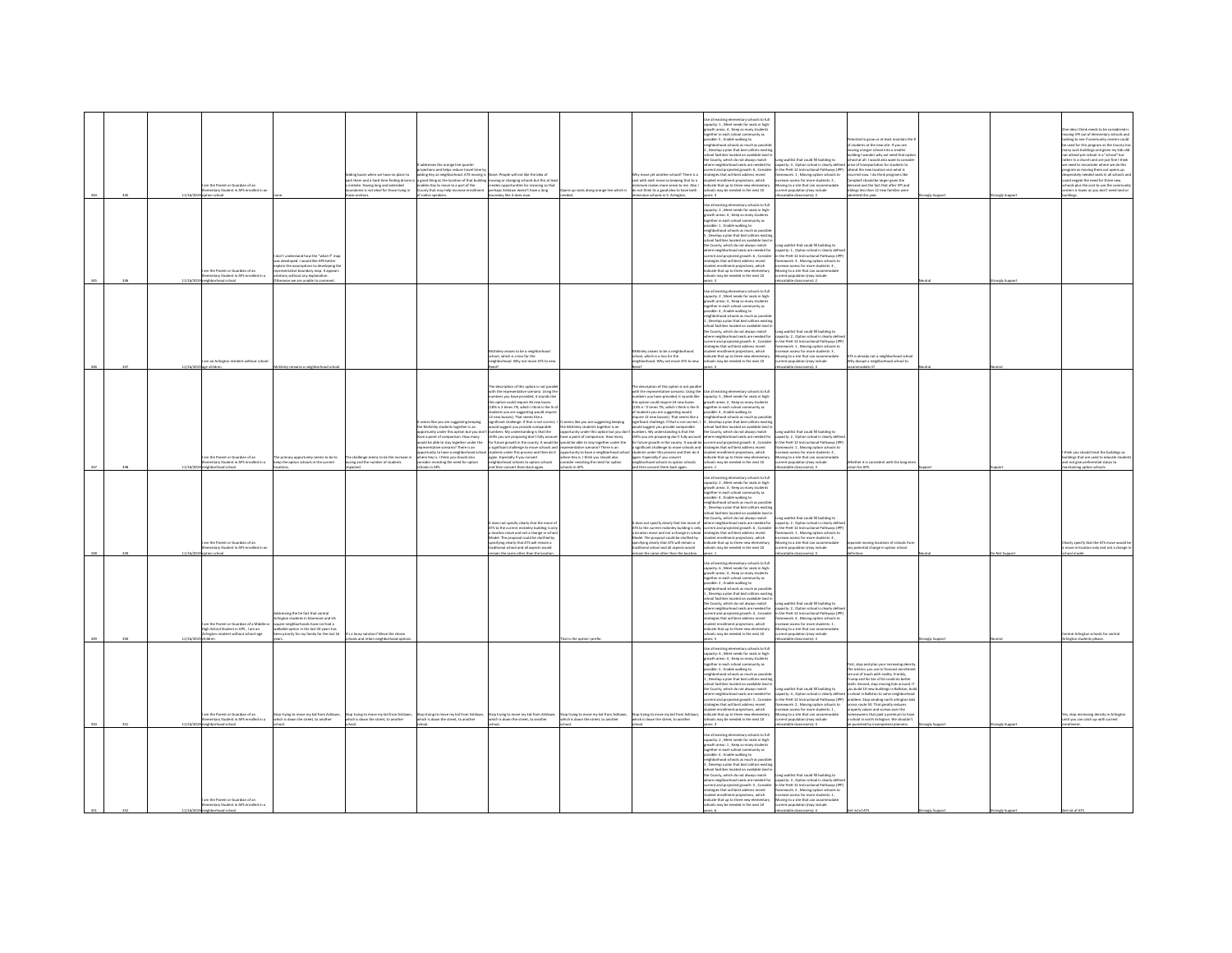|  |          | n the Parent or Guardian of an<br>tary Student in APS er<br>ion school                                        |                                                                                                                                                                                                                                   | at buses when we have no place to<br>irk them and a hard time finding drivers<br>ristake. Having long and extended<br>undaries is not ideal for those living in<br>e sections. | esses the orange line quarter<br>ections and helps reduce travel time<br>dding Key as neighborhood. ATS moving is<br>a good thing as the location of that building moving or changing schools but this at lea<br>inables Key to move to a part of the<br>County that may help increase enrollment<br>native speakers.                                                                               | one. People will not like the idea of<br>creates opportunities for rezoning so that<br>perhaps Ashlawn doesn't have a long<br>undary like it does now.                                                                                                                                                                                                                                                                                                                                                                                                                                                                                                                                                                                                                                                                                                                            | s up seats along orange line which is<br>ded.                                                                                                                                                                                                                                                                                                 | now wit another school? There is a<br>cost with each move so keeping that to a<br>construction and the model of energy of the top minimum makes more sense to me. Also<br>So not think its a good idea to have bot<br>version schools in S. Arlington.                                                                                                                                                                                                                                                                                                                                                                 | Jse all existing elementary schools to full<br>spacity: 1 , Meet needs for seats in high-<br>powth areas: 4 , Keep as many students<br>together in each school community as<br>ssible: 5, Enable walking to<br>eighborhood schools as much as possib<br>. Develop a plan that best utilize<br>Levelap is pain time best status example<br>tool facilities located on available land in<br>County, which do not always match<br>nere neighborhood seats are needed for<br>rent and projected growth: 6, Conside<br>ategies that will best address recent<br>dent enrollment projections, which<br><b>Scate that up to three new element</b><br>hools may be needed in the next 10                                                                                                                                                                                                   | ong waitlist that could fill building to<br>apacity: 4 , Option school is clearly defi<br>the PreK-12 Instructional Pathways (IPP)<br>nework: 1 . Moving option schools to<br>hase access for more students: 2.<br>rease access ror ms-+ >>>>-----<br>>>ing to a site that can accomm<br>rrent population (may include<br>atable classrooms): 3 | ential to grow or at least maintain the<br>,<br>if students at the new site. If you are<br>noving a larger school into a smaller<br>.<br>Inder why we need that op<br>ool at all. I would also want to consi<br>ce of transportation for students to<br>attend the new location vice what is<br>ncurred now. I do think orograms like<br>ampbell should be larger given the<br>demand and the fact that after VPI and<br>siblings less than 12 new families were<br>nitted this year.                                                                           | engly Support | ongly Suppor | e idea I think needs to be considered is<br>ving VPI out of elementary schools and<br>sking to see if community centers could<br>used for this program as the County ha<br>ny such buildings and given my kids did<br>t attend pre-school in a "school" but<br>ther in a church and are just fine I think<br>need to reconsider where we do this<br>ogram as moving them out opens up<br>rately needed seats in all schools an<br>dd negate the need for three new<br>ols plus the cost to use the communi<br>ers is lower as you don't need land o<br>dings. |
|--|----------|---------------------------------------------------------------------------------------------------------------|-----------------------------------------------------------------------------------------------------------------------------------------------------------------------------------------------------------------------------------|--------------------------------------------------------------------------------------------------------------------------------------------------------------------------------|-----------------------------------------------------------------------------------------------------------------------------------------------------------------------------------------------------------------------------------------------------------------------------------------------------------------------------------------------------------------------------------------------------|-----------------------------------------------------------------------------------------------------------------------------------------------------------------------------------------------------------------------------------------------------------------------------------------------------------------------------------------------------------------------------------------------------------------------------------------------------------------------------------------------------------------------------------------------------------------------------------------------------------------------------------------------------------------------------------------------------------------------------------------------------------------------------------------------------------------------------------------------------------------------------------|-----------------------------------------------------------------------------------------------------------------------------------------------------------------------------------------------------------------------------------------------------------------------------------------------------------------------------------------------|------------------------------------------------------------------------------------------------------------------------------------------------------------------------------------------------------------------------------------------------------------------------------------------------------------------------------------------------------------------------------------------------------------------------------------------------------------------------------------------------------------------------------------------------------------------------------------------------------------------------|------------------------------------------------------------------------------------------------------------------------------------------------------------------------------------------------------------------------------------------------------------------------------------------------------------------------------------------------------------------------------------------------------------------------------------------------------------------------------------------------------------------------------------------------------------------------------------------------------------------------------------------------------------------------------------------------------------------------------------------------------------------------------------------------------------------------------------------------------------------------------------|-------------------------------------------------------------------------------------------------------------------------------------------------------------------------------------------------------------------------------------------------------------------------------------------------------------------------------------------------|-----------------------------------------------------------------------------------------------------------------------------------------------------------------------------------------------------------------------------------------------------------------------------------------------------------------------------------------------------------------------------------------------------------------------------------------------------------------------------------------------------------------------------------------------------------------|---------------|--------------|---------------------------------------------------------------------------------------------------------------------------------------------------------------------------------------------------------------------------------------------------------------------------------------------------------------------------------------------------------------------------------------------------------------------------------------------------------------------------------------------------------------------------------------------------------------|
|  | 11/16/2  | am the Parent or Guardian of an<br>entary Student in APS enrolled in a<br>hborhood school                     | in't understand how the "what if" map<br>i developed. I would like APS better<br>plain the assumptions to developing the<br>presentative boundary map. It appears<br>bitrary without any explanation<br>vise we are unable to con |                                                                                                                                                                                |                                                                                                                                                                                                                                                                                                                                                                                                     |                                                                                                                                                                                                                                                                                                                                                                                                                                                                                                                                                                                                                                                                                                                                                                                                                                                                                   |                                                                                                                                                                                                                                                                                                                                               |                                                                                                                                                                                                                                                                                                                                                                                                                                                                                                                                                                                                                        | Jse all existing elementary schools to full<br>apacity: 2 . Meet needs for seats in high<br>becky. 2, week reeds for seast in right<br>gether in each school community as<br>saible: 1 , Enable walking to<br>ighborhood schools as much as possible<br>Develop a plan that best utilizes existin<br>ool facilities located on available land i<br>one County, which do not always match<br>there neighborhood seats are needed for<br>there neighborhood seats are needed for<br>trategies that will best address recent<br>trategies that will best address recent<br>dent enrollment projections, which<br>ndicate that up to three new elementary<br>ools may be needed in the next 10                                                                                                                                                                                         | waitlist that could fill building to<br>rig winter that could hil building to<br>pacity: 1 , Option school is clearly definite PreK-12 Instructional Pathways (IP<br>imework: 3 , Moving option schools to<br>rase access for more students: 4,<br>oving to a site that can accommodate<br>ent population (may include<br>C-fannonsals ables    |                                                                                                                                                                                                                                                                                                                                                                                                                                                                                                                                                                 |               |              |                                                                                                                                                                                                                                                                                                                                                                                                                                                                                                                                                               |
|  |          | n an Arlington resident without scho<br>children                                                              |                                                                                                                                                                                                                                   |                                                                                                                                                                                |                                                                                                                                                                                                                                                                                                                                                                                                     | ases to be a neight<br>MCM-wy vents -----<br>school, which is a loss for the<br>neighborhood. Why not move ATS to ne                                                                                                                                                                                                                                                                                                                                                                                                                                                                                                                                                                                                                                                                                                                                                              |                                                                                                                                                                                                                                                                                                                                               | ses to be a neighbor<br>chool, which is a loss for the<br>reighborhood. Why not move ATS to                                                                                                                                                                                                                                                                                                                                                                                                                                                                                                                            | .<br>Jse all existing elementary schools to full<br>spacity: 2 , Meet needs for seats in high-<br>growth areas: 3, Keep as many student<br>ogether in each school community as<br>ssible: 4, Enable walking to<br>eighborhood schools as much as possi-<br>Develop a plan that best utilize<br>school facilities located on available land i<br>the County, which do not always match<br>where neighborhood seats are needed for<br>rrent and projected growth: 6 , Consider<br>ategies that will best address recent<br>dent enrollment projections, which<br>licate that up to three new elementary<br>tools may be needed in the next 10                                                                                                                                                                                                                                        | ng waitlist that could fill building to<br>acity: 2, Option school is clearly defin<br>the PreK-12 Instructional Pathways (IPF<br>ework: 1 . Moving option schools to<br>rease access for more students: 3 ,<br>wing to a site that can accommodate<br>rent population (may include<br>atable classrooms): 4                                    | .<br>ATS is already not a neighborhood scho<br>Why disrupt a neighborhood school to<br>odate it?                                                                                                                                                                                                                                                                                                                                                                                                                                                                |               |              |                                                                                                                                                                                                                                                                                                                                                                                                                                                                                                                                                               |
|  |          | n the Parent or Guardian of an<br>nentary Student in APS enrolled in a<br>phborhood school                    | ms to be to<br>he primary opportunity seems to be t<br>rep the option schools in the current                                                                                                                                      | illenge seems to be the increase<br>sing and the number of students                                                                                                            | It seems like you are suggesting keeping<br>the McKinley students together is an<br>opportunity under this option but you do<br>have a point of comparison. How many<br>yould be able to stay together under the<br>pertative cremarin? There is an<br>.<br>pportunity to have a neighborhood sc<br>here Key is. I think you should also<br>consider revisiting the need for option<br>ools in APS. | e description of this option is not parall<br>with the representative scenario. Using the<br>numbers you have provided, it sounds like<br>this option could require 36 new buses<br>(18% is 3 times 7%, which I think is the % of<br>udents you are suggesting would r<br>2 new busses). That seems like a<br>significant challenge. If that is not correct<br>uld suggest you provide comparable<br>mbers. My understanding is that the<br>shifts you are proposing don't fully account have a point of comparison. How many<br>for future erowth in the county. It would be would be able to stay together under the<br>similicant challenge to move schools and<br>a significant challenge to move schools and<br>students under this process and then do it<br>again. Especially if you convert<br>neighborhood schools to option schools<br>nd then convert them back again. | seems like you are suggesting keeping<br>he McKinley students together is an<br>pportunity under this option but you do<br>resentative scenarin? There is an<br>presentative scenarior interests an<br>portunity to have a neighborhood sch<br>nere Key is. I think you should also<br>nsider revisiting the need for option<br>hools in APS. | 13% is ~2 times 7%, which I think is the %<br>tudents you are suggesting would<br>zire 12 new busses). That seems like a<br>ficant challenge. If that is not correct, I<br>ould suggest you provide comparable<br>imbers. My understanding is that the<br>hifts you are proposing don't fully account<br>r future erowth in the county. It would be<br>to the assessment that they are to move schools and<br>a significant challenge to move schools and<br>students under this process and then do it<br>again. Especially if you convert<br>neighborhood schools to option schools<br>then convert them back again. | .<br>The description of this option is not parallel .<br>with the representative scenario. Using the . Use all existing elementary schools to full<br>umbers you have provided, it sounds like capacity: 5 , Meet needs for seats in high-<br>is option could require 24 new buses growth areas: 2 , Keep as many students<br>together in each school community as<br>.<br>sible: 4 , Enable walking to<br>ishborhood schools as much as possil<br>Develop a plan that best utilizes ex<br>ichool facilities located on available land i<br>he County, which do not always match<br>here neighborhood seats are needed for<br>urrent and projected erowth: 6. Conside<br>drategies that will best address recent<br>drategies that will best address recent<br>dudent enrollment projections, which<br>ndicate that up to three new elementar<br>ools may be needed in the next 10 | ong waitlist that could fill building to<br>acity: 2 . Option school is clearly defin<br>the PreK-12 Instructional Pathways (IP)<br>ework: 1 . Moving option schools to<br>rease access for more students: 4<br>wing to a site that can accommoda<br>rent population (may include<br>atable classrooms): 3                                      | her it is consistent with the long-ter<br>on for APS.                                                                                                                                                                                                                                                                                                                                                                                                                                                                                                           |               |              | ink you should treat the buildings as<br>Idings that are used to educate stud<br>nd not give preferential status to<br>ring option schools                                                                                                                                                                                                                                                                                                                                                                                                                    |
|  |          | im the Parent or Guardian of an<br>entary Student in APS enrolled in<br>on schoo                              |                                                                                                                                                                                                                                   |                                                                                                                                                                                |                                                                                                                                                                                                                                                                                                                                                                                                     | It does not specify clearly that the move o<br>ATS to the current mckinley building is on<br>a location move and not a change in schor<br>.<br>Model. The proposal could be clarified by<br>specifying clearly that ATS will remain a<br>Hinnal crhool and all acnores week!<br>ain the same other than the loca                                                                                                                                                                                                                                                                                                                                                                                                                                                                                                                                                                  |                                                                                                                                                                                                                                                                                                                                               | It does not specify clearly that the move of<br>ATS to the current mckinley building is only<br>location move and not a change in school strategies that will best address recent<br>Andel. The proposal could be clarified by<br>pecifying clearly that ATS will remain a<br>ional school and all aspects would<br>ain the same other than the locatic                                                                                                                                                                                                                                                                | Jse all existing elementary schools to full<br>See as examing entirely schools to fair<br>paracity: 2 , Meet needs for seats in high-<br>powth areas: 3 , Keep as many students<br>together in each school community as<br>ssible: 4, Enable walking to<br>eighborhood schools as much as possil<br>. Develop a plan that best utilizes existi<br>tool facilities located on available land i<br>County, which do not always match<br>sere neighborhood seats are needed for<br>rrent and projected growth: 6 , Consider<br>tudent enrollment projections, which<br>dicate that up to three new elem<br>ols may be needed in the next 10                                                                                                                                                                                                                                           | g waitlist that could fill building to<br>pacity: 2 , Option school is clearly define<br>the PreK-12 Instructional Pathways (IPF<br>mework: 1, Moving option schools to<br>wase access for more students: 4.<br>oving to a site that can accom<br>stion (may include<br>atable classrooms):                                                     | irate moving locations of schools fro<br>potential change in option school                                                                                                                                                                                                                                                                                                                                                                                                                                                                                      |               |              | early specify that the ATS move would b<br>ve in location only and not a change                                                                                                                                                                                                                                                                                                                                                                                                                                                                               |
|  | 11/16/20 | the Parent or Guardian of a Middle<br>tigh School Student in APS, I am an<br>ston resident without school-are | ssing the he fart that rentral<br>Fington students in bluemont and VA<br>pare neighborhoods have not had a<br>alkable option in the last 20 years has<br>een priority for my family for the last 16                               | a lousy solution? Move the choice<br>ools and retain neighborhood optic                                                                                                        |                                                                                                                                                                                                                                                                                                                                                                                                     |                                                                                                                                                                                                                                                                                                                                                                                                                                                                                                                                                                                                                                                                                                                                                                                                                                                                                   | hat is the option I prefe                                                                                                                                                                                                                                                                                                                     |                                                                                                                                                                                                                                                                                                                                                                                                                                                                                                                                                                                                                        | Use all existing elementary schools to full<br>capacity: 6 , Meet needs for seats in high-<br>owth areas: 3 . Keep as many student<br>together in each school community as<br>possible: 2 , Enable walking to<br>neighborhood schools as much as possi<br>, Develop a plan that best utilizes existi<br>ool facilities located on available land<br>the County, which do not always match<br>" sources maintained seats are medied for<br>rerent and projected growth: 4 , Consider<br>ategies that will best address recent<br>udent enrollment projections, which<br>ficate that up to three new elementary<br>of toon adt ni belown ed vam idoo<br>ears: 5                                                                                                                                                                                                                      | ng waitlist that could fill building to<br>pacity: 2, Option school is clearly define<br>the PreK-12 Instructional Pathways (IPP)<br>e PreK-12 Instructions resources .<br>Iework: 4 , Moving option schools to<br>ease access for more students: 1 ,<br>oving to a site that can accom<br>int population (may include<br>stable classrooms): 3 |                                                                                                                                                                                                                                                                                                                                                                                                                                                                                                                                                                 | angly Support |              | ntral Arlineton schools for central<br>lington students please.                                                                                                                                                                                                                                                                                                                                                                                                                                                                                               |
|  |          | n the Darant or Guardian of an<br>ementary Student in APS enrolled in a<br>eighborhood school                 | top trying to move my kid from Ashl<br>hich is down the street, to another                                                                                                                                                        | ip trying to move my kid from Ashl<br>ich is down the street, to another                                                                                                       | Stop trying to move my kid from Ashla<br>which is down the street, to another                                                                                                                                                                                                                                                                                                                       | Stop trying to move my kid from Ashla<br>which is down the street, to another                                                                                                                                                                                                                                                                                                                                                                                                                                                                                                                                                                                                                                                                                                                                                                                                     | op trying to move my kid from Ashla<br>sich is down the street, to another                                                                                                                                                                                                                                                                    | itop trying to move my kid from Ashla<br>ehich is down the street, to another                                                                                                                                                                                                                                                                                                                                                                                                                                                                                                                                          | Use all existing elementary schools to full<br>capacity: 6 , Meet needs for seats in high-<br>growth areas: 4 , Keep as many students<br>together in each school community as<br>ssible: 2, Enable walking to<br>eighborhood schools as much as possib<br>symbolical and that best utilizes existing<br>thool facilities located on available land in<br>thool facilities located on available land in<br>there neighborhood seats are needed for<br>there neighborhood seats are needed for<br>urrent and projected growth: S., Consider<br>rategies that will best address recent<br>dent enrollment projections, which<br><b>Scate that up to three new elem</b><br>is may be needed in the next 10                                                                                                                                                                             | ong waitlist that could fill building to<br>apacity: 4 , Option school is clearly def<br>the PreK-12 Instructional Pathways (IPP)<br>nework: 2 . Moving option schools to<br>hase access for more students: 1.<br>ving to a site that can accomm<br>vent population (may include<br>scatable classrooms): 3                                     | irst, stop and plan your increasing densit<br>The metrics you use to forecast enrollme<br>re out of touch with reality. Frankly.<br>Four or source was not below the settler<br>of a second, stop moving kids around. If<br>a build 10 new buildings in Ballston, build<br>chool in Ballston to solve neighborhood<br>oblem. Stop sending north arlington kid<br>oss route 50. That greatly reduces<br>perty values and screws over the<br>measurers that paid a premium to have<br>chool in north Arlington. We shouldn't<br>punished by incompetent planners. | ingly Suppor  | rongly Suppo | top increasing density in Arlington<br>til you can catch up with current                                                                                                                                                                                                                                                                                                                                                                                                                                                                                      |
|  |          | am the Parent or Guardian of an<br>entary Student in APS enrolled in a                                        |                                                                                                                                                                                                                                   |                                                                                                                                                                                |                                                                                                                                                                                                                                                                                                                                                                                                     |                                                                                                                                                                                                                                                                                                                                                                                                                                                                                                                                                                                                                                                                                                                                                                                                                                                                                   |                                                                                                                                                                                                                                                                                                                                               |                                                                                                                                                                                                                                                                                                                                                                                                                                                                                                                                                                                                                        | Jse all existing elementary schools to full<br>apacity: 2, Meet needs for seats in high<br>space): 2 , were reeds for seas in region<br>together in each school community as<br>possible: 4 , Enable walking to<br>righborhood schools as much as possibli<br>, Develop a plan that best utilizes existin<br>ool facilities located on available land i<br>County, which do not always match<br>vere neighborhood seats are needed fo<br>rrent and projected growth: 5 , Conside<br>itrategies that will best address recent<br>itudent enrollment projections, which<br>indicate that up to three new elementary<br>07 type adt ni hahaan set vam slor                                                                                                                                                                                                                            | aitist that could fill huibling to<br>ang waters creat count in bushing to<br>spacity: 3 , Option school is clearly defini<br>the PreK-12 Instructional Pathways (IPF<br>nework: 2, Moving option schools to<br>rase access for more students: 1,<br>foving to a site that can accommodate<br>ation (may include                                |                                                                                                                                                                                                                                                                                                                                                                                                                                                                                                                                                                 |               |              |                                                                                                                                                                                                                                                                                                                                                                                                                                                                                                                                                               |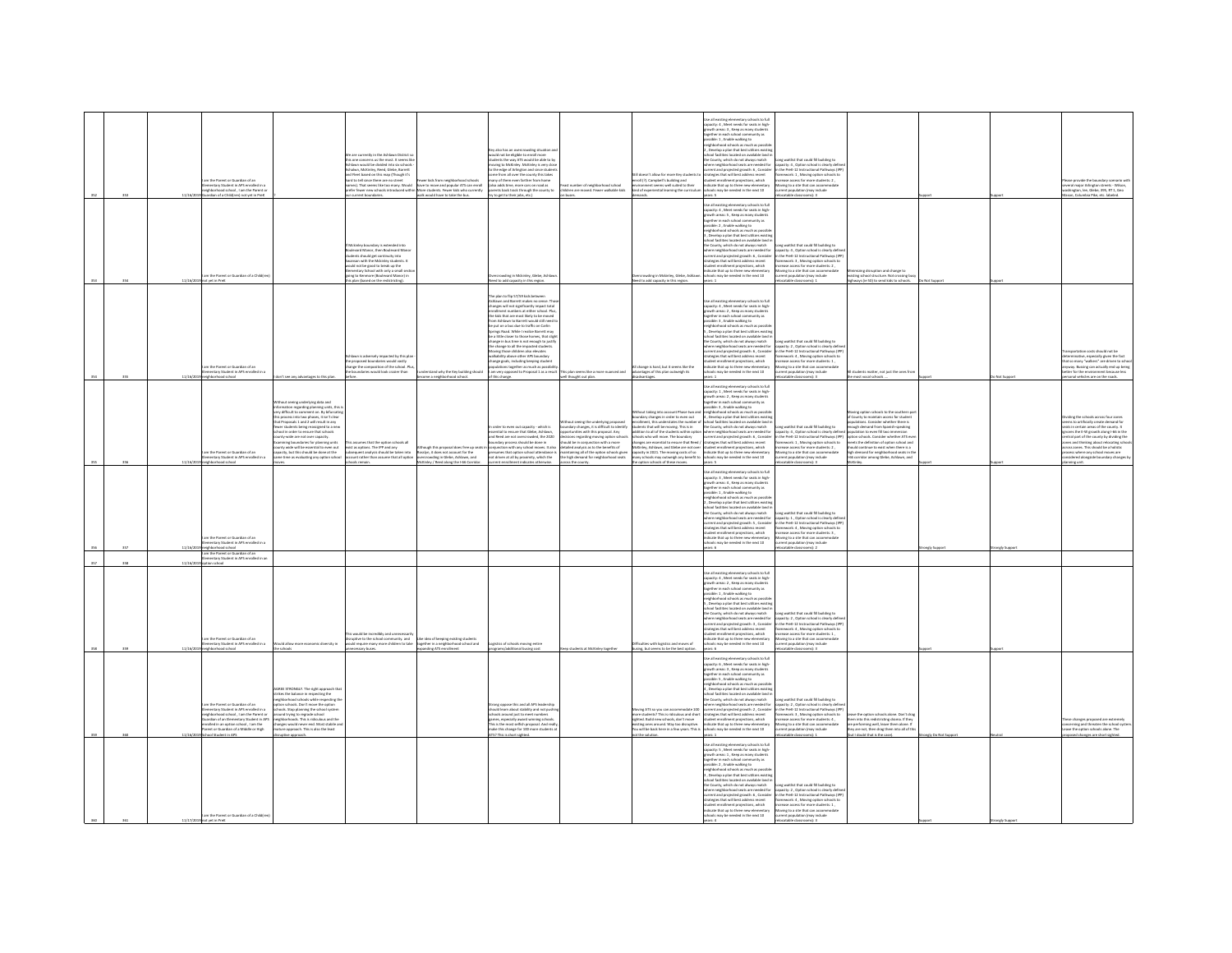| $\mathbf{r}$ | 11/16/2 | im the Parent or Guardian of an<br>nentary Student in APS enrolled in a<br>ehborhood school . I am the Parent of<br>rdian of a Child(ren) not yet in Prel                                                                                                                                                  |                                                                                                                                                                                                                                                                                                                                                                                                                                                                                                          | o currantly in the Addissen Distri-<br>are concerns us the most. It seems like<br>lawn would be divided into six schools<br>alwn, McKinley, Reed, Glebe, Barrett<br>Fleet based on this map (Though it's<br>rd to tell since there are no street<br>arrent boundaries.                               | ewer kids from neighborhood school<br>mes). That seems like too many. Would have to move and popular ATS can emoli<br>efer fewer new schools introduced within More students. Fewer kids who currently<br>walk would have to take the bus | evalso has an overcrowding situation a<br>ould not be eligible to enroll more<br>udents the way ATS would be able to b<br>oving to McKinley. McKinley is very clo<br>oving to McKinley.<br>o the edge of Arlington and since stu<br>me from all over the county this takes<br>iny of them even farther from home<br>(also adds time, more cars on road as<br>ents back track through the county to<br>to get to their jobs, etc.)                                                                                                                                                                                                                                                                                                      | ast number of neighborhood school<br>children are moved. Fewer walkable kids                                                                                                                                                                                                                                                      | ill doesn't allow for more Key students to<br>nroll (?). Campbell's building and<br>ronment seems well suited to their<br>ind of experiential learning the curricule                                                                                                                 | se all existing elementary schools to full<br>spacity: 4 , Meet needs for seats in high-<br>owth areas: 3, Keep as many student<br>gether in each school co<br>unity as<br>ssible: 1, Enable walking to<br>eighborhood schools as much as possib<br>. Develop a plan that best utilizes existi<br>Incated on available last<br>si nicimies localisti on avaliatier rans<br>lounty, which do not always match<br>le neighborhood seats are needed fo<br>rent and projected growth: 6, Consider<br>trategies that will best address recent<br>nt enrollment projections, which<br>dicate that up to three new elementary<br>of tops adj ni behean ed vam idoo                                                                                                                                                                                                                                                                                                                                                                                                 | Long waitlist that could fill building to<br>capacity: 4 , Option school is clearly define<br>in the PreK-12 Instructional Pathways (IPP<br>framework: 1, Moving option schools to<br>increase access for more students: 2,<br>foving to a site that can accommodate<br>sment population (may include<br>table classrooms): 3                                                                                                  |                                                                                                                                                                                                                                                                                                                                                                                                            |                     | ie provide the boundary scenario y<br>everal major Arlington streets - Wilson,<br>vashington, lee, Glebe, 395, RT 1, Geo<br>Columbia Pike, etc. labelec                                                                                                                                                                                                                      |
|--------------|---------|------------------------------------------------------------------------------------------------------------------------------------------------------------------------------------------------------------------------------------------------------------------------------------------------------------|----------------------------------------------------------------------------------------------------------------------------------------------------------------------------------------------------------------------------------------------------------------------------------------------------------------------------------------------------------------------------------------------------------------------------------------------------------------------------------------------------------|------------------------------------------------------------------------------------------------------------------------------------------------------------------------------------------------------------------------------------------------------------------------------------------------------|-------------------------------------------------------------------------------------------------------------------------------------------------------------------------------------------------------------------------------------------|----------------------------------------------------------------------------------------------------------------------------------------------------------------------------------------------------------------------------------------------------------------------------------------------------------------------------------------------------------------------------------------------------------------------------------------------------------------------------------------------------------------------------------------------------------------------------------------------------------------------------------------------------------------------------------------------------------------------------------------|-----------------------------------------------------------------------------------------------------------------------------------------------------------------------------------------------------------------------------------------------------------------------------------------------------------------------------------|--------------------------------------------------------------------------------------------------------------------------------------------------------------------------------------------------------------------------------------------------------------------------------------|-------------------------------------------------------------------------------------------------------------------------------------------------------------------------------------------------------------------------------------------------------------------------------------------------------------------------------------------------------------------------------------------------------------------------------------------------------------------------------------------------------------------------------------------------------------------------------------------------------------------------------------------------------------------------------------------------------------------------------------------------------------------------------------------------------------------------------------------------------------------------------------------------------------------------------------------------------------------------------------------------------------------------------------------------------------|--------------------------------------------------------------------------------------------------------------------------------------------------------------------------------------------------------------------------------------------------------------------------------------------------------------------------------------------------------------------------------------------------------------------------------|------------------------------------------------------------------------------------------------------------------------------------------------------------------------------------------------------------------------------------------------------------------------------------------------------------------------------------------------------------------------------------------------------------|---------------------|------------------------------------------------------------------------------------------------------------------------------------------------------------------------------------------------------------------------------------------------------------------------------------------------------------------------------------------------------------------------------|
|              | 11/16/2 | im the Parent or Guardian of a Childfre<br>vet in PreK                                                                                                                                                                                                                                                     |                                                                                                                                                                                                                                                                                                                                                                                                                                                                                                          | irley boundary is extended into<br>vard Manor, then Boulevard Man<br>ents should get continuity into<br>ison with the Mckinley students. It<br>add not be good to break up the<br>nentary School with only a small sect<br>ing to Kenmore (Boulevard Manor) in<br>plan (based on the redistricting). |                                                                                                                                                                                                                                           | rowding in Mckinley, Glebe, Ashlay<br>ed to add capacity in this region                                                                                                                                                                                                                                                                                                                                                                                                                                                                                                                                                                                                                                                                |                                                                                                                                                                                                                                                                                                                                   | rcrowding in Mckinley, Glebe, Ashlaw<br>leed to add capacity in this region                                                                                                                                                                                                          | .<br>Jse all existing elementary schools to full<br>spacity: 4 , Meet needs for seats in high-<br>youth areas: 5, Keep as many student<br>ogether in each school co<br>inity as<br>.<br>Isible: 2, Enable walking to<br>eighborhood schools as much as possib<br>. Develop a plan that best utilizes existin<br><b>Incated on available land</b><br>al Escrito<br>ioi raciities iocaisio on availaise land<br>County, which do not aliaiays match<br>re neighborhood seats are needed fo<br>rrent and projected growth: 6 , Consider<br>rategies that will best address recent<br>ent enrollment projections, which<br>dicate that up to three new elementary<br>ools may be needed in the next 10                                                                                                                                                                                                                                                                                                                                                          | Long waitlist that could fill building to<br>capacity: 4 , Option school is clearly define<br>in the PreK-12 Instructional Pathways (IPF<br>framework: 3 , Moving option schools to<br>ncrease access for more students: 2,<br>Moving to a site that can accommodate<br>string wamb noisslagged prevail<br>table classro<br>m <sub>2</sub>                                                                                     | rizing disruption and change to<br>tine school structure. Not crossine by<br>wys (ie 50) to send kids to schools                                                                                                                                                                                                                                                                                           |                     |                                                                                                                                                                                                                                                                                                                                                                              |
|              |         | n the Parent or Guardian of an<br>ntary Student in APS enrolled in a<br>colored relieval                                                                                                                                                                                                                   |                                                                                                                                                                                                                                                                                                                                                                                                                                                                                                          | wn is adversely impacted by this pla<br>proposed boundaries would vastly<br>nee the composition of the school. Pl<br>undaries would look crazier than                                                                                                                                                | ntand why the Key building should                                                                                                                                                                                                         | e plan to flip 57/59 kids between<br>hlawn and Barrett makes no sense. Th<br>changes will not significantly impact total<br>enrollment numbers at either school. Plus,<br>the kids that are most likely to be moved<br>m Ashlawn to Barrett would still need t<br>from Ashlanm to Barrett would still need to<br>be put on a bus due to traffic on Carlin<br>Springs Road. While I realize Barrett may<br>be a little closer to those homes, that slight<br>change in bus time is not enough to justify<br>the<br>Moving those children also elevates<br>walkability above other APS boundary<br>thanee egals, including keeping student<br>pulations together as much as possibility<br>im very opposed to Proposal 1 as a result<br> | his plan seems like a more nuanced and<br>ell thought out plan.                                                                                                                                                                                                                                                                   | l change is hard, but it seems like the<br>Ivantages of this plan outweigh its                                                                                                                                                                                                       | Jse all existing elementary schools to full<br>:apacity: 4 , Meet needs for seats in high-<br>growth areas: 2, Keep as many student<br>ogether in each school com<br>munity as<br>ssible: 3 . Enable walking to<br>$\label{eq:optimal} \begin{minipage}{0.9\linewidth} \begin{minipage}{0.9\linewidth} \begin{minipage}{0.9\linewidth} \end{minipage} \begin{minipage}{0.9\linewidth} \end{minipage} \begin{minipage}{0.9\linewidth} \begin{minipage}{0.9\linewidth} \end{minipage} \begin{minipage}{0.9\linewidth} \end{minipage} \begin{minipage}{0.9\linewidth} \end{minipage} \begin{minipage}{0.9\linewidth} \end{minipage} \begin{minipage}{0.9\linewidth} \end{minipage} \begin{minipage}{0.9\linewidth} \end{minipage} \begin{minipage}{0.9\linewidth}$<br>hool facilities located on available land in<br>e County, which do not always match<br>here neighborhood seats are needed for<br>rategies that will best address recent<br>int enrollment projections, which<br>dicate that up to three new elementary<br>s may be needed in the next 10 | .<br>Long waitlist that could fill building to<br>capacity: 2 , Option school is clearly def<br>urrent and projected growth: 6, Consider in the PreK-12 Instructional Pathways (IP<br>framework: 4 . Moving option schools to<br>rease access for more students: 1<br>loving to a site that can accomm<br>ulation (may include<br>classroomshift                                                                               | natter, not just the ones from                                                                                                                                                                                                                                                                                                                                                                             |                     | sportation costs should not be<br>ninative, especially given the fact<br>that so many "walkers" are driven to scho<br>yway. Bussing can actually end up being<br>tter for the environment because less<br>.<br>svironment because less<br>is are on the roads.                                                                                                               |
|              |         | n the Parent or Guardian of an<br>entary Student in APS enrolled in a                                                                                                                                                                                                                                      | hout seeing underlying data and<br>nformation regarding planning units, this i<br>very difficult to comment on. By bifurcating<br>his process into two phases. It isn't clear<br>posals 1 and 2 will result in any<br>r students being reassigned to a new<br>al in order to ensure that schools<br>unty-wide are not over capacity.<br>ring boundaries for planning units<br>tunty wide will be essential to even out<br>acity, but this should be done at the<br>ne time as evaluating any option scho | assumes that the option schools all<br>ist as options. The IPP and any<br>equent analysis should be taken into<br>unt rather than assume that all optio                                                                                                                                              | ough this proposal does free up se<br>osslyn, it does not account for the<br>crowding in Glebe, Ashlawn, and<br>Kinley / Reed along the 1-66 Cor                                                                                          | In order to even out capacity - which is<br>essential to ensure that Glebe, Ashlawn,<br>and Reed are not overcrowded, the 2020<br>ndary process should be done in<br>unction with any school moves. It also<br>.<br>Insumes that option school attendance is<br>tot driven at all by proximity, which the<br>t indicates otherwise                                                                                                                                                                                                                                                                                                                                                                                                     | hout seeing the underlying proposed<br>ndary changes, it is difficult to identify<br>ortunities with this proposal. Any<br>ions regarding moving option scho<br>uld be in conjunction with a more<br>alled analysis as to the benefits of<br>maintaining all of the option schools give<br>the high demand for neighborhood seats | $\frac{1}{2}$ use account Phase two<br>makey changes in order to even out<br>firent, this understance of<br>pacity in 2021. The moving costs of so<br>sany schools may outweigh any benefit to<br>be option schools of these moves.                                                  | Use all existing elementary schools to full<br>capacity: 1 , Meet needs for seats in high-<br>growth areas: 2, Keep as many student<br>ogether in each school community as<br>ssible: 3 . Enable walking to<br>possible: 3, Enable walked starts in spossible:<br>A physical schools as much as possible:<br>4, Develop a plan that best utilizes existing<br>school facilities located on <i>available land</i> in<br>the Courty, which do not always match<br>w<br>Kinley, Ashlawn, and Glebe are not over student enrollment projections, which<br>ndicate that up to three new eler<br>ools may be needed in the next 10<br>anna 6                                                                                                                                                                                                                                                                                                                                                                                                                      | emoment, mu unceruses on transport or scross technics scearch or search will be local fills building to<br>students that will be moving. This is in the County, which do not always match<br>sidelition to all of the students withi<br>ncrease access for more students: 2.<br><b>toving to a site that can accomm</b><br>urrent population (may include<br>dation (may include<br>$F - dm$                                   | ing option schools to the southern pa<br>sinty to maintain access for student<br>ons. Consider whether there is<br>ugh demand from Spanish-speaking<br>ulation to even fill two immersion<br>tion schools. Consider whether ATS ever<br>lets the definition of option school and<br>uld continue to exist when there is a<br>h demand for neighbor<br>nnd seats in t<br>corridor among Glebe, Ashlawn, and |                     | ding the schools across four zones<br>is to artificially create demand for<br>its in certain areas of the county. It<br>icres the E-W growth along I-66 in the<br>tral part of the county by dividing the<br>ses and thinking about relocating scho<br>ross zones. This should be a holistic<br>ss where any school moves are<br>ered alongside boundary changes<br>ing unit |
|              |         | n the Parent or Guardian of an<br>ntary Student in APS enrolled in<br>borhood school                                                                                                                                                                                                                       |                                                                                                                                                                                                                                                                                                                                                                                                                                                                                                          |                                                                                                                                                                                                                                                                                                      |                                                                                                                                                                                                                                           |                                                                                                                                                                                                                                                                                                                                                                                                                                                                                                                                                                                                                                                                                                                                        |                                                                                                                                                                                                                                                                                                                                   |                                                                                                                                                                                                                                                                                      | Use all existing elementary schools to full<br>capacity: 3 , Meet needs for seats in high-<br>growth areas: 4, Keep as many student<br>together in each school community as<br>ssible: 1 . Enable walking to<br>$\label{eq:optimal} \begin{minipage}{0.9\textwidth} \begin{minipage}{0.9\textwidth} \begin{tabular}{l} \textbf{a} & \textbf{a} & \textbf{a} & \textbf{a} & \textbf{a} & \textbf{a} & \textbf{a} & \textbf{a} & \textbf{a} & \textbf{a} & \textbf{a} & \textbf{a} & \textbf{a} & \textbf{a} & \textbf{a} & \textbf{a} & \textbf{a} & \textbf{a} & \textbf{a} & \textbf{a} & \textbf{a} & \textbf{a} & \textbf{a} & \textbf{a} & \textbf{a} & \$<br>ool facilities located on available lar<br>County, which do not always match<br>rategies that will best address recent<br>dent enrollment projections, which<br>dicate that up to three new eleme<br>is may be needed in the next 10                                                                                                                                                      | ong waitlist that could fill building to<br>there neighborhood seats are needed for capacity: 1, Option school is clearly define<br>arent and projected growth: 5 , Consider an the PreK-12 Instructional Pathways (IPF)<br>framework: 4, Moving option schools to<br>ncrease access for more students: 3 .<br>oving to a site that can accome<br>tion (may include<br>table classrooms): 2                                    |                                                                                                                                                                                                                                                                                                                                                                                                            | ngly Supp           |                                                                                                                                                                                                                                                                                                                                                                              |
|              |         | m the Parent or Guardian of an<br>mentary Student in APS enrolled in<br>loorlas noit                                                                                                                                                                                                                       |                                                                                                                                                                                                                                                                                                                                                                                                                                                                                                          |                                                                                                                                                                                                                                                                                                      |                                                                                                                                                                                                                                           |                                                                                                                                                                                                                                                                                                                                                                                                                                                                                                                                                                                                                                                                                                                                        |                                                                                                                                                                                                                                                                                                                                   |                                                                                                                                                                                                                                                                                      |                                                                                                                                                                                                                                                                                                                                                                                                                                                                                                                                                                                                                                                                                                                                                                                                                                                                                                                                                                                                                                                             |                                                                                                                                                                                                                                                                                                                                                                                                                                |                                                                                                                                                                                                                                                                                                                                                                                                            |                     |                                                                                                                                                                                                                                                                                                                                                                              |
|              |         | n the Darant or Guardian of an<br>ntary Student in APS enrolled in a<br>leorload school                                                                                                                                                                                                                    | ould allow more economic diversity in<br>the schools                                                                                                                                                                                                                                                                                                                                                                                                                                                     | is would be incredibly and unnecessarily<br>iruptive to the school community, and<br>suld require many more children to take<br>ecessary buses.                                                                                                                                                      | idea of keeping existing sts<br>together in a neighborhood school and<br>spanding ATS enrollment                                                                                                                                          | tics of schools moving entire<br>ograms/additional busing cost                                                                                                                                                                                                                                                                                                                                                                                                                                                                                                                                                                                                                                                                         | eep students at McKinley together                                                                                                                                                                                                                                                                                                 | busing, but seems to be the best option.                                                                                                                                                                                                                                             | ie all existing elementary schools to full<br>apacity: 4 , Meet needs for seats in high-<br>rowth areas: 2 , Keep as many students<br>sether in each orbon<br>ether in each scroot community -<br>ssible: 1 , Enable walking to<br>iehborhood schools as much as possi <sup>p</sup><br>Develop a plan that best utilizes existin<br>ool facilities located on available land i<br>he County, which do not always match<br>there neighborhood seats are needed for<br>udent enrollment projections, which<br>dicate that up to three new elementar<br>s may be needed in the next 10<br>$are$ 6                                                                                                                                                                                                                                                                                                                                                                                                                                                              | Long waitlist that could fill building to<br>capacity: 2 . Option school is clearly defin<br>onent and projected growth: 3, Consider in the PreK-12 Instructional Pathways (IPP)<br>rategies that will best address recent framework: 4, Moving option schools to<br>rease access for m<br>students: 1<br>wing to a site that can acc<br>wing to a site that can acc<br>rent population (may include<br>catable classrooms): 3 |                                                                                                                                                                                                                                                                                                                                                                                                            |                     |                                                                                                                                                                                                                                                                                                                                                                              |
|              |         | m the Parent or Guardian of an<br>nentary Student in APS enrolled in a<br>rhborhood school . I am the Parent or<br>.<br>rdian of an Elementary Student in APS<br>alled in an ootion school . I am the<br>onea in an option survey , rann wie<br>ent or Guardian of a Middle or High<br>hool Student in APS | AGREE STRONGLY. The right approach tha<br>strikes the balance in respecting the<br>righborhood schools while respecting th<br>in schools. Don't move the option<br>hools. Stop planning the school system<br>ound trying to regrade school<br>seem syng w reputat school<br>hielphorhoods. This is ridiculous and the<br>hielphorwood never end. Most stable an<br>lature approach. This is also the least<br>ruptive approach.                                                                          |                                                                                                                                                                                                                                                                                                      |                                                                                                                                                                                                                                           | .<br>Strong oppose this and all APS leadership<br>should learn about stability and not push<br>ools around just to meet number.<br>games, especially award winning schools.<br>This is the most selfish proposal. And real<br>or this change for 100 more students<br>TS? This is short sighted.                                                                                                                                                                                                                                                                                                                                                                                                                                       |                                                                                                                                                                                                                                                                                                                                   | oving ATS so you can accommodate 100<br>ore students? This is ridiculous and short<br>ighted. Build new schools, don't move<br>xistine ones around. Way too disrupti<br>xisting ones around. Way too disruptive.<br>'ou will be back here in a few years. This is<br>ot the solution | ie all existing elementary schools to full<br>pacity: 6 , Meet needs for seats in high-<br>owth areas: 3 , Keep as many students<br>gether in each school ci<br>nitu as<br>ssible: 5 , Enable walking to<br>ssible: 5 , Enable walking to<br>sighborhood schools as much as poss<br>righborhood schools as much as possible,<br>, Develop a plan that best utilizes existin<br>chool facilities located on available land<br>e County, which do not always match<br>trategies that will best address recent<br>student enrollment projections, which<br>ndicate that up to three new elementar<br>ichools may be needed in the next 10<br>strs: 1                                                                                                                                                                                                                                                                                                                                                                                                           | Long waitlist that could fill building to<br>there neighborhood seats are needed for capacity: 2 , Option school is clearly define<br>urrent and projected growth: 2 , Consider in the PreK-12 Instructional Pathways (IPP<br>framework: 3, Moving option schools to<br>increase access for more students: 4<br>Moving to a site that can accommodat<br>current population (may include<br>catable classrooms): 2              | w the cotion schools alone. Don't dra<br>m into this redistricting drama. If they<br>performing well, leave them alone. If<br>y are not, then drag them into all of th<br>ut I doubt that is the case                                                                                                                                                                                                      | rangly Do Not Suppe | re the option schools alone. The<br>osed changes are short sighted.                                                                                                                                                                                                                                                                                                          |
|              | 11/17/1 | n the Parent or Guardian of a Child(n                                                                                                                                                                                                                                                                      |                                                                                                                                                                                                                                                                                                                                                                                                                                                                                                          |                                                                                                                                                                                                                                                                                                      |                                                                                                                                                                                                                                           |                                                                                                                                                                                                                                                                                                                                                                                                                                                                                                                                                                                                                                                                                                                                        |                                                                                                                                                                                                                                                                                                                                   |                                                                                                                                                                                                                                                                                      | ie all existing elementary schools to full<br>apacity: S , Meet needs for seats in high-<br>rowth areas: 1 , Keep as many students<br>ogether in each school community as<br>ossible: 2 , Enable walking to<br>eighborhood schools as much as possi<br>, Develop a plan that best utilizes existi<br>hool facilities located on available land<br>he County, which do not always match<br>there neighborhood seats are needed for<br>atesies that will best address recent<br>tudent enrollment projections, which<br>dicate that up to three new elementar<br>s may be needed in the next 10                                                                                                                                                                                                                                                                                                                                                                                                                                                               | ong waitlist that could fill building to<br>capacity: 2. Option school is clearly defin<br>rrent and projected growth: 6, Consider in the PreK-12 Instructional Pathways (IPF<br>nework: 4 . Moving option schools to<br>rease access for more students: 1<br>oving to a site that can accommode<br>srrent population (may include<br>elocatable classrooms): 3                                                                |                                                                                                                                                                                                                                                                                                                                                                                                            |                     |                                                                                                                                                                                                                                                                                                                                                                              |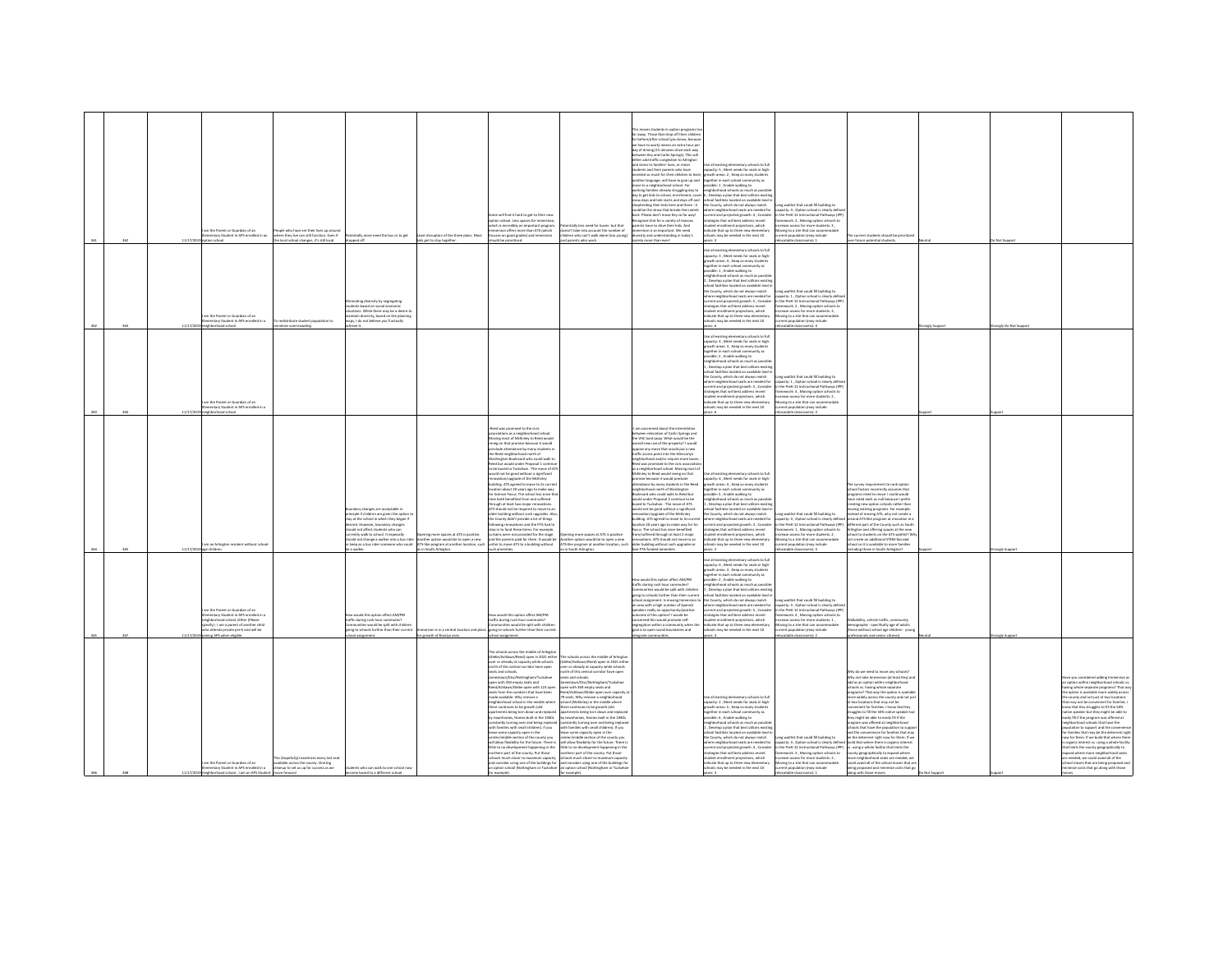|  |        | n the Parent or Guardian of an<br>entary Student in APS enrolled in an<br>on school                                                                                                                                   | hople who have set their lives up around<br>where they live can still function. Even if<br>e local school changes, it's still local. | tially more need the bus or to get<br>dropped off.                                                                                                                                                                                                                                                                   | east disruption of the three plans. Most<br>ids get to stay together.                                                                        | ome will find it hard to get to their new<br>tion school. Less spaces for immersio<br>hich is incredibly an important program<br>sesion offers more than ATS (which<br>ises on good grades) and immersion<br>ould be prioritized.                                                                                                                                                                                                                                                                                                                                                                                                                                                                                                                                                                                                                                                                                                                                                                                           | stially less need for buses- but that<br>esn't take into account the number of<br>lidren who can't walk alone (too young)<br>nd parents who work.                                                                                                                                                                                                                                                                                                                                                                                                                                                                                                                                                                                                                                                                                                            | s moves students in option programs t<br>ir away. Those that drop off their children<br>r before/after school (you know, becaus<br>re have to work) means an extra hour pe<br>day of driving (15 minutes drive each way<br>een Key and Carlin Sorinas). This will<br>externer way and Carris springer, mix were<br>either add traffic congestion to Arlington<br>and stress to families' lives, or mean<br>tudents and their parents who have<br>vested so much for their children to learn<br>sother language, will have to give up and<br>nove to a neighborhood school. For<br>prking families already struggling day to<br>lay to get kids to school, enrichment, cover<br>now days and late starts and days off and<br>hepherding their kids here and there - it<br>ruld he the straw that hreaks the camels<br>ack. Please don't move Key so far way!<br>cognize that for a variety of reasons<br>ents have to drive their kids. And<br>nersion is so important. We need<br>ersity and understanding in today's<br>ciety more than ever! | ie all existing elementary schools to full<br>apacity: S. Meet needs for seats in high-<br>prown experiences needs for seats in his<br>growth areas: 2, Keep as many student<br>together in each school community as<br>possible: 1, Enable walking to<br>neighborhood schools as much as possil<br>, Develop a plan that best utilizes existin<br>school facilities located on available land i<br>the County, which do not always match<br>harp majabihnehnnel saats are naarlad for<br>unrent and projected growth: 4, Consider<br>trategies that will best address recent<br>udent enrollment projections, which<br>dicate that up to three new elementary<br>hools may be needed in the next 10 | Long waitlist that could fill building to<br>capacity: 4, Option school is clearly definition of the PreK-12 Instructional Pathways (IP<br>framework: 2, Moving option schools to<br>rease access for more students: 3 .<br>wing to a site that can acc<br>urrent population (may include<br>catable classrooms): 1        | urrent students should be priorities<br>er future potential students.                                                                                                                                                                                                                                                                                                                                                                                                                                                                                                                                                                                                                                                                                                                                                                                                                                                                                                                                                                                                                                                                                                                                                                                                       |                | Not Supp            |                                                                                                                                                                                                                                                                                                                                                                                                                                                                                                                                                                                                                                                                                                                                                                                                                      |
|--|--------|-----------------------------------------------------------------------------------------------------------------------------------------------------------------------------------------------------------------------|--------------------------------------------------------------------------------------------------------------------------------------|----------------------------------------------------------------------------------------------------------------------------------------------------------------------------------------------------------------------------------------------------------------------------------------------------------------------|----------------------------------------------------------------------------------------------------------------------------------------------|-----------------------------------------------------------------------------------------------------------------------------------------------------------------------------------------------------------------------------------------------------------------------------------------------------------------------------------------------------------------------------------------------------------------------------------------------------------------------------------------------------------------------------------------------------------------------------------------------------------------------------------------------------------------------------------------------------------------------------------------------------------------------------------------------------------------------------------------------------------------------------------------------------------------------------------------------------------------------------------------------------------------------------|--------------------------------------------------------------------------------------------------------------------------------------------------------------------------------------------------------------------------------------------------------------------------------------------------------------------------------------------------------------------------------------------------------------------------------------------------------------------------------------------------------------------------------------------------------------------------------------------------------------------------------------------------------------------------------------------------------------------------------------------------------------------------------------------------------------------------------------------------------------|------------------------------------------------------------------------------------------------------------------------------------------------------------------------------------------------------------------------------------------------------------------------------------------------------------------------------------------------------------------------------------------------------------------------------------------------------------------------------------------------------------------------------------------------------------------------------------------------------------------------------------------------------------------------------------------------------------------------------------------------------------------------------------------------------------------------------------------------------------------------------------------------------------------------------------------------------------------------------------------------------------------------------------------------|------------------------------------------------------------------------------------------------------------------------------------------------------------------------------------------------------------------------------------------------------------------------------------------------------------------------------------------------------------------------------------------------------------------------------------------------------------------------------------------------------------------------------------------------------------------------------------------------------------------------------------------------------------------------------------------------------|----------------------------------------------------------------------------------------------------------------------------------------------------------------------------------------------------------------------------------------------------------------------------------------------------------------------------|-----------------------------------------------------------------------------------------------------------------------------------------------------------------------------------------------------------------------------------------------------------------------------------------------------------------------------------------------------------------------------------------------------------------------------------------------------------------------------------------------------------------------------------------------------------------------------------------------------------------------------------------------------------------------------------------------------------------------------------------------------------------------------------------------------------------------------------------------------------------------------------------------------------------------------------------------------------------------------------------------------------------------------------------------------------------------------------------------------------------------------------------------------------------------------------------------------------------------------------------------------------------------------|----------------|---------------------|----------------------------------------------------------------------------------------------------------------------------------------------------------------------------------------------------------------------------------------------------------------------------------------------------------------------------------------------------------------------------------------------------------------------------------------------------------------------------------------------------------------------------------------------------------------------------------------------------------------------------------------------------------------------------------------------------------------------------------------------------------------------------------------------------------------------|
|  |        | m the Parent or Guardian of an<br>entary Student in APS enrolled in a<br>leorba boorhodrigi                                                                                                                           | witchfulls student nomitation to<br>imize overcrowding.                                                                              | sinating diversity by segregating<br>dents based on social economic<br>tions. While there may be a desire to<br>intain diversity, based on the planning<br>ps, I do not believe you'll actually<br>ive it.                                                                                                           |                                                                                                                                              |                                                                                                                                                                                                                                                                                                                                                                                                                                                                                                                                                                                                                                                                                                                                                                                                                                                                                                                                                                                                                             |                                                                                                                                                                                                                                                                                                                                                                                                                                                                                                                                                                                                                                                                                                                                                                                                                                                              |                                                                                                                                                                                                                                                                                                                                                                                                                                                                                                                                                                                                                                                                                                                                                                                                                                                                                                                                                                                                                                                | all existing elementary schools to full<br>spacity: 3, Meet needs for seats in high-<br>suth areas: 4, Keep as many student<br>ether in each school o<br>ible: 1, Enable walking to<br>eighborhood schools as much as possil<br>. Develop a plan that best utilizes existin<br>.<br>hool facilities located on available land<br>re County, which do not always match<br>here neighborhood seats are needed for<br>dent enrollment projections, which<br>rdicate that up to three new elementary<br>ols may be needed in the next 10                                                                                                                                                                 | Long waitlist that could fill building to<br>capacity: 1 . Option school is clearly defin<br>ncrease access for more students: 3,<br>Moving to a site that can accomn<br>nt population (may include<br>atable classrooms): 4                                                                                               |                                                                                                                                                                                                                                                                                                                                                                                                                                                                                                                                                                                                                                                                                                                                                                                                                                                                                                                                                                                                                                                                                                                                                                                                                                                                             | rongly Support | trongly Do Not Supp |                                                                                                                                                                                                                                                                                                                                                                                                                                                                                                                                                                                                                                                                                                                                                                                                                      |
|  |        | n the Parent or Guardian of an<br>nentary Student in APS enrolled in a<br>sod school                                                                                                                                  |                                                                                                                                      |                                                                                                                                                                                                                                                                                                                      |                                                                                                                                              |                                                                                                                                                                                                                                                                                                                                                                                                                                                                                                                                                                                                                                                                                                                                                                                                                                                                                                                                                                                                                             |                                                                                                                                                                                                                                                                                                                                                                                                                                                                                                                                                                                                                                                                                                                                                                                                                                                              |                                                                                                                                                                                                                                                                                                                                                                                                                                                                                                                                                                                                                                                                                                                                                                                                                                                                                                                                                                                                                                                | ie all existing elementary schools to full<br>spacity: 4 , Meet needs for seats in high-<br>rowth areas: 3 , Keep as many students<br>parther in each school community as<br>ssible: 2 , Enable walking to<br>ighborhood schools as much as possib<br>, Develop a plan that best utilizes existin<br>ed facilities located on available land i<br>e County, which do not always match<br>here neighborhood seats are needed for<br>rrent and projected growth: S, Consider<br>rategies that will best address recent<br>udent enrollment projections, which<br>dicate that up to three new elementary<br>ools may be needed in the next 10                                                           | ong waitlist that could fill building to<br>capacity: 1, Option school is clearly define<br>in the PreK-12 Instructional Pathways (IPF<br>ramework: 4, Moving option schools to<br>erease access for more students: 2<br>toving to a site that can accommodat<br>sturrent population (may include<br>atable classrooms): 3 |                                                                                                                                                                                                                                                                                                                                                                                                                                                                                                                                                                                                                                                                                                                                                                                                                                                                                                                                                                                                                                                                                                                                                                                                                                                                             |                |                     |                                                                                                                                                                                                                                                                                                                                                                                                                                                                                                                                                                                                                                                                                                                                                                                                                      |
|  | 117777 | m an Arlington resident without schos                                                                                                                                                                                 |                                                                                                                                      | dary changes are acceptable in<br>ciple if children are given the option<br>tay at the school in which they began if<br>ired. However, boundary changes<br>old net affart students who can<br>intly walk to school. It especially<br>uld not change a walker into a bus rid<br>uvep as a bus rider someone who could | ning more spaces at ATS is positive<br>tother option would be to open a new<br>ATS-like program at another location, suc<br>s in South Arlin | Reed was promised to the civic<br>iociations as a neighborhood school.<br>svina most of McKinkry to Reed would<br>eneg on that promise because it would<br>preclude attendance by many students i<br>the Reed neighborhood north of<br>ihington Boulevard who could walk to<br>Reed but would under Proposal 1 continu<br>to be bused to Tuckahoe. -The move of ATS<br>uld not be good without a significant<br>n/upgrade of the McKinley<br>building. ATS agreed to move to its curry<br>ocation about 20 years ago to make way<br>or Science Focus. The school has since th<br>time both benefited from and suffered<br>through at least two major renovations.<br>ATS should not be required to move to an<br>fer building without such upgrades. Also<br>the County didn't provide a lot of things<br>wing renovations and the PTA had to<br>up in to fund these items. For example<br>intains were not provided for the stage<br>id the parents paid for them. It would be<br>anfair to move ATS to a building without | ening more spaces at ATS is positive<br>other option would be to open a new<br>ATS-like program at another location, sur                                                                                                                                                                                                                                                                                                                                                                                                                                                                                                                                                                                                                                                                                                                                     | am concerned about the interrelation<br>ween relocation of Carlin Sorines and<br>the VHC land caran What would he the<br>verall new use of the property? I would<br>poper any move that would out a new<br>raffic access point into the Glencarivn<br>righborhood and/or require more but<br>leed was promised to the civic associati<br>as a neighborhood school. Moving most o<br>ckinley to Reed would reneg on that<br>romise because it would preclude<br>ttendance by many students in the Reed<br>eighborhood north of Washington<br>but heat of dew hims ndw heavil<br>ould under Proposal 2 continue to be<br>used to Tuckahoe. -The move of ATS<br>puld not be good without a significant<br>ation/upgrade of the McKinley<br>ilding. ATS agreed to move to its currer<br>scation 20 years are to make way for Sci<br>cus. The school has since benefited<br>/suffered through at least 2 major<br>vations. ATS should not move to an<br>der building without such upgrades or<br>ce PTA-funded ame                                  | all existing plan<br>entary schools to full<br>:<br>apacity: 6 , Meet needs for seats in high-<br>powth areas: 4 , Keep as many students<br>prether in each school community as<br>sible: S . Enable walking to<br>borhood schools as much as p<br>Develop a plan that best utilizes existin<br>tool facilities located on available land is<br>e County, which do not always match<br>here neighborhood seats are needed for<br>ment and projected erowth: 3 . Consider<br>tegies that will best address recent<br>nt enrollment projections, which<br>icate that up to three new elementary<br>ols may be needed in the next 10                                                                    | ong waitlist that could fill building to<br>capacity: 4, Option school is clearly defin<br>in the PreK-12 Instructional Pathways (IPP)<br>nework: 1, Moving option schools to<br>vase access for more students: 2,<br>loving to a site that can accommodate<br>ent population (may include<br>$\cdots$                     | e survey requirement to rank option<br>thool factors incorrectly assumes that<br>erams need to move 1 could would<br>e rated each as null because I prefe<br>ating new option schools rather than<br>ing existing programs. For example<br>ad of moving ATS, why not create<br>ond ATS-like program at a location in a<br>ierent part of the County such as South<br>ngton and offering spaces at the new<br>ol to students on the ATS waitlist? W<br>create an additional STEM-focused<br>pol so it is available to more families<br>ding those in South Arlington?                                                                                                                                                                                                                                                                                                                                                                                                                                                                                                                                                                                                                                                                                                        |                |                     |                                                                                                                                                                                                                                                                                                                                                                                                                                                                                                                                                                                                                                                                                                                                                                                                                      |
|  | 11/17/ | m the Parent or Guardian of an<br>mentary Student in APS enrolled in a<br>hborhood school .Other (Please<br>(fy) : I am a parent of another chil<br>ho attends private pre-k and will be<br>oining APS when eligible. |                                                                                                                                      | would this option affect AM/PM<br>ffic during rush hour commutes<br>nities would be split with child<br>ing to schools further than their curren<br>ol assignment.                                                                                                                                                   | sion is in a central location and pla<br>for arowth of Rossiyn area.                                                                         | fow would this option affect AM/PM<br>raffic during rush hour commutes?<br>unities would be split with child<br>going to schools further than their curre<br>.hsemagizza loor                                                                                                                                                                                                                                                                                                                                                                                                                                                                                                                                                                                                                                                                                                                                                                                                                                               |                                                                                                                                                                                                                                                                                                                                                                                                                                                                                                                                                                                                                                                                                                                                                                                                                                                              | ow would this option affect AM/PM<br>raffic during rush hour commutes?<br>nmunities would be split with children<br>going to schools further than their current<br>.<br>chool assignment. Is moving Immersion to<br>in area with a high number of Spanish<br>eakers really an opportunity/positiv<br>ed bluow I fnotitoo zirlt ho smootu<br>cerned this would promote self-<br>egregation within a community when the<br>pal is to open social boundaries and<br>terrate communities                                                                                                                                                                                                                                                                                                                                                                                                                                                                                                                                                           | se all existing elementary schools to full<br>spacity: 6, Meet needs for seats in high<br>wth areas: 3, Keep as many student<br>ether in each school community as<br>ssible: 2 . Enable walking to<br>hborhood schools as much as possi<br>Develop a plan that best utilizes existing<br>ool facilities located on available land<br>he County, which do not always match<br>re neighborhood seats are needed for<br>rent and projected growth: 5, Consider<br>rategies that will best address recent<br>ent enrollment projections, which<br><b>Ecate that up to three new elementary</b><br>chools may be needed in the next 10<br>are 4                                                           | ong waitlist that could fill building to<br>.<br>capacity: 3 , Option school is clearly define<br>in the PreK-12 Instructional Pathways (IPF<br>ramework: 4 . Moving option schools to<br>ase access for more students: 1.<br>ving to a site that can accome<br>surrent population (may include<br>atable classrooms): 2   | kability, vehicle traffic, communit<br>nographic - specifically age of adults<br>ose without school age children - youn<br>ssignals and senior citizens)                                                                                                                                                                                                                                                                                                                                                                                                                                                                                                                                                                                                                                                                                                                                                                                                                                                                                                                                                                                                                                                                                                                    |                | nely Suppo          |                                                                                                                                                                                                                                                                                                                                                                                                                                                                                                                                                                                                                                                                                                                                                                                                                      |
|  |        | m the Parent or Guardian of an<br>mentary Student in APS enrolled in a<br>borhood school, I am an APS Student                                                                                                         | s (hopefully) maximizes every last sea<br>available across the county. One big<br>deanup to set us up for success as we              | dents who can walk to one school now                                                                                                                                                                                                                                                                                 |                                                                                                                                              | he schools across the middle of Arlington<br>over or already at capacity while schools<br>north of this central corridor have open<br>seats and schools.<br>nestown/Disc/Nottingham/Tuckahoe<br>open with 350 empty seats and<br>Reed/Ashlawn/Glebe open with 123 oper<br>seats from the numbers that have been<br>made available. Why remove a<br>neighborhood school in the middle when<br>there continues to be growth (old<br>rtments being torn down and replace<br>townhomes. Homes built in the 1940s<br>constantly turning over and being replaced<br>with families with small children). If you<br>leave some capacity coen in the<br>center/middle section of the county you<br>will allow flexibility for the future. There is<br>ittle to no development happening in the<br>them nart of the county. But those<br>and consider using one of the buildings for and consider using one of the buildings for<br>an option school (Nottingham or Tuckahoe an option school (Nottingham or Tuckaho                  | Glebe/Ashlawn/Reed) open in 2021 either The schools across the middle of Arlington<br>lebe/Ashlawn/Reed) coen in 2021 eithe<br>over or already at capacity while school<br>north of this central corridor have open<br>ats and schools.<br>rum/Disc/Nettimebare/Tuckab<br>with 369 empty seats and<br>d/Ashlawn/Glebe open over capacity<br>seats. Why remove a neighborhood<br>ool (McKinley) in the middle where<br>e continues to be growth (old<br>artments being torn down and replace<br>townhomes. Homes built in the 1940s<br>nstantly turning over and being replace<br>th families with small children). If you<br>we some capacity open in the<br>inter/middle section of the county you<br>ill allow flexibility for the future. There<br>tle to no development happening in the<br>tham nart of the county. But those<br>book much circuit to a |                                                                                                                                                                                                                                                                                                                                                                                                                                                                                                                                                                                                                                                                                                                                                                                                                                                                                                                                                                                                                                                | all existing elementary schools to full<br>pacity: 2, Meet needs for seats in high<br>wth areas: 5, Keep as many student<br>prether in each school community as<br>sible: 6 . Enable walking to<br>.<br>hborhood schools as much as possible<br>Nevelop a plan that best utilizes existin<br>hool facilities located on available land i<br>e County, which do not always match<br>here neighborhood seats are needed for<br>rent and projected growth: 4, Consider<br>tennes zouldes that will have address renew!<br>deal organ<br>ent projections, which<br>dicate that up to three new elementary<br>hools may be needed in the next 10                                                          | waitlist that could fill building to<br>acity: 4, Option school is clearly defin<br>in the PreK-12 Instructional Pathways (IPP<br>framework: 3 . Moving option schools to<br>ease access for more students: 2.<br>Moving to a site that can accommodate<br>surrent population (may include<br>able class<br>cems): 1       | Why do we need to move any schools?<br>Why not take Immersion (at least Key) and<br>dd as an option within neighborhood<br>chools vs. having whole separate<br>rograms? That way the option is availa<br>re widely across the county and not iu<br>wo locations that may not be<br>rient for families. I know that Key<br>truestes to fill the 50% native speaker but<br>might be able to easily fill if the<br>ogram was offered at neighborhood<br>hools that have the population to supp<br>nd the convenience for families that may<br>the deterrent right now for them. If we<br>ild that where there is organic interest<br>i. using a whole facility that limits the<br>$\begin{array}{l} \mathbf{s}=\mathbf{m}{\sim} \mathbf{s}=\mathbf{m}{\sim} \mathbf{s}{\sim} \mathbf{r}{\sim} \mathbf{r}{\sim} \mathbf{r}{\sim} \mathbf{r}{\sim} \mathbf{r}{\sim} \mathbf{r}{\sim} \mathbf{r}{\sim} \mathbf{r}{\sim} \mathbf{r}{\sim} \mathbf{r}{\sim} \mathbf{r}{\sim} \mathbf{r}{\sim} \mathbf{r}{\sim} \mathbf{r}{\sim} \mathbf{r}{\sim} \mathbf{r}{\sim} \mathbf{r}{\sim} \mathbf{r}{\sim} \mathbf{r}{\sim} \mathbf{r}{$<br>rhood seats are needed, we<br>could avoid all of the school moves that an<br>being proposed and minimize costs that go<br>long with those move |                |                     | you considered adding Immersion a<br>option within neighborhood schools vs.<br>sving whole separate programs? That way<br>the option is available more widely across<br>he county and not just at two locations<br>a seres med bin e<br>jant for families<br>ow that Key struggles to fill the SOS<br>ative speaker but they might be able to<br>asily fill if the program was offered at<br><b>hborhood</b> schools that have the<br>ation to support and the conve<br>or families that may be the deterrent right<br>ow for them. If we build that where the<br>organic interest vs. using a whole facili<br>it limits the county geographically to<br>pand where more neighborhood seats<br>I needed, we could avoid all of the<br>tool moves that are being proposed and<br>imize costs that go along with those |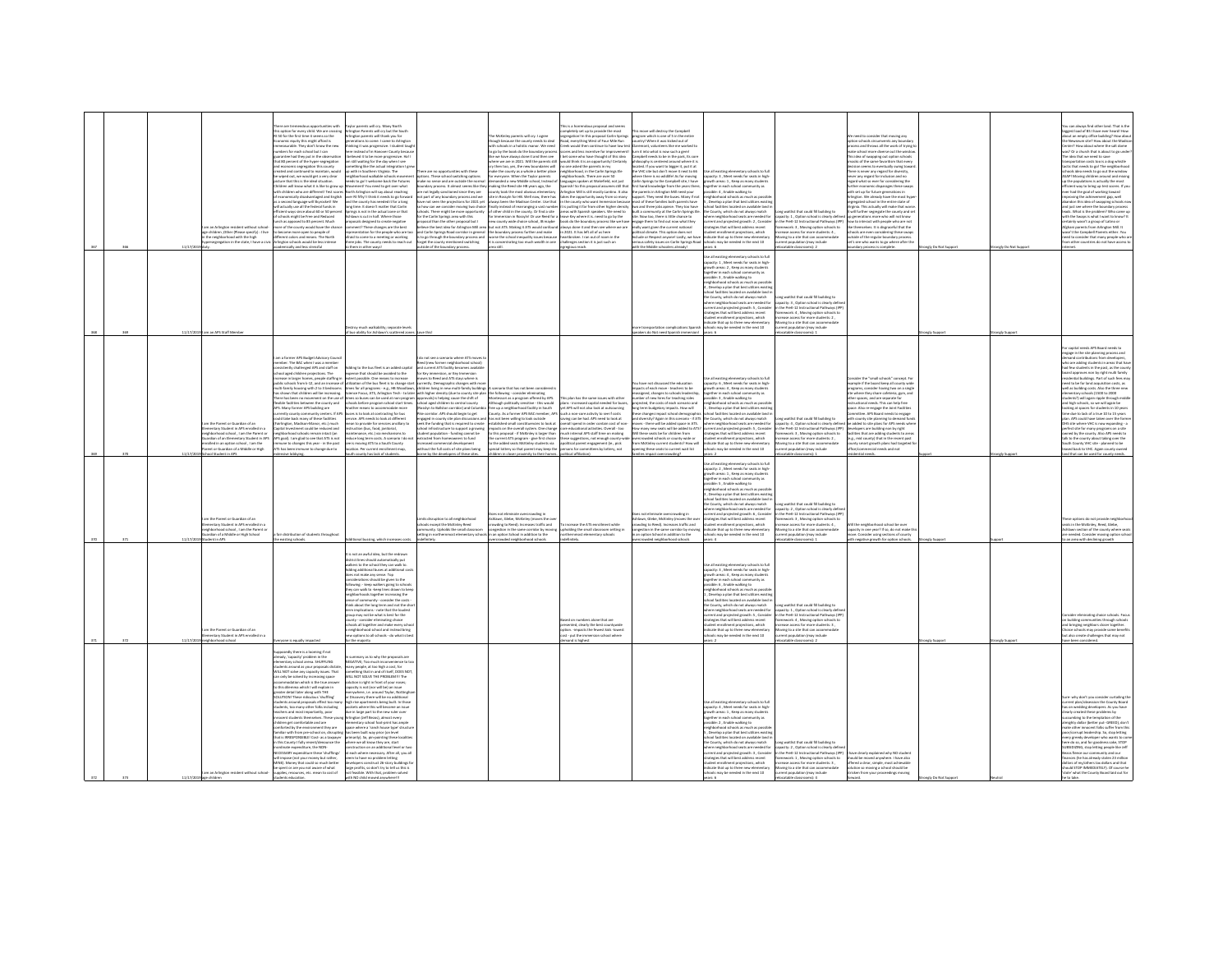|                                                                                                                                                                                                                                                                                | option for every child. We are cro<br>50 for the first time it seems so the<br>cenic equity this might afford is<br>surable. They don't know the new<br>bers for each school but I can<br>antee had they put in the observati<br>at 80 percent of the hyper-segregation<br>mic segregation this county<br>Id continued to maintain, wo<br>ated and co<br>wiped out, we would get a very clear<br>ture that this is the ideal situation<br>ildren will know what it is like to erow<br>th children who are different! Test scr<br>conomically disadvantaged and English<br>second language will Skyrocket! We                                                                                                                                                                                                                                                                                                                                                                                           | narents will rry. Many North<br>gton Parents will cry but the South<br>gton parents will thank you for<br>rations to come. I came to Arlinator<br>nking it was progressive. I student taug<br>re instead of in Hanover County becaus<br>leved it to be more progressive. Ha!<br>still waiting for the day when I see<br>thing like the actual integration I go<br>with in Southern Virginia. The<br>ghborhood walkable schools movem<br>ds to go! I welcome back the Futures<br>Suffer 19yd Deal of been up? I freen<br>rth Arlington will say about reaching<br>er Rt fiftyl I think it needs to go forwar<br>d the county has needed it for a long                                                                                                                                                                                                                                                                                                                                         | are no concernicities with these<br>ptions. These school switching options<br>nake no sense and are outside the norm<br>dary process. It almost seems like the<br>ot legally sanctioned since they are<br>ot part of any boundary process and we<br>we not seen the projections for 2021 ye                                                                                                                                                                                                                                                                                                                                                         | he McKinley parents will cry. I agree<br>hough because the county needs to deal<br>with schools in a holistic manor. We need<br>go by the book do the boundary proces<br>te we have always done it and then see<br>then too, yes, the new boundaries will<br>make the county as a whole a better place<br>for everyone. When the Taylor parents<br>making the Reed site HB years ago, the<br>ty took the most obvious elementary<br>site in Rossyln for HB. Well now, there has<br>always been the Madison Center. Use that                                                                                                                                                                                                                               | pletely set up to provide the most<br>regation! In this proposal Carlin Spring<br>oad, everything West of Four Mile Run<br>reek would then continue to have low te<br>ores and less incentive for improver<br>I bet some who have thought of this idea<br>here we are in 2021. Will the parents still would think it is an opportunity! Certain!<br>one asked the parents in my<br>eighborhood, in the Carlin Springs Ele<br>eighborhoods. There are over 50<br>demanded a new Middle school, Instead of Baneuages spoken at Wakefield, not just<br>rish! So this proposal assumes still th<br>ngton Mill is still mostly Lantino. It also<br>ies the opportunity away from so many<br>in the county who want Immersion becau                                                                     | move will destroy the Campbell<br>ogram which is one of 5 in the entire<br>untry! When it was kicked out of<br>emont, volunteers like me worked to<br>n it into what is now such a geml<br>spbell needs to be in the park, its cor<br>lophy is centered around where it is<br>cated. If you want to bigger it, put it at<br>a VHC site but don't move it next to 66<br>nere there is no wildlife! As for moving<br>rlin Sorines to the Campbell site. I have<br>t hand knowledge from the years there.<br>parents in Arlington Mill need your<br>port. They need the buses. Many if not<br>ast of these families both parents have | all existing plans<br>entary schools to ful<br>pacity: 3, Meet needs for seats in high-<br>rowth areas: 1 . Keep as many student<br>rether in each school con<br>unity as<br>ible: 4, Enable walking to<br>ghborhood schools as much as pr<br>Develop a plan that best utilizes existin                                                                                                                                                                                                                                                                                                                                                                               |                                                                                                                                                                                                                                                                                                                              | need to consider that moving any<br>potion schools circumvents any boundary<br>cess and throws all the work of trying<br>a school more diverse out the wir<br>This idea of swapping out option school<br>macks of the same favoritism that every<br>on seems to eventually swing toy<br>there is never any regard for divi<br>never any regard for inclusion and no<br>regard what so ever for considering the<br>rther economic disparages these swa<br>h set up for future generations in<br>Arlington. We already have the most hy<br>agregated school in the entire state of                                                                            |            |                 | an always find other land. That is the<br>it load of BS I have ever<br>out an empty office building? How abo<br>he Newseum site? How about the Madis<br>ter? How about where the salt dome<br>s? Or a church that is about to go und<br>he idea that we need to save<br>sportation costs too is a dog whistle<br>actic that needs to go! The neighborhood<br>chools idea needs to go out the window<br>SAP! Moving children around and mixing<br>o the populations is actually the most<br>.<br>ficient way to bring up test scores. If you<br>ver had the goal of working toward<br>roving the achievement gap, well<br>don this idea of swapping schools no                                                                                                                                                                                                                                       |
|--------------------------------------------------------------------------------------------------------------------------------------------------------------------------------------------------------------------------------------------------------------------------------|--------------------------------------------------------------------------------------------------------------------------------------------------------------------------------------------------------------------------------------------------------------------------------------------------------------------------------------------------------------------------------------------------------------------------------------------------------------------------------------------------------------------------------------------------------------------------------------------------------------------------------------------------------------------------------------------------------------------------------------------------------------------------------------------------------------------------------------------------------------------------------------------------------------------------------------------------------------------------------------------------------|----------------------------------------------------------------------------------------------------------------------------------------------------------------------------------------------------------------------------------------------------------------------------------------------------------------------------------------------------------------------------------------------------------------------------------------------------------------------------------------------------------------------------------------------------------------------------------------------------------------------------------------------------------------------------------------------------------------------------------------------------------------------------------------------------------------------------------------------------------------------------------------------------------------------------------------------------------------------------------------------|-----------------------------------------------------------------------------------------------------------------------------------------------------------------------------------------------------------------------------------------------------------------------------------------------------------------------------------------------------------------------------------------------------------------------------------------------------------------------------------------------------------------------------------------------------------------------------------------------------------------------------------------------------|-----------------------------------------------------------------------------------------------------------------------------------------------------------------------------------------------------------------------------------------------------------------------------------------------------------------------------------------------------------------------------------------------------------------------------------------------------------------------------------------------------------------------------------------------------------------------------------------------------------------------------------------------------------------------------------------------------------------------------------------------------------|---------------------------------------------------------------------------------------------------------------------------------------------------------------------------------------------------------------------------------------------------------------------------------------------------------------------------------------------------------------------------------------------------------------------------------------------------------------------------------------------------------------------------------------------------------------------------------------------------------------------------------------------------------------------------------------------------------------------------------------------------------------------------------------------------|------------------------------------------------------------------------------------------------------------------------------------------------------------------------------------------------------------------------------------------------------------------------------------------------------------------------------------------------------------------------------------------------------------------------------------------------------------------------------------------------------------------------------------------------------------------------------------------------------------------------------------|-----------------------------------------------------------------------------------------------------------------------------------------------------------------------------------------------------------------------------------------------------------------------------------------------------------------------------------------------------------------------------------------------------------------------------------------------------------------------------------------------------------------------------------------------------------------------------------------------------------------------------------------------------------------------|------------------------------------------------------------------------------------------------------------------------------------------------------------------------------------------------------------------------------------------------------------------------------------------------------------------------------|-------------------------------------------------------------------------------------------------------------------------------------------------------------------------------------------------------------------------------------------------------------------------------------------------------------------------------------------------------------------------------------------------------------------------------------------------------------------------------------------------------------------------------------------------------------------------------------------------------------------------------------------------------------|------------|-----------------|-----------------------------------------------------------------------------------------------------------------------------------------------------------------------------------------------------------------------------------------------------------------------------------------------------------------------------------------------------------------------------------------------------------------------------------------------------------------------------------------------------------------------------------------------------------------------------------------------------------------------------------------------------------------------------------------------------------------------------------------------------------------------------------------------------------------------------------------------------------------------------------------------------|
| im an Arlington resident without school<br>je children "Other (Please specify) : I live<br>the neighborhood with the high<br>rsegregation in the state. I have a                                                                                                               | actually use all the federal funds in<br>ient ways since about 60 or 50 perc<br>hools might be free and Reduced<br>ch as apposed to 85 percent. Much<br>ore of the county would have the char<br>become more open to people of<br>ent colors and means. The North<br>ington schools would be less intense                                                                                                                                                                                                                                                                                                                                                                                                                                                                                                                                                                                                                                                                                              | ne time It doesn't matter that Carlin<br>ings is not in the actual zone or that<br>slawn is cut in half. Where those<br>posals designed to create negative<br>nent? These changes are the best<br>sentation for the people who are to<br>id to come to a meeting or working<br>ee jobs. The county needs to reach out                                                                                                                                                                                                                                                                                                                                                                                                                                                                                                                                                                                                                                                                        | how can we consider movine two choir<br>chools. There might be more opportunity<br>or the Carlin Springs area with this<br>cosal than the other proposal but I<br>ieve the best idea for Arlington Mill are<br>I Carlin Springs Road corridor in genera<br>s to go through the boundary process and<br>rget the county mentioned switching                                                                                                                                                                                                                                                                                                          | that both we want with the state of the boundary process further and make<br>If the boundary process further and make<br>It is concentrating too much wealth in one<br>It is concentrating too much wealth in one                                                                                                                                                                                                                                                                                                                                                                                                                                                                                                                                         | $\label{lem:conjugation} \begin{minipage}[t]{.5\textwidth} \begin{minipage}[t]{.0\textwidth} \begin{itemize} \begin{itemize} \begin{itemize} \begin{itemize} \end{itemize} \end{itemize} \end{itemize} \end{itemize} \end{minipage} \begin{minipage}[t]{.0\textwidth} \begin{itemize} \begin{itemize} \end{itemize} \end{itemize} \end{itemize} \end{minipage} \begin{minipage}[t]{.0\textwidth} \begin{itemize} \begin{itemize} \end{itemize} \end{itemize} \end{itemize} \end{minipage} \begin{minipage}[t]{.0\textwidth} \begin{itemize} \$<br>new county wide choice school. IB maybe book do the boundary process like we have<br>ays done it and then see where we an<br>in 2021. It has left all of us her<br>artbroken. I ran out of room in the<br>challenges section it is just such an | in and three inhs aniene. They frin have<br>ilt a community at the Carlin Springs Ele<br>e. Now too, there is little chance to<br>gase them to find out now what they<br>ally want given the current national<br>sitical climate. This option does not<br>ude or Respect anyonel Lastly, we ha<br>us safety issues on Carlin Springs Roa                                                                                                                                                                                                                                                                                           | nd farilities located on available land i<br>County, which do not always match<br>re neighborhood seats are needed fo<br>rent and projected erowth: 2. Conside<br>segies that will best address recent<br>ent enrollment projections, which<br>icate that up to three new elementar<br>ols may be needed in the next 10                                                                                                                                                                                                                                                                                                                                               | ong waitlist that could fill building to<br>acity: 1, Option school is clearly def<br>in the PreK-12 Instructional Pathways (IPP) how to interact with people who are not<br>Nework: 3, Moving option schools to<br>ease access for more students: 4,<br>wing to a site that can accommodate<br>nt population (may include   | inia This artually will make that were<br>It will further segregate the county and set<br>up generations more who will not know<br>ke themselves. It is disgraceful that the<br>sis are even considering these swa<br>tside of the regular boundary process<br>et's see who wants to go where after th                                                                                                                                                                                                                                                                                                                                                      |            |                 | of just see where the houndary nonress<br>na pass are women will boundary process<br>ads. What is the problem? Who came u<br>ith the Swaps is what I want to know? It<br>ertainly wasn't a group of Latino or<br>ed to consider that many people who a<br>other countries do not have access to                                                                                                                                                                                                                                                                                                                                                                                                                                                                                                                                                                                                     |
|                                                                                                                                                                                                                                                                                | mically and less stressful                                                                                                                                                                                                                                                                                                                                                                                                                                                                                                                                                                                                                                                                                                                                                                                                                                                                                                                                                                             | leysur nother ways!<br>troy much walkability: separate level<br>ability for Ashlawn's scattered zon                                                                                                                                                                                                                                                                                                                                                                                                                                                                                                                                                                                                                                                                                                                                                                                                                                                                                          | side of the boundary process.                                                                                                                                                                                                                                                                                                                                                                                                                                                                                                                                                                                                                       | Jiba ses                                                                                                                                                                                                                                                                                                                                                                                                                                                                                                                                                                                                                                                                                                                                                  | vgious reach.                                                                                                                                                                                                                                                                                                                                                                                                                                                                                                                                                                                                                                                                                                                                                                                     | th the Middle schoolers already!<br>e transportation complications Spanis<br>eakers do Not need Spanish immers                                                                                                                                                                                                                                                                                                                                                                                                                                                                                                                     | ie all existing elementary schools to ful<br>apacity: 1 . Meet needs for seats in high<br>xther in each school commu<br>isible: 3 , Enable walking to<br>ishborhood schools as much as possi<br>Develop a plan that best utilizes existin<br>iool facilities located on available land<br>: County, which do not always match<br>where neighborhood seats are needed for<br>rrent and projected growth: S , Conside<br>rategies that will best address recent<br>nrollment projections, which<br>dicate that up to three new elementary<br>ols may be needed in the next 10                                                                                           | atable classrooms): 2<br>ong waitlist that could fill building to<br>apacity: 3, Option school is clearly defi<br>n the DreK-12 Instructional Dathways (ID)<br>Nework: 4, Moving option schools<br>ease access for more students: 2<br>oving to a site that can accommodate<br>lation (may include<br>catable classrooms): : | dary process is co                                                                                                                                                                                                                                                                                                                                                                                                                                                                                                                                                                                                                                          |            | nely Do Not Sus |                                                                                                                                                                                                                                                                                                                                                                                                                                                                                                                                                                                                                                                                                                                                                                                                                                                                                                     |
| m the Parent or Guardian of an<br>nentary Student in APS enrolled in a<br>historical school, I am the Parent or<br>historical school, I am the Parent or<br>dian of an Elementary Student in AP<br>olled in an ootion school . I am the<br>ent or Guardian of a Middle or High | m a former APS Budget Advisory Coun<br>mber. The BAC when I was a member<br>bently challenged APS and staff on<br>ol aged children projections. The<br>ase in larger homes, people staffing is<br>blic schools from k-12, and an increase<br>nulti-family housing with 2 to 3 bedrooms<br>as shown that children will be increasing.<br>here has been no movement on the use o<br>rrently county community centers. If A<br>uld take back many of these facilities<br>rlington, Madison-Manor, etc.) much<br>ital Investment could be reduced and<br>eighborhood schools remain intact (an<br>'S goal). I am glad to see that ATS is no<br>une to changes this year - in the past<br>S has been immune to change due to                                                                                                                                                                                                                                                                                | ding to the bus fleet is an added capital<br>me that should be avoided to the<br>ent possible. One means to increase<br>ization of the bus fleet is to change star<br>mes for all programs - e.g., HB Woodlawn,<br>sience Focus, ATS, Arlington Tech - to later<br>mes so buses can be used at non-program<br>hools before program school start times<br>nother means to accommodate more<br>ses is to look at contracting for bus<br>rvice. APS needs to look at different<br>an to provide for services ancillary to<br>uction (bus, food, janitorial,<br>rtenance, etc.) via mechanisms to<br>uce long term costs. A scenario I do no<br>is moving ATS to a South County<br>in Dary<br>Iment map,<br>r current enrollm<br>tv has lack of stud                                                                                                                                                                                                                                             | lo not see a scenario where ATS moves<br>ed (new former neighborhood school)<br>nd current ATS facility becomes availabl<br>Key immersion, or Key Immer<br>es to Reed and ATS stays where is<br>ently. Demographic changes with m<br>ildren living in new multi-family building<br>school ared children to central county<br>slyn to Ballston corridor) and Colum<br>corridor. APS should begin to get<br>eek the funding that is required to creat<br>hool infrastructure to support a growing<br>dent population - funding cannot be<br>racted from homeowners to fund<br>reased commercial development<br>out the full costs of site plans being | marin that has not hean considered<br>with higher density (due to county site plan) the following - consider eliminating<br>sprovals) is helping cause the shift of Montessori as a program offered by APS.<br>Although politically sensitive - this would<br>free up a neighborhood facility in South<br>County. As a former APS BAC member, AP<br>gaged in county site plan discussions and has not been willing to look outside<br>wk the funding that is required to create restablished small constituencies to look at<br>spacts on the overall system. One change<br>this proposal - if McKinley is larger than<br>te current ATS program - give first choice<br>to the added seats McKinley students via<br>l lottery so that parent may keep the | is plan has the same issues with other<br>plans - increased capital needed for buse<br>vet APS will not also look at outsourcin<br>such a non-core activity to see if costs<br>saving can be had. APS need to look at<br>erall spend in order contain cost of no<br>core educational activities. Overall - too<br>ch internal APS staff time on making<br>ise suggestions, not enough county<br>olitical parent engagement (ie., pick<br>snes for con<br>ies by lottery, not                                                                                                                                                                                                                                                                                                                      | tu have not discussed the education<br>tarts of early move - tearbers to be<br>signed, changes to schools leader<br>ber of new hires for teaching roles<br>ected, the costs of each scenario and<br>term budgetary impacts. How will<br>e changes impact school demograp<br>diversity? Again in this scenario - if AT<br>ves - there will be added space in ATS.<br>many new seats will be added to ATS?<br>these seats be for children from<br>crowded schools or county-wide o<br>m McKinley current students? How will<br>ing these seats to current wait list                                                                  | all existing elementary schools to full<br>acity: 6, Meet needs for seats in high<br>eth areas: 4 . Keep as many student<br>ether in each school commi<br>sible: 3 , Enable walking to<br>tmunity as<br>ishborhood schools as much as possib<br>.<br>Nevelop a plan that best utilizes exis<br>servery is paint one case using each<br>tool facilities located on available land<br>County, which do not always match<br>ere neighborhood seats are needed for<br>rrent and projected growth: S , Consider<br>rategies that will best address recent<br>udent enrollment projections, which<br>dicate that up to three new elementary<br>may be needed in the next 10 | ong waitlist that could fill building to<br>pacity: 4, Option school is clearly defin<br>n the PreK-12 Instructional Pathways (IPP)<br>Nework: 3, Moving option schools to<br>ease access for more students: 2,<br>oving to a site that can accommodate<br>ion (may include                                                  | sider the "small schools" concept. Fo<br>sumple if the board keep all county wide<br>serams, consider having two on a singl<br>where they share cafeteria, gym, and<br>ther spaces, and are separate fo<br>tructional needs. This can help free<br>pace. Also re-engage the Joint Facilities<br>Committee. APS Board needs to engage<br>h county site planning to demand fun<br>be added to site plans for APS needs whe<br>plopers are building non by right<br>developers are summing non-uy<br>facilities that are adding students to area<br>(e.g., mid county) that in the recent past<br>unty smart erowth plans had tarreted f<br>cial needs and not |            |                 | anital needs APS Roard needs to<br>page in the site planning process and<br>mand contributions from developers,<br>yho are adding students in areas that hay<br>few students in the past, as the count<br>d approves non by right multi family<br>ential buildings. Part of such fees ma<br>red to be for land acquisition costs, as<br>well as building costs. Also the three new<br>niementary schools (1500 to 2000<br>tudents?) will again ripple through middle<br>nd high schools, so we will again be<br>oking at spaces for students in 10 years<br>ne due to lack of a true 10 to 15 years<br>ian. APS could have taken over the form<br>HS site where VHC is now expanding - a<br>serfect site for many programs on a site<br>wined by the county. Also APS needs to<br>k to the county about taking over th<br>uth County VHC site - planned to be<br>sed back to VHC. Again county owne |
| Student in APS<br>m the Parent or Guardian of an<br>entary Student in APS enrolled in a<br>Nhorbood school 1 am the Darent /<br>dian of a Middle or High School                                                                                                                | distribution of students throughout                                                                                                                                                                                                                                                                                                                                                                                                                                                                                                                                                                                                                                                                                                                                                                                                                                                                                                                                                                    | al bussing, which in                                                                                                                                                                                                                                                                                                                                                                                                                                                                                                                                                                                                                                                                                                                                                                                                                                                                                                                                                                         | its disruption to all neighborhood<br>ols except the McKinley Reed<br>unity Hebrids the small rises<br>ting in northernmost elementary sch                                                                                                                                                                                                                                                                                                                                                                                                                                                                                                          | ity to their<br>not eliminate overcrowding<br>Ishlawn, Glebe, McKinley (moves the or<br>uding to Reed). Increases traffic and<br>inn in the same routidor by most<br>n an option School in addition to the                                                                                                                                                                                                                                                                                                                                                                                                                                                                                                                                                | <b>Invited affiliations</b><br>crease the ATS enrollment while<br>olding the small classroom setting<br>most elementary schools                                                                                                                                                                                                                                                                                                                                                                                                                                                                                                                                                                                                                                                                   | is not eliminate overcrowding in<br>lawn, Glebe, McKinley (moves the ov<br>wding to Reed). Increases traffic and<br>tion in the same comidar by movie<br>in option School in addition to the                                                                                                                                                                                                                                                                                                                                                                                                                                       | se all existing elementary schools to full<br>sacity: 2 . Meet needs for seats in high<br>owth areas: 1 , Keep as many student<br>gether in each school community as<br>ssible: 5, Enable walking to<br>hherbood schools as much as now<br>.<br>Nevelop a plan that best utili<br>ool facilities located on available land<br>he County, which do not always match<br>re neighborhood seats are needed for<br>ent and projected growth: 6, Conside<br>tegies that will best address recent<br>t enrollment projections, which<br>instal that un to three new clame<br>s may be needed in the next 10                                                                  | one waitlist that could fill building to<br>etity: 2. Option school is clearly defi<br>the PreK-12 Instructional Pathways (IF<br>sework: 3, Moving option schools to<br>ease access for more students: 4,<br>vine to a site that can accommodate<br>ent population (may include                                              | the neighborhood school be over<br>marity in nea year? If so, do not make t<br>tre. Consider using sections of county<br>h negative growth for option schools                                                                                                                                                                                                                                                                                                                                                                                                                                                                                               |            |                 | ise options do not provide neigl<br>rats in the McKinley, Reed, Glebe<br>wn sertion of the county where se<br>eded. Cor<br>sider moving option scho                                                                                                                                                                                                                                                                                                                                                                                                                                                                                                                                                                                                                                                                                                                                                 |
| n the Parent or Guardian of an<br>ary Student in APS er<br>hbarhoad school                                                                                                                                                                                                     | existing schools.<br>cne is equally impacted                                                                                                                                                                                                                                                                                                                                                                                                                                                                                                                                                                                                                                                                                                                                                                                                                                                                                                                                                           | not an awful idea, but the redraw<br>trict lines should automatically put<br>kers to the school they can walk to.<br>fine additional buses at additional co<br>not make any sense. Top<br>iderations should be given to the<br>lowing - keep walkers going to school<br>y can walk to -keep lines drawn to keep<br>ghborhoods together increasing the<br>ise of community - consider the costs -<br>nk about the long term and not the shor<br>n implications - note that the loudes!<br>p may not be what is best for the<br>nty - consider eliminating choic<br>hools all together and make every scho<br>eighborhood school and instead bring<br>tions to all schools - do what is b<br>the majority                                                                                                                                                                                                                                                                                      |                                                                                                                                                                                                                                                                                                                                                                                                                                                                                                                                                                                                                                                     | wded neighborhood schools                                                                                                                                                                                                                                                                                                                                                                                                                                                                                                                                                                                                                                                                                                                                 | imbers alone that are<br>ed on r<br>resented, clearly the best countywide<br>tion. - impacts the fewest kids - lowes<br>& - out the immersive school where<br>and is highest                                                                                                                                                                                                                                                                                                                                                                                                                                                                                                                                                                                                                      | swded neighborhood school                                                                                                                                                                                                                                                                                                                                                                                                                                                                                                                                                                                                          | tse all existing elementary schools to full<br>pacity: 3 . Meet needs for seats in high<br>ath areas: 4, Keep as many stud<br>ther in each school community as<br>ssible: 6 . Enable walking to<br>hherbood schools as much as nossi<br>Nevelop a plan that best utilize<br>al facilities located on available land<br>he County, which do not always match<br>ere neighborhood seats are needed for<br>rent and projected growth: S , Consider<br>stegies that will best address recent<br>dent enrollment projections, which<br>.<br>dicate that up to three new element<br>hools may be needed in the next 10                                                      | table class<br>Long waitlist that could fill building to<br>apacity: 1. Option school is clearly defi<br>in the PreK-12 Instructional Pathways (IP)<br>framework: 4, Moving option schools to<br>crease access for more students: 3,<br>wing to a site that can accom<br>atable classrooms): 2                               |                                                                                                                                                                                                                                                                                                                                                                                                                                                                                                                                                                                                                                                             | nely Suppr | analy Suppo     | n area with declining growth<br>inating choice schools.<br>uilding con<br>ities through schools<br>ind bringing neighbors closer together.<br>toice schools may provide some benefit<br>also create challenges that may not<br>re been considered.                                                                                                                                                                                                                                                                                                                                                                                                                                                                                                                                                                                                                                                  |
| am an Arlington resident without school-                                                                                                                                                                                                                                       | sedly there is a looming if not<br>eady, 'capacity' problem in th<br>emertary school arena. SHUFFLING<br>udents around as your proposals dictate<br>ILL NOT solve any capacity issues. That<br>only be solved by increasing space<br>commodation which is the true ans<br>this difemma which I will explain in<br>ater detail later along with THE<br>.<br>DLUTIONI These ridiculous 'shuffling'<br>tudents around proposals effect too mar<br>tudents, too many other folks including<br>hers and most importantly, poor<br>scent students themselves. These you<br>ildren get comfortable and are<br>mforted by the environment they are<br>miliar with from pre-school on, disruptis<br>at is IRRESPONSIBLE! Cost- as a taxoave<br>this County I fully res<br>nate expenditure, the NON-<br>CESSARY expenditure these 'shufflings<br>Il impose (not your money but rather<br>NE). Money that could so much better<br>e spent or are you not aware of what<br>plies, resources, etc. mean to cost of | nmary as to why the proposals are<br>SATIVE; Too much inc<br>ny people, at too high a cost, for<br>nething that in and of itself, DOES NOT<br>LL NOT SOLVE THE PROBLEM !!! The<br>.<br>Ison is right in front of your noses;<br>city is not (nor will be) an issue<br>ywhere, i.e. around Taylor, Nottingh<br>covery there will be no additional<br>ricovery there will be no additional<br>rise apartments being built. In those<br>lets where this will become an issue<br>in large part to the new ruler over<br>inston (Jeff Bezos), almost every<br>mentary school foot-print has ample<br>ice where a 'ranch house type' structu<br>been built way prior (on level<br>narily). So, pin-pointing these localitie<br>ere we all know they are. start<br>uction on an additional level or tr<br>each where necessary. After all, you all<br>to have no problem letting<br>truct 26-story buildings f<br>ge profits, so don't by to tell us this is<br>feasible. With that, problem solved |                                                                                                                                                                                                                                                                                                                                                                                                                                                                                                                                                                                                                                                     |                                                                                                                                                                                                                                                                                                                                                                                                                                                                                                                                                                                                                                                                                                                                                           |                                                                                                                                                                                                                                                                                                                                                                                                                                                                                                                                                                                                                                                                                                                                                                                                   |                                                                                                                                                                                                                                                                                                                                                                                                                                                                                                                                                                                                                                    | all avisting plamantary schools to ful<br>pacity: 4 , Meet needs for seats in high-<br>rowth areas: 1 , Keep as many students<br>eether in each school community as<br>sible: 2 , Enable walking to<br>ighborhood schools as much as po<br>Develop a plan that best utilizes existi<br>pol facilities located on available land<br>County, which do not always match<br>re neighborhood seats are needed fo<br>rrent and projected erowth: 3 . Consider<br>degies that will best address recent<br>ent enrollment projections, which<br>dicate that up to three new elementary<br>ask may be needed in the next 10                                                    | or waitlist that could fill huilding to<br>apacity: 2, Option school is clearly del<br>in the PreK-12 Instructional Pathways (IPP)<br>ework: 1 . Moving option schools to<br>ase access for more students: 3,<br>loving to a site that can accommodate<br>ent population (may include                                        | ave clearly explained why NO student<br>hould be moved anywhere. I have also<br>offered a clear, simple, most achievable<br>olution so moving a school should be<br>icken from your proceedings moving                                                                                                                                                                                                                                                                                                                                                                                                                                                      |            |                 | to, who don't you consider curtailing to<br>is on wedding developers. As you have<br>early created these problems by<br>mbing to the temptation of the<br>nighty dollar (better put- GREED), don't<br>ske other innocent folks suffer from thi<br>or/corrupt leadership. So, stop letting<br>very greedy developer who wants to co<br>rre do so, and for goodness sake, STOP<br>DIZING, stop letting people like Jeff<br>ezos fleece our community and our<br>nces (he has already stolen 23 million<br>.<br>Illars of my/others tax dollars and that<br>Iould STOP IMMEDIATELY). Of course he<br>tole' what the County Board laid out for                                                                                                                                                                                                                                                          |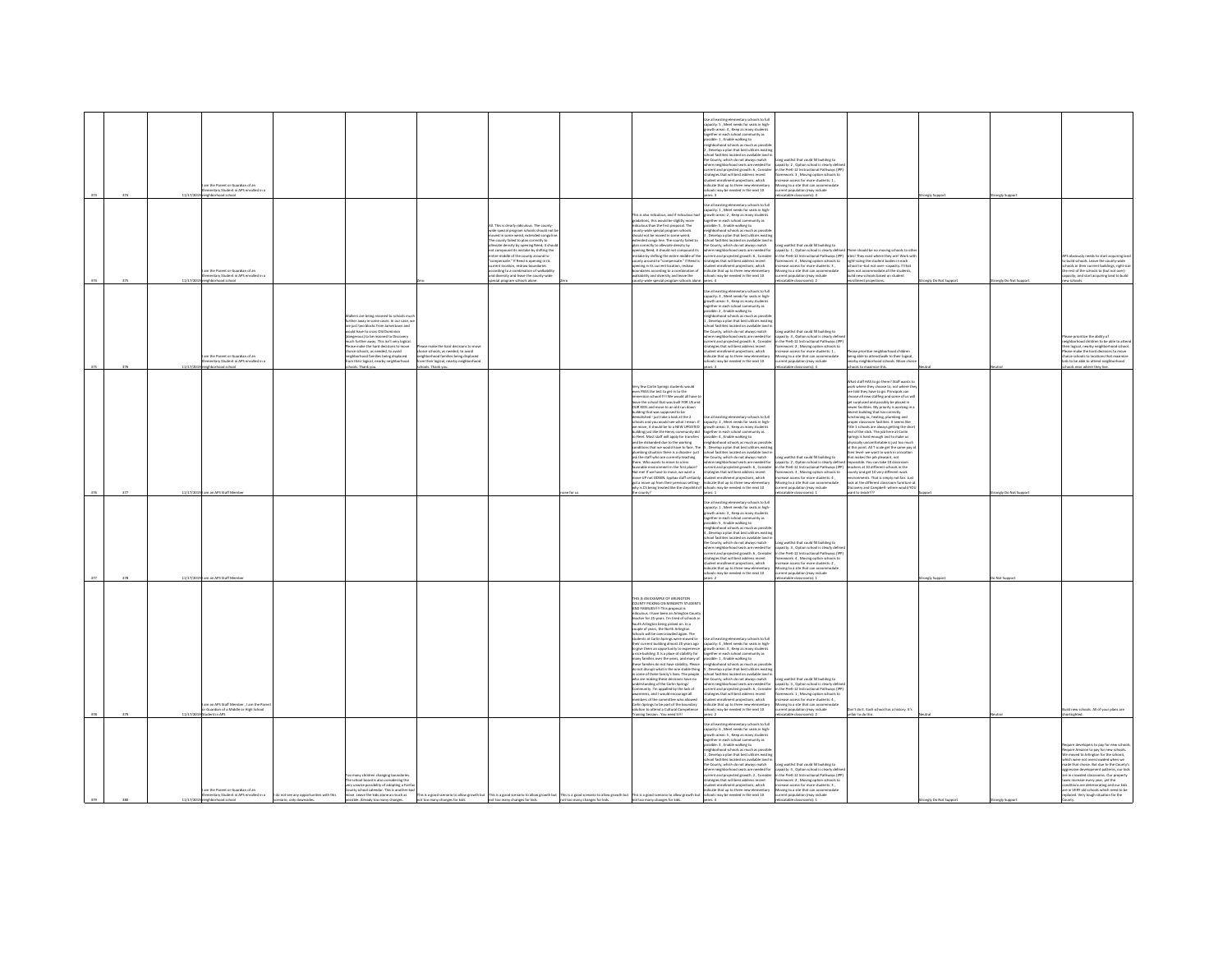|     | 324 | 11/17/1 | am the Parent or Guardian of an<br>nentary Student in APS enrolled in<br><b>Londra bonds</b> |                                                                 |                                                                                                                                                                                                                                                                                                                                                                                                                           |                                                                                                                                                                                     |                                                                                                                                                                                                                                                                                                                                                                                                                                                                                                                                                                          |                                                                                                                                                                                                                                                                                                                                                                                                                                                                                                                                                                                                                                                                                                                                                                                                                                                                                                                                                                                                                                                                                 | .<br>Jse all existing elementary schools to full<br>spacity: 5 , Meet needs for seats in high-<br>growth areas: 4, Keep as many student<br>gether in each school community as<br>uble: 1 . Enable walking to<br>sease. 2 , Lisabe wannig to<br>ghborhood schools as much as possi<br>Develop a plan that best utilizes exis<br>ool facilities located on available land<br>the County, which do not always match<br>here neighborhood seats are needed for<br>over magnetonical seas are measured<br>rategies that will best address recent<br>udent enrollment projections, which<br>indicate that up to three new elementary<br>ask may be needed in the next 10<br>$\sim$                                                            | ong waitlist that could fill building to<br>acity: 2. Option school is clearly defin<br>the Dreft, 12 Instructional Dathways (ID)<br>nework: 3, Moving option schools to<br>vase access for more students: 1,<br>oving to a site that can accommodate<br>ent population (may include<br>A damnensals ables                                          |                                                                                                                                                                                                                                                                                                                                                                                                                                                                                                                                                                                                                                                                                                                                                                                                                                                                                                                                                                | alu Sunnort          |                      |                                                                                                                                                                                                                                                                                                                                                                                                                                                                                |
|-----|-----|---------|----------------------------------------------------------------------------------------------|-----------------------------------------------------------------|---------------------------------------------------------------------------------------------------------------------------------------------------------------------------------------------------------------------------------------------------------------------------------------------------------------------------------------------------------------------------------------------------------------------------|-------------------------------------------------------------------------------------------------------------------------------------------------------------------------------------|--------------------------------------------------------------------------------------------------------------------------------------------------------------------------------------------------------------------------------------------------------------------------------------------------------------------------------------------------------------------------------------------------------------------------------------------------------------------------------------------------------------------------------------------------------------------------|---------------------------------------------------------------------------------------------------------------------------------------------------------------------------------------------------------------------------------------------------------------------------------------------------------------------------------------------------------------------------------------------------------------------------------------------------------------------------------------------------------------------------------------------------------------------------------------------------------------------------------------------------------------------------------------------------------------------------------------------------------------------------------------------------------------------------------------------------------------------------------------------------------------------------------------------------------------------------------------------------------------------------------------------------------------------------------|-----------------------------------------------------------------------------------------------------------------------------------------------------------------------------------------------------------------------------------------------------------------------------------------------------------------------------------------------------------------------------------------------------------------------------------------------------------------------------------------------------------------------------------------------------------------------------------------------------------------------------------------------------------------------------------------------------------------------------------------|-----------------------------------------------------------------------------------------------------------------------------------------------------------------------------------------------------------------------------------------------------------------------------------------------------------------------------------------------------|----------------------------------------------------------------------------------------------------------------------------------------------------------------------------------------------------------------------------------------------------------------------------------------------------------------------------------------------------------------------------------------------------------------------------------------------------------------------------------------------------------------------------------------------------------------------------------------------------------------------------------------------------------------------------------------------------------------------------------------------------------------------------------------------------------------------------------------------------------------------------------------------------------------------------------------------------------------|----------------------|----------------------|--------------------------------------------------------------------------------------------------------------------------------------------------------------------------------------------------------------------------------------------------------------------------------------------------------------------------------------------------------------------------------------------------------------------------------------------------------------------------------|
|     |     |         | m the Parent or Guardian of an<br>antary Student in APS enrolled in a<br>hood school         |                                                                 |                                                                                                                                                                                                                                                                                                                                                                                                                           |                                                                                                                                                                                     | All. This is clearly ridiculous. The county<br>wide special program schools should not be<br>moved in some weird, extended conga line.<br>The county failed to plan correctly to<br>alleviate density by opening Reed; it shoe<br>not compound its mistake by shifting the<br>not compound its mission by stiming the<br>entire middle of the county around to<br>"compensate." If Reed is opening in its<br>current location, redraw boundaries<br>according to a combination of walkability<br>and diversity and leave the county-wide<br>ecial program schools alone. | tis is also ridiculous, and if ridiculous had<br>radations, this would be slightly more<br>idiculous than the first proposal. The<br>sunty-wide special program schools<br>tould not be moved in some weird,<br>ended conea line. The county failed to<br>lan correctly to alleviate density by<br>pening Reed; it should not compound its<br>istake by shifting the entire middle of the<br>bunty around to "compensate." If Reed is<br>pening in its current location, redraw<br>undaries according to a combination of<br>Ikability and diversity and leave the<br>ty-wide special program schools                                                                                                                                                                                                                                                                                                                                                                                                                                                                           | se all existing elementary schools to full<br>apacity: 1, Meet needs for seats in high<br>with areas: 2 . Keep as many student<br>rether in each school community as<br>sible: 5, Enable walking to<br>ighborhood schools as much as possible<br>Develop a plan that best utilizes existin<br>hool facilities located on available land i<br>source rates and the County, which do not always match<br>the County, which do not always match<br>where neighborhood seats are needed for<br>strategies that will best address recent<br>student enrollment projections, which<br>dicate that up to three new elementary<br>ools may be needed in the next 10                                                                             | waitlist that could fill building to<br>eng www.trust trust could mi building to<br>spacity: 1 , Option school is clearly defined<br>the PreK-12 Instructional Pathways (IPP)<br>amework: 4 , Moving option schools to<br>rease access for more students: 3,<br>oving to a site that can accommodate<br>ation fensy include<br>table classrooms): 2 | should be no moving schools to a<br>sites! They exist where they are! Work wit<br>right-sizing the student bodies in each<br>school to--but not over-capacity. If that<br>loes not accommodate all the students,<br>suild new schools based on student<br>nent projection                                                                                                                                                                                                                                                                                                                                                                                                                                                                                                                                                                                                                                                                                      | ongly Do Not Support | trongly Do Not Suppo | eds to start acquiring la<br>build schools. Leave the county-wide<br>hools in their current buildings; right-siz<br>he rest of the schools to (but not over)<br>acity; and start acquiring land to build                                                                                                                                                                                                                                                                       |
|     |     |         | n the Parent or Guardian of an<br>ntary Student in APS enrolled in<br>loorloa boorhodrigie   |                                                                 | kers are being rezoned to schools mu<br>urther away in some cases. In our case, we<br>e just two blocks from Jamestown and<br>suld have to cross Old Dominion<br>gerous) to be rezoned to Discovery<br>ch further away. This isn't very logical<br>ase make the hard decisions to move<br>tice schools, as needed, to avoid<br>borhood families being displaced<br>their logical, nearby neighborhood<br>ools. Thank you. | ase make the hard decisions to move<br>choice schools, as needed, to avoid<br>neighborhood families being displaced<br>from their logical, nearby neighborhoo<br>chools. Thank you. |                                                                                                                                                                                                                                                                                                                                                                                                                                                                                                                                                                          |                                                                                                                                                                                                                                                                                                                                                                                                                                                                                                                                                                                                                                                                                                                                                                                                                                                                                                                                                                                                                                                                                 | Use all existing elementary schools to full<br>apacity: 4 . Meet needs for seats in high<br>separation and the second contract to the state of the state of the state of the state of the state of the state of the state of the state of the state of the state of the state of the state of the state of the state of th<br>. Develop a plan that best utilizes existi<br>ichool facilities located on available land i<br>the County, which do not always match<br>ere neighborhood seats are needed for<br>urrent and projected growth: 6, Consider<br>rategies that will best address recent<br>dent enrollment projections, which<br><b>Scate that up to three new elementary<br/>hools may be needed in the next 10</b><br>ers 3 | g waitlist that could fill building to<br>apacity: 3, Option school is clearly def<br>in the PreK-12 Instructional Pathways (IPF<br>amework: 2, Moving option schools to<br>hase access for more students: 1.<br>ving to a site that can accomm<br>vent population (may include<br>nodate<br>ocatable classrooms): 4                                | e prioritize neighborhood children<br>schools to maximize this.                                                                                                                                                                                                                                                                                                                                                                                                                                                                                                                                                                                                                                                                                                                                                                                                                                                                                                |                      |                      | ease prioritize the ability of<br>ghborhood children to be able to atte<br>ir logical, nearby neighborhood schoo<br>ase make the hard decisions to move<br>oice schools to locations that maximiz<br>Is to be able to attend neighborhood<br>ools near where they live.                                                                                                                                                                                                        |
|     |     |         | im an APS Staff Mer                                                                          |                                                                 |                                                                                                                                                                                                                                                                                                                                                                                                                           |                                                                                                                                                                                     |                                                                                                                                                                                                                                                                                                                                                                                                                                                                                                                                                                          | lery few Carlin Springs students would<br>wen PASS the test to get in to the<br>mersion school!!!!! We would all have<br>eave the school that was built FOR US and<br>OUR KIDS and move to an old run down<br>uilding that was supposed to be<br>lemolished - just take a look at the 2<br>chools and you would see what I mean. If<br>e move, it should be to a NEW UPDATED<br>uilding just like the Henry community did<br>o Fleet. Most staff will apply for transfers<br>ind be disbanded due to the working<br>ditions that we would have to face. The<br>umbing situation there is a disaster- just<br>sk the staff who are currently teaching<br>here. Who wants to move to a less<br>avorable environment in the first place?<br>lot me! If we have to move, we want a<br>now UP not DOWN. Syghax staff certainly<br>ot a move up from their previous setting-<br>why is CS being treated like the stepchild of                                                                                                                                                         | se all existing elementary schools to full<br>capacity: 2, Meet needs for seats in high-<br>growth areas: 3, Keep as many students<br>together in each school community as<br>possible: 4 , Enable walking to<br>neighborhood schools as much as possib<br>, Develop a plan that best utilizes existi<br>school facilities located on available land i<br>the County, which do not always match<br>where neighborhood seats are needed for<br>current and projected growth: 6, Consider<br>strategies that will best address recent<br>student enrollment projections, which<br>.<br>Indicate that up to three new elementa<br>schools may be needed in the next 10                                                                     | ng waitlist that could fill building to<br>ang watter chain count in business to<br>spacity: 2 , Option school is clearly defined<br>the PreK-12 Instructional Pathways (IPP)<br>ramework: 3 , Moving option schools to<br>rease access for more students: 4.<br>oving to a site that can accomm<br>on (may include<br>atable classrooms):          | What staff HAS to go there? Staff wants to<br>work where they choose to, not where the<br>are told they have to go. Principals can<br>choose all new staffing and some of us will<br>et surplused and possibly be placed in<br>ver facilities. My priority is working in<br>ent building that has correctly<br>ctioning ac, heating, plumbing and<br>oper classroom facilities. It seems like<br>Title 1 schools are always getting the sho<br>end of the stick. The job here at Carlin<br>eings is hard enough and to make us<br>rysically uncomfortable is just too mu<br>this point. All T scale get the same pay a<br>heir level- we want to work in a location<br>t makes the job pleasant, not<br>impossible. You can take 10 classroom<br>teachers at 10 different schools in the<br>county and get 10 very different work<br>ronments. That is simply not fair, Just<br>only at the different classroom furniture a<br>ry and Campbell- where would YO |                      | ngly Do Not 5        |                                                                                                                                                                                                                                                                                                                                                                                                                                                                                |
|     |     |         | I am an APS Staff Men                                                                        |                                                                 |                                                                                                                                                                                                                                                                                                                                                                                                                           |                                                                                                                                                                                     |                                                                                                                                                                                                                                                                                                                                                                                                                                                                                                                                                                          |                                                                                                                                                                                                                                                                                                                                                                                                                                                                                                                                                                                                                                                                                                                                                                                                                                                                                                                                                                                                                                                                                 | Use all existing elementary schools to full<br>spacity: 1, Meet needs for seats in high<br>owth areas: 3, Keep as many studen<br>growth areas: 3 , Keep as many student<br>together in each school community as<br>possible: 5 , Enable walking to<br>neighborhood schools as much as possil<br>. Develop a plan that best utilizes existi<br>ichool facilities located on available land<br>the County, which do not always match<br>ere neighborhood seats are needed for<br>current and projected growth: 6, Consider<br>trategies that will best address recent<br>udent enrollment projections, which<br>dicate that up to three new elementar<br>Is may be needed in the next 10<br>$\text{circ 2}$                               | g waitlist that could fill building to<br>apacity: 3, Option school is clearly def<br>in the PreK-12 Instructional Pathways (IPF<br>mework: 4 . Moving option schools to<br>asia arresi for more students 2<br>ving to a site that can accom<br>ent population (may include<br>docatable classrooms): 1                                             |                                                                                                                                                                                                                                                                                                                                                                                                                                                                                                                                                                                                                                                                                                                                                                                                                                                                                                                                                                | ongly Support        | o Not Support        |                                                                                                                                                                                                                                                                                                                                                                                                                                                                                |
| 378 |     | 11/17/2 | m an APS Staff Member , I am the Pare<br>Guardian of a Middle or High School<br>Sent in APS  |                                                                 |                                                                                                                                                                                                                                                                                                                                                                                                                           |                                                                                                                                                                                     |                                                                                                                                                                                                                                                                                                                                                                                                                                                                                                                                                                          | <b>15 IS AN EXAMPLE OF ARLINGTON</b><br>COUNTY PICKING ON MINORITY STUDENT<br>MD FAMILIES !!!! This proposal is<br>Sculous. I have been an Arlineton Cour<br>acher for 25 years. I'm tired of schools in<br>eacher for 25 years. I'm tired or scrib<br>outh Arlington being picked on. In a<br>ouple of years, the North Arlington<br>ichools will be overcrowded again. The<br>udents at Carlin Springs were moved to<br>heir current building almost 20 years ago<br>o give them an opportunity to experience<br>nice building. It is a place of stability for<br>any families over the years, and many of<br>ese families do not have stability. Please<br>not disrupt what is the one stable thing<br>some of these family's lives. The people<br>aho are making these decisions have no<br>anderstanding of the Carlin Springs'<br>community. I'm appalled by the lack of<br>vareness, and I would encourage all<br>when of the committee who allow<br>arlin Springs to be part of the boundary<br>ution to attend a Cultural Competenc<br>aining Session . You need it!!! | Jse all existing elementary schools to full<br>capacity: 4 , Meet needs for seats in high-<br>growth areas: 3 , Keep as many students<br>together in each school community as<br>possible: 1, Enable walking to<br>neighborhood schools as much as possil<br>. Develop a plan that best utilizes existi<br>S, beveraly a pain time one untiles extending<br>school facilities located on available land in<br>the County, which do not always match<br>where neighborhood seats are needed for<br>urrent and projected growth: 6 , Consider<br>trategies that will best address recent<br>udent enrollment projections, which<br>dicate that up to three new elementary<br>hooks may be needed in the next 10<br>are 2                  | ong waitlist that could fill building to<br>acity: 3, Option school is clearly defi<br>in the PreK-12 Instructional Pathways (IPF<br>nework: 1 . Moving option schools to<br>ase access for more students: 4<br>ving to a site that can accom<br>ition (may include<br>stable classrooms): 2                                                        | n't do it. Each school has a history. It's<br>mfair to do this.                                                                                                                                                                                                                                                                                                                                                                                                                                                                                                                                                                                                                                                                                                                                                                                                                                                                                                |                      |                      | d new schools. All of your plans are<br>ortsighted.                                                                                                                                                                                                                                                                                                                                                                                                                            |
|     |     |         | am the Parent or Guardian of an<br>entary Student in APS enrolled in a<br>hood school        | do not see any opportunities with this<br>ario, only downsides. | children changing bo<br>school board is also<br>y unwise possibility of adopting a Fairfax<br>County school calendar. This is another bad<br>move. Leave the kids alone as much as<br>sible. Already too many changes.                                                                                                                                                                                                    |                                                                                                                                                                                     |                                                                                                                                                                                                                                                                                                                                                                                                                                                                                                                                                                          | This is a good scenario to allow growth but This is a good scenario to allow growth but This is a good scenario to allow growth but sailow growth but in this is a good scenario to allow growth but schools may be needed in                                                                                                                                                                                                                                                                                                                                                                                                                                                                                                                                                                                                                                                                                                                                                                                                                                                   | be all existing elementary schools to full<br>spacity: 6, Meet needs for seats in high-<br>growth areas: 5, Keep as many students<br>together in each school community as<br>ssible: 3, Enable walking to<br>wighborhood schools as much as possibl<br>Develop a plan that best utilize<br>school facilities located on available land i<br>the County, which do not always match<br>here neighborhood seats are needed for<br>ener and projected growth: 2 , Consider<br>rategies that will best address recent<br>udent enrollment projections, which<br>indicate that up to three new elementary                                                                                                                                     | ong waitlist that could fill building to<br>apacity: 4 . Option school is clearly defin<br>the PreK-12 Instructional Pathways (IPP)<br>ramework: 2 , Moving option schools to<br>rase access for more students: 3,<br>Aoving to a site that can accommodate<br>rrent population (may include                                                        |                                                                                                                                                                                                                                                                                                                                                                                                                                                                                                                                                                                                                                                                                                                                                                                                                                                                                                                                                                |                      |                      | uire developers to pay for new school<br>suire Amazon to pay for new schools.<br>towed to Arlington for the schools,<br>ich were not overcrowded when we<br>de that choice. But due to the County's<br>gressive development patterns, our kids<br>wastwwwww.community.com<br>n crowoed cussrooms. Our property<br>s increase every year, yet the<br>ditions are deteriorating and our kids<br>are in VERY old schools which need to be<br>placed. Very tough situation for the |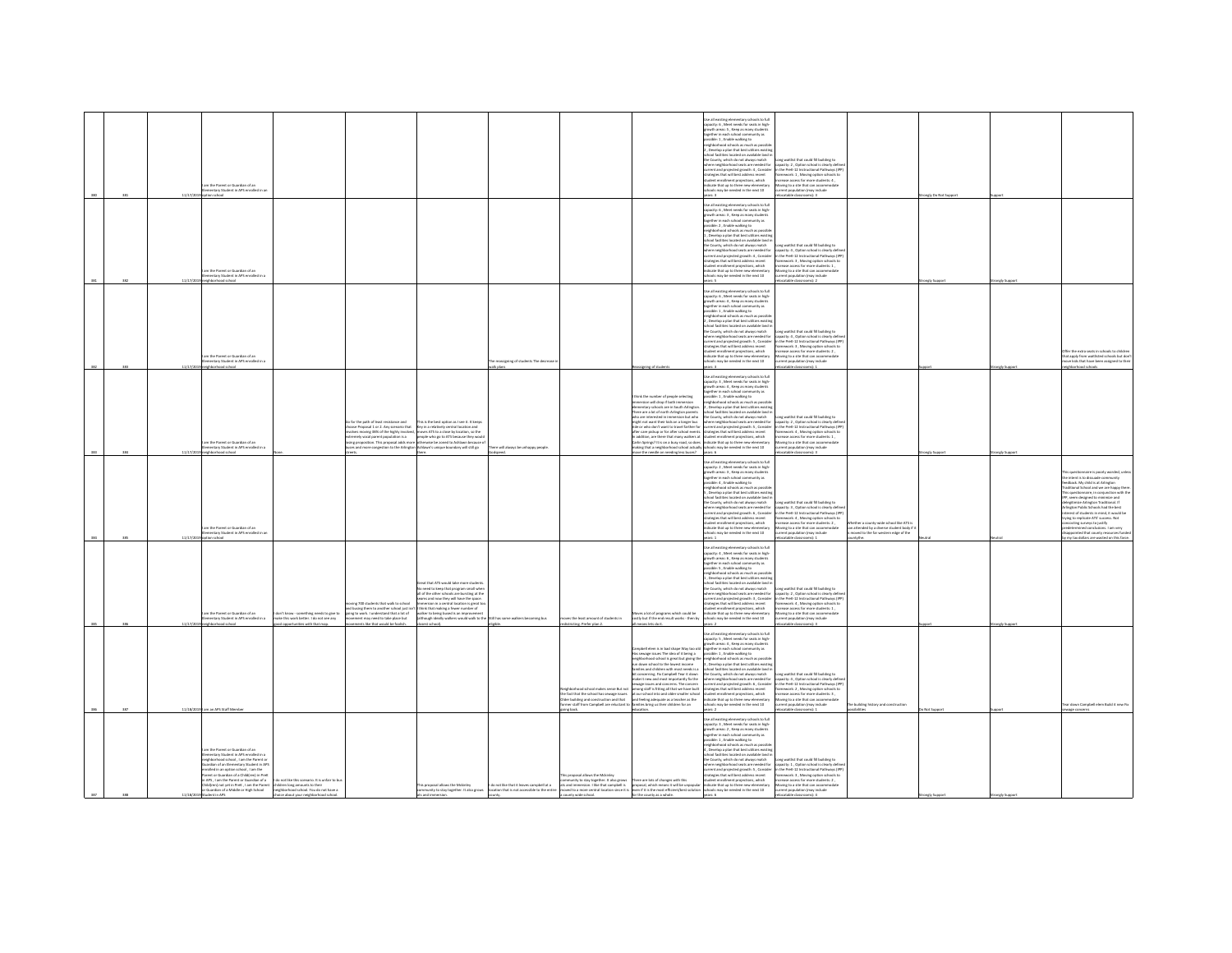|  |        | m the Parent or Guardian of an<br>entary Student in APS enrolled in a<br>loorlas noit                                                                                                                                                                                                                                                                                                                                                                            |                                                                                                                     |                                                                                                                                                                                                                                                                                                 |                                                                                                                                                                                                                                                                                                                                                           |                                                  |                                                                                                                                                                                                                                                                             |                                                                                                                                                                                                                                                                                                                                                                                                                                                                                                                                                                                                  | Use all existing elementary schools to full<br>capacity: 6 , Meet needs for seats in high-<br>owth areas: 5, Keep as many student<br>ether in each school community as<br>ible: 1, Enable walking to<br>eighborhood schools as much as possibl<br>, Develop a plan that best utilizes existir<br>hool facilities located on available land i<br>e County, which do not always match<br>nere neighborhood seats are needed for<br>rent and projected growth: 4, Consider<br>atesies that will best address recent<br>dent enrollment projections, which<br>icate that up to three new elem<br>may be needed in the next 10                                                                                                      | Long waitlist that could fill building to<br>capacity: 2 , Option school is clearly define<br>in the PreK-12 Instructional Pathways (IPP<br>framework: 1 . Moving option schools to<br>rease access for more students: 4.<br>loving to a site that can accomm<br>arrent population (may include<br>catable classrooms): 3                                           |                                                                                                                                   | aly Do Not Suppo |              |                                                                                                                                                                                                                                                                                                                                                                                                                                                                                                                                                                                                           |
|--|--------|------------------------------------------------------------------------------------------------------------------------------------------------------------------------------------------------------------------------------------------------------------------------------------------------------------------------------------------------------------------------------------------------------------------------------------------------------------------|---------------------------------------------------------------------------------------------------------------------|-------------------------------------------------------------------------------------------------------------------------------------------------------------------------------------------------------------------------------------------------------------------------------------------------|-----------------------------------------------------------------------------------------------------------------------------------------------------------------------------------------------------------------------------------------------------------------------------------------------------------------------------------------------------------|--------------------------------------------------|-----------------------------------------------------------------------------------------------------------------------------------------------------------------------------------------------------------------------------------------------------------------------------|--------------------------------------------------------------------------------------------------------------------------------------------------------------------------------------------------------------------------------------------------------------------------------------------------------------------------------------------------------------------------------------------------------------------------------------------------------------------------------------------------------------------------------------------------------------------------------------------------|--------------------------------------------------------------------------------------------------------------------------------------------------------------------------------------------------------------------------------------------------------------------------------------------------------------------------------------------------------------------------------------------------------------------------------------------------------------------------------------------------------------------------------------------------------------------------------------------------------------------------------------------------------------------------------------------------------------------------------|---------------------------------------------------------------------------------------------------------------------------------------------------------------------------------------------------------------------------------------------------------------------------------------------------------------------------------------------------------------------|-----------------------------------------------------------------------------------------------------------------------------------|------------------|--------------|-----------------------------------------------------------------------------------------------------------------------------------------------------------------------------------------------------------------------------------------------------------------------------------------------------------------------------------------------------------------------------------------------------------------------------------------------------------------------------------------------------------------------------------------------------------------------------------------------------------|
|  | 117777 | am the Parent or Guardian of an<br>nentary Student in APS enrolled in a<br><b>Internet school</b>                                                                                                                                                                                                                                                                                                                                                                |                                                                                                                     |                                                                                                                                                                                                                                                                                                 |                                                                                                                                                                                                                                                                                                                                                           |                                                  |                                                                                                                                                                                                                                                                             |                                                                                                                                                                                                                                                                                                                                                                                                                                                                                                                                                                                                  | the all existing elementary schools to full<br>e as excelling electronical y schools to the<br>pacity: 6 , Meet needs for seats in high<br>parth areas: 3 , Keep as many students<br>gether in each school community as<br>ssible: 2 . Enable walking to<br>shheeheed schools as much as no<br>gnoomood schools as much as possible<br>Develop a plan that best utilizes existir<br>hool facilities located on available land<br>the County, which do not always match<br>there neighborhood seats are needed for<br>erent and projected growth: 4 , Consider<br>rategies that will best address recent<br>udent enrollment projections, which<br>indicate that up to three new elementary<br>ols may be needed in the next 10 | Long waitlist that could fill building to<br>pacity: 4 . Option school is clearly defi-<br>in the Dreft.12 Instructional Dathways (ID)<br>se view-az instructional vatriways (<br>sework: 3 , Moving option schools t<br>ease access for more students: 1 ,<br>Aoving to a site that can accommodat<br>rrent oopulation (may include<br>C-famonyssin airlan         |                                                                                                                                   |                  |              |                                                                                                                                                                                                                                                                                                                                                                                                                                                                                                                                                                                                           |
|  |        | m the Parent or Guardian of an<br>imentary Student in APS enrolled in<br>loorhood school                                                                                                                                                                                                                                                                                                                                                                         |                                                                                                                     |                                                                                                                                                                                                                                                                                                 |                                                                                                                                                                                                                                                                                                                                                           | reassigning of students The decrease<br>alk olan |                                                                                                                                                                                                                                                                             | ssigning of students                                                                                                                                                                                                                                                                                                                                                                                                                                                                                                                                                                             | ie all existing elementary schools to full<br>apacity: 6, Meet needs for seats in high-<br>wth areas: 4, Keep as many students<br>other in each orbor<br>inity as<br>wover in each school community as<br>isible: 1 , Enable walking to<br>ghborhood schools as much as possib<br>, Develop a plan that best utilizes existin<br>pol facilities located on available land is<br>County which do not always match<br>here neighborhood seats are needed for<br>current and projected growth: S , Consider<br>strategies that will best address recent<br>udent enrollment projections, which<br>dicate that up to three new element<br>chools may be needed in the next 10<br>ers: 3                                            | ong waitlist that could fill building to<br>cong www.nt that could no building to<br>capacity: 4 , Option school is clearly definite<br>in the PreK-12 Instructional Pathways (IP)<br>framework: 3, Moving option schools to<br>screase access for more students: 2.<br>loving to a site that can accome<br>arrent population (may include<br>atable classrooms): 1 |                                                                                                                                   |                  | ongly Suppor | ffer the extra seats in schools to childre<br>at apply from waitlisted schools but do<br>ove kids that have been assigned to the<br>dochs boorhoch                                                                                                                                                                                                                                                                                                                                                                                                                                                        |
|  |        | im the Parent or Guardian of an<br>nentary Student in APS enrolled in a<br>hborhood school                                                                                                                                                                                                                                                                                                                                                                       |                                                                                                                     | for the path of least resistance and<br>ose Proposal 1 or 2. Any scenario that<br>olves moving 38% of the highly involved<br>mely vocal parent population is a<br>sing proposition. This proposal adds more<br>les and more consestion to the Arlineton Ashlawn's unique boundary will still eo | This is the best option as I see it. It keep<br>.<br>Key in a relatively central location and<br>moves ATS to a close by location, so the<br>.<br>people who go to ATS because they wou<br>otherwise be zoned to Ashlawn berainse                                                                                                                         | here will always be unhappy people.              |                                                                                                                                                                                                                                                                             | think the number of people selecting<br>mersion will drop if both immersio<br>elementary schools are in South Arlington<br>There are a lot of north Arlington parents<br>ho are interested in immersion but who<br>hight not want their kids on a longer bus<br>ide or who don't want to travel farther for<br>ifter care pickup or for after school events<br>addition, are there that many walkers at<br>Carlin Springs? It is on a busy road, so doe<br>naking that a neighborhood school actually<br>State of the gridpan no show all so                                                     | se all existing elementary schools to full<br>scity: 3 , Meet needs for seats in high-<br>wth areas: 4 , Keep as many students<br>ether in each school community as<br>ssible: 1 . Enable walking to<br>ehborhood schools as much as possib<br>registeries of a plan that best utilizes existing<br>chool facilities located on available land is<br>the County, which do not always match<br>here neighborhood seats are needed for<br>chools may be needed in the next 10                                                                                                                                                                                                                                                    | Long waitlist that could fill building to<br>capacity: 2. Option school is clearly defi-<br>in the PreK-12 Instructional Pathways (IP<br>framework: 4, Moving option schools to<br>crease access for more students: 1,<br>Aoving to a site that can accom<br>rrent population (may include<br>catable classrooms): 3                                                |                                                                                                                                   |                  | ongly Supp   |                                                                                                                                                                                                                                                                                                                                                                                                                                                                                                                                                                                                           |
|  |        | m the Darent or Guardian of an<br>entary Student in APS enrolled in a<br>ption school                                                                                                                                                                                                                                                                                                                                                                            |                                                                                                                     |                                                                                                                                                                                                                                                                                                 |                                                                                                                                                                                                                                                                                                                                                           |                                                  |                                                                                                                                                                                                                                                                             |                                                                                                                                                                                                                                                                                                                                                                                                                                                                                                                                                                                                  | Use all existing elementary schools to full<br>capacity: 2 . Meet needs for seats in high-<br>growth areas: 3 . Keep as many student<br>ogether in each school community as<br>ossible: 4 , Enable walking to<br>eighborhood schools as much as possib<br>, Develop a plan that best utilizes existin<br>.<br>hool facilities located on available land is<br>e County, which do not always match<br>ere neighborhood seats are needed for<br>rrent and projected growth: 6 , Consider<br>ategies that will best address recent<br>.<br>dent enrollment projections, which<br>icate that up to three new elementar<br>Is may be needed in the next 10<br>ers: 1                                                                | ne waitlist that could fill buildine to<br>capacity: 3, Option school is clearly definition and the PreK-12 Instructional Pathways (IP)<br>framework: 4, Moving option schools to<br>asia arress for more students-2<br>wing to a site that can accome<br>rrent population (may include<br>ocatable classrooms): 1                                                  | ther a rounts wide school like ATS is<br>a attended by a diverse student body if<br>wed to the far western edge of the<br>ntythe. |                  |              | is questionnaire is poorly worded, unle<br>e intent is to dissuade cor<br>w intent is to assuage community<br>redback. My child is at Arlington<br>raditional School and we are happy there<br>his questionnaire, in conjunction with the<br><b>IPP, seem designed to minimize and delegitimize Arlington Traditional. If</b><br>Arlington Public Schools had the best interest of students in mind, it would be<br>trying to replicate ATS' success. Not<br>ting surveys to justify<br>ermined conclusions. I am very<br>inted that county resources funde<br>y my tax dollars are wasted on this farce. |
|  |        | am the Parent or Guardian of an<br>nentary Student in APS enrolled in a<br>barhood schoo                                                                                                                                                                                                                                                                                                                                                                         | lon't know - something needs to give to<br>alor this work better. I do not see any<br>d opportunities with that map | ing 700 students that walk to school<br>busing them to another school just isn't if think that making a fewer number of<br>ing to work. I understand that a lot of<br>nent may need to take place but<br>ents like that would be foolish                                                        | at that ATS would take more stude<br>o need to keep that program small whe<br>all of the other schools are burstine at the<br>is and now they will have the space<br>sion in a central location is great to<br>walker to being bused is an improvement<br>lathough ideally walkers would walk to the Still has some walkers becoming bus<br>sest school). |                                                  | wis the least amount of students in<br>stricting. Prefer plan 2.                                                                                                                                                                                                            | es a lot of programs which could be<br>costly but if the end result works - then by<br>eans lets do it.                                                                                                                                                                                                                                                                                                                                                                                                                                                                                          | se all existing elementary schools to full<br>pacity: 4 , Meet needs for seats in high-<br>pacity: 4 , Meet needs for seats in high-<br>path areas: 6 , Keep as many students<br>together in each school community as<br>possible: S , Enable walking to<br>ighborhood schools as much as possib<br>Develop a plan that best utilizes existi<br>hool facilities located on available land<br>the County, which do not always match<br>here neighborhood seats are needed for<br>rrent and projected erowth: 3 . Conside<br>legies that will best address recent<br>dent enrollment projections, which<br>Scate that up to three new elementary<br>ools may be needed in the next 10                                            | Long waitlist that could fill building to<br>capacity: 2, Option school is clearly define<br>in the PreK-12 Instructional Pathways (IPP<br>nework: 4, Moving option schools to<br>rease access for more students: 1,<br>oving to a site that can accome<br>rent population (may include<br>table classrooms): 3                                                     |                                                                                                                                   |                  |              |                                                                                                                                                                                                                                                                                                                                                                                                                                                                                                                                                                                                           |
|  |        | 11/18/2019   am an APS Staff Membe                                                                                                                                                                                                                                                                                                                                                                                                                               |                                                                                                                     |                                                                                                                                                                                                                                                                                                 |                                                                                                                                                                                                                                                                                                                                                           |                                                  | thorhood school makes sense But not<br>he fact that the school has seware issues<br>the building and construction and that<br>timer staff from Campbell are reluctant t<br>ing back.                                                                                        | .<br>Campbell elem is in bad shape Way too old<br>Has sewage issues The idea of it being a<br>reighborhood school is great but giving the<br>un down school to the lowest income<br>milles and children with most needs is a<br>the concerning. Fix Campbell Tear it down<br>wke it new and most importantly fix the<br>wage issues and concerns. The concern<br>among staff is fitting all that we have built<br>at our school into and older smaller school<br>in our sundormed and user animals sunder<br>ind feeling adequate as a teacher as the<br>lamilies bring us their children for an | .<br>Use all existing elementary schools to full<br>capacity: 5 , Meet needs for seats in high-<br>owth areas: 4 . Keep as many students<br>gether in each school commi<br>ssible: 1 , Enable walking to<br>unity as<br>eighborhood schools as much as possi<br>. Develop a plan that best utilizes existin<br>hool facilities located on available land in<br>e County, which do not always match<br>there neighborhood seats are needed for<br>urrent and projected growth: 6 , Consider<br>strategies that will best address recent<br>dent enrollment projections, which<br>dicate that up to three new elements<br>hook may be needed in the next 10                                                                      | ong waitlist that could fill building to<br>capacity: 4, Option school is clearly defin<br>in the PreK-12 Instructional Pathways (IPI<br>framework: 2 . Moving option schools to<br>crease access for more students: 3.<br>wing to a site that can accom<br>ion (may include<br>itable classrooms): 1                                                               | building history and construction                                                                                                 | tot Suppo        |              | ear down Campbell elem Build it new Fix<br>rage concerns                                                                                                                                                                                                                                                                                                                                                                                                                                                                                                                                                  |
|  |        | in the Parent or Guardian of an<br>entary Student in APS enrolled in<br>righborhood school, I am the Parent or<br>rdian of an Elementary Student in AP!<br>diart in an notion school 1 am the<br>iroise in an opoon scrioor , i am the<br>leent or Guardian of a Child(ren) in PreK<br>APS , I am the Parent or Guardian of a<br>Child(ren) not yet in PreK, I am the Parent children long amounts to their<br>Guardian of a Middle or High School<br>int in APS | o not like this scenario. It is unfair to bu<br>eighborhood school. You do not have a<br>a about www                |                                                                                                                                                                                                                                                                                                 | his proposal allows the Mckinley                                                                                                                                                                                                                                                                                                                          |                                                  | munity to stay together. It also grows<br>roposal allows the Mckinley ido not like that it leaves campbell at a<br>unity of strying the structure in the structure in the structure in the structure in the second which means it will be unoppolar indicate that up to thr | There are lots of changes with this                                                                                                                                                                                                                                                                                                                                                                                                                                                                                                                                                              | se all existing elementary schools to full<br>Use all existing elementary schools to ful<br>capacity: 3 , Meet needs for seats in high<br>growth areas: 2 , Keep as many students<br>together in each school community as<br>ossible: 1, Enable walking to<br>abbashood schools as much as nossil<br>Develop a plan that best utili<br>I facilities located on available land<br>the County, which do not always match<br>tere neighborhood seats are needed for<br>rrent and projected growth: S , Consider<br>rategies that will best address recent<br>udent enrollment projections, which<br>indicate that up to three new elementary                                                                                      | Long waitlist that could fill building to<br>capacity: 1, Option school is clearly defin<br>in the Dreft, 12 Instructional Dathways (ID)<br>Nework: 3, Moving option schools to<br>ease access for more students: 2,<br>Moving to a site that can accommodate<br>strent population (may include                                                                     |                                                                                                                                   |                  |              |                                                                                                                                                                                                                                                                                                                                                                                                                                                                                                                                                                                                           |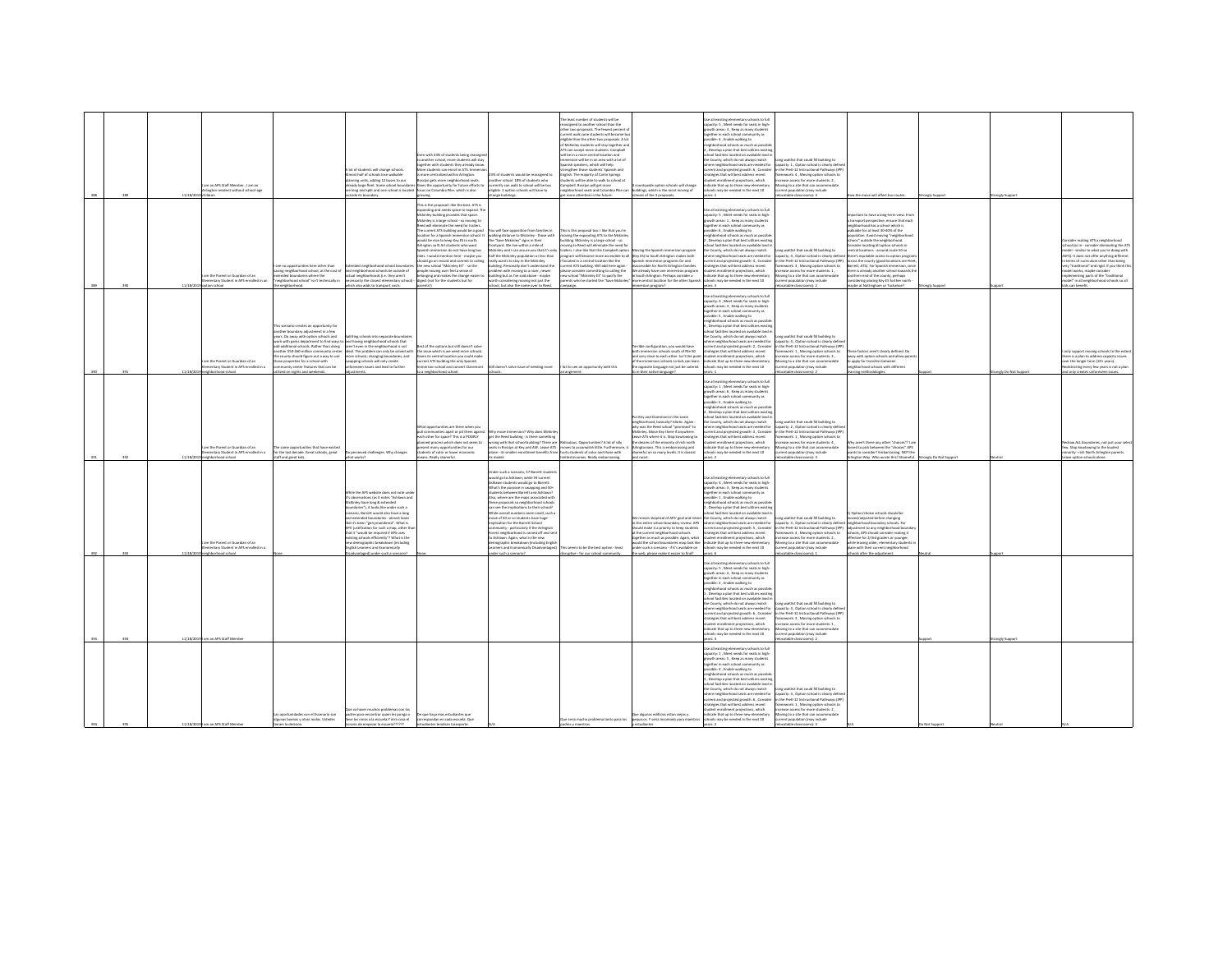| 989        | 11/18/20   | m an APS Staff Mombar 1 am an<br>ington resident without school-age                         |                                                                                                                                                                                                                                                                                                                                                                                                      | A lot of students will change schools.<br>ost half of schools lose walkable<br>nning units, adding 12 buses to our<br>ready large fleet. Some school boundari<br>v long and split and one school is locate<br>ide its boundary                                                                                                                                                                                                                                                                                                               | with 23% of students being reassi<br>another school, more students will sta-<br>ther with students they already kn<br>ore students can enroll in ATS. Immer<br>centralized within Arlington<br>lyn gets more neighborhood seats.<br>es the opportunity for future efforts to<br>us on Columbia Piloe, which is also                                                                                                                                                                                                                                                                                                                                           | % of students would be reassigned<br>nother school. 18% of students who<br>currently can walk to school will be bus<br>eligible. 2 option schools will have to<br>nee buildines.                                                                                                                                                                                                                                                                                                                                                                                                                                                                                                                | e least number of students will be<br>ssigned to another school than the<br>er two proposals. The fewest percent of<br>rent walk zone students will become bu<br>liable than the other two proposals. A lot<br>McKinley students will stay together and<br><b>ATS can accept more students. Campbell</b><br>be in a more central location and<br>mersion will be in an area with a lot of<br>rrish speakers, which will help<br>enathen those students' Spanish and<br>lish. The majority of Carlin Springs<br>ints will be able to walk to school at<br>impbell. Rosslyn will get more<br>iighborhood seats and Columbia Pi<br>nore attention in the future. | intywide option schools will change<br>dings, which is the most moving of<br>hools of the 3 proposals.                                                                                                                                                                                                                                                           | Use all existing elementary schools to full<br>capacity: 5 , Meet needs for seats in high-<br>wth areas: 3, Keep as many student<br>ether in each school community as<br>sible: A. Frable walking to:<br>ghborhood schools as much as possib<br>Develop a plan that best utilizes existin<br>ol facilities located on available land<br>the County, which do not always match<br>re neighborhood seats are needed for<br>rrent and projected arowth: 6. Consider<br>legies that will best address recent<br>dent enrollment projections, which<br>dicate that up to three new elementary<br>chools may be needed in the next 10                   | one waitlist that could fill buildine to<br>city: 1, Option school is clearly defin<br>the PreK-12 Instructional Pathways (IP)<br>ework: 4, Moving option schools to<br>ease access for more students: 2,<br>ving to a site that can accommoda<br>nt population (may include<br>catable classrooms): 3                                                                                    | ow the move will affect bus routes.                                                                                                                                                                                                                                                                                                                                                                                                                                                                                                                                                                                          | analy Support | nely Suppo            |                                                                                                                                                                                                                                                                                                                                                                                              |
|------------|------------|---------------------------------------------------------------------------------------------|------------------------------------------------------------------------------------------------------------------------------------------------------------------------------------------------------------------------------------------------------------------------------------------------------------------------------------------------------------------------------------------------------|----------------------------------------------------------------------------------------------------------------------------------------------------------------------------------------------------------------------------------------------------------------------------------------------------------------------------------------------------------------------------------------------------------------------------------------------------------------------------------------------------------------------------------------------|---------------------------------------------------------------------------------------------------------------------------------------------------------------------------------------------------------------------------------------------------------------------------------------------------------------------------------------------------------------------------------------------------------------------------------------------------------------------------------------------------------------------------------------------------------------------------------------------------------------------------------------------------------------|-------------------------------------------------------------------------------------------------------------------------------------------------------------------------------------------------------------------------------------------------------------------------------------------------------------------------------------------------------------------------------------------------------------------------------------------------------------------------------------------------------------------------------------------------------------------------------------------------------------------------------------------------------------------------------------------------|---------------------------------------------------------------------------------------------------------------------------------------------------------------------------------------------------------------------------------------------------------------------------------------------------------------------------------------------------------------------------------------------------------------------------------------------------------------------------------------------------------------------------------------------------------------------------------------------------------------------------------------------------------------|------------------------------------------------------------------------------------------------------------------------------------------------------------------------------------------------------------------------------------------------------------------------------------------------------------------------------------------------------------------|---------------------------------------------------------------------------------------------------------------------------------------------------------------------------------------------------------------------------------------------------------------------------------------------------------------------------------------------------------------------------------------------------------------------------------------------------------------------------------------------------------------------------------------------------------------------------------------------------------------------------------------------------|-------------------------------------------------------------------------------------------------------------------------------------------------------------------------------------------------------------------------------------------------------------------------------------------------------------------------------------------------------------------------------------------|------------------------------------------------------------------------------------------------------------------------------------------------------------------------------------------------------------------------------------------------------------------------------------------------------------------------------------------------------------------------------------------------------------------------------------------------------------------------------------------------------------------------------------------------------------------------------------------------------------------------------|---------------|-----------------------|----------------------------------------------------------------------------------------------------------------------------------------------------------------------------------------------------------------------------------------------------------------------------------------------------------------------------------------------------------------------------------------------|
|            | 11/18/2    | m the Darant or Guardian of an<br>ventary Student in APS enrolled in a                      | to opportunities here other than<br>wing neighborhood school, at the cost of<br>nded boundaries where the<br>ighborhood school" isn't technically i<br>heighborhood                                                                                                                                                                                                                                  | ed neighborhood school bound<br>he shiztuo sil zloothachtoditsian bns<br>tual neighborhoods (i.e. they aren't<br>essarily the closest elementary school<br>ich also adds to transport cost                                                                                                                                                                                                                                                                                                                                                   | is is the proposal I like the best. ATS is<br>nding and needs space to expand. T<br>kinley building provides that space.<br>kinley is a large school - so moving to<br>ed will eliminate the need for trailers.<br>he current ATS building would be a good<br>cation for a Spanish immersion school. I<br>add ha nice to keen Key FS in north<br>ington so N Arl students who want<br>ish immersion do not have long bus<br>es. I would mention here - maybe you<br>ould go on record and commit to callin<br>e new school "Mckinky ES" - so the<br>ople moving over feel a sense of<br>nging and makes the change easie<br>est (not for the students but for | .<br>You will face opposition from families in<br>walking distance to Mckinley - those with<br>the "Save Mckinley" signs in their<br>ntyard. We live within a mile of<br>dckinkey and I can assure you that it's only<br>alf the Mckinley population or less than<br>ally wants to stay in the Mckinley<br>ting. Personally don't understand the<br>oblem with moving to a nicer, newer<br>ilding but as I've said above - maybe<br>th considering moving not just the<br>ool, but also the name over to Reed                                                                                                                                                                                   | s is this proposal too. I like that you're<br>ving the expanding ATS to the Mckink<br>ding. Mckinley is a large school - so<br>ing to Reed will eliminate the need for<br>ilers. I also like that the Campbell option<br>cated in a central location like the<br>rent ATS building. Will add here again<br>ase consider committing to calling the<br>w school "Mokinley ES" to pacify the<br>ents who've started the "Save Mckin                                                                                                                                                                                                                              | oving the Spanish immersion program<br>gram will become more accessible to all (Key ES) to South Arlington makes both<br>aanish immersion programs far and<br>cessible for North Arlington families<br>re already have one immersion program<br>South Arlington. Perhaps consider a<br>re central location for the other Spanis<br>sion program?                 | ie all existing elementary schools to full<br>apacity: S. Meet needs for seats in high-<br>wth areas: 1, Keep as many student<br>gether in each school community as<br>.<br>sible: 6 , Enable walking to<br>ghborhood schools as much as possib<br>Develop a nian that hest utilizes existin<br>pol facilities located on available land i<br>e County, which do not always match<br>re neighborhood seats are needed for<br>rent and projected growth: 4, Consider<br>regies that will best address recent<br>dent enrollment projections, which<br>finate that un to three new elementary<br>ols may be needed in the next 10                   | one waitlist that could fill building to<br>ecity: 4, Option school is clearly define<br>the PreK-12 Instructional Pathways (IPP)<br>sework: 3, Moving option schools to<br>rease access for more students: 1.<br>wing to a site that can accomm<br>ent population (may include<br>stable classrooms): 2                                                                                  | ortant to have a lone-term view. From<br>insport perspective, ensure that each<br>neighborhood has a school which is<br>alkable for at least 30-40% of the<br>ulation. Avoid moving "neighbor<br>choos" outside the neighborhood.<br>Consider locating all option schools in<br>pentral locations - around route 50 so<br>there's equitable access to option progra<br>across the county (good locations are flee<br>Barrett, ATS). For Soanish immersion, sinc<br>there is already another school towards th<br>outhern end of the county, perhaps<br>dering placing Key ES further north<br>ybe at Nottingham or Tuckahoe? |               |                       | sider making ATS a neighborhood<br>hool (as in - consider eliminating the AT!<br>odel - similar to what you're doing with<br>SFS). It does not offer anything different<br>sems of curriculum other than being<br>y "traditional" and rigid. If you think th<br>odel works, maybe consider<br>Inditional parts of the "traditional<br>odel" in all neighborhood schools so all<br>can benefi |
|            | 11/18/7    | n the Parent or Guardian of an<br>mentary Student in APS enrolled in a<br>Iehborhood school | is scenario creates an opportunity for<br>other boundary adjustment in a few<br>ars. Do away with option schools and<br>york with parks department to find ways to<br>tional schools. Rather than doing<br>other \$50-\$60 million community center<br>county should figure out a way to use<br>ose properties for a school with<br>nity center features that can be<br>ized on nights and weekends. | itting schools into separate boundarie<br>and having neighborhood schools that<br>aren't even in the neighborhood is not<br>ideal. The problem can only be solved with<br>more schools; changing boundaries, and<br>wapping schools will only create<br>seen issues and lead to further                                                                                                                                                                                                                                                      | vloz t'nesob litta tud ancitoo sett to t<br>e issue which is we need more schools<br>iven its central location you could make<br>arrent ATS building the only Spanish<br>rsion school and convert Claremont<br>neighborhood school.                                                                                                                                                                                                                                                                                                                                                                                                                           | Still doesn't salve issue of needing more                                                                                                                                                                                                                                                                                                                                                                                                                                                                                                                                                                                                                                                       | I fail to see an opportunity with this                                                                                                                                                                                                                                                                                                                                                                                                                                                                                                                                                                                                                        | rible configuration, you would have<br>oth immersion schools south of Rte 50<br>nd very close to each other. Isn't the poin<br>f the immersion schools so kids can learn<br>e opposite language not just be catered<br>Seasoned eviter risels                                                                                                                    | se all existing elementary schools to full<br>capacity: 4, Meet needs for seats in high-<br>rowth areas: 3 . Keep as many student<br>gether in each school community as<br>ssible: 5 , Enable walking to<br>ehborhood schools as much as possib<br>, Develop a plan that best utilizes exist<br>ool facilities located on available land i<br>e County, which do not always match<br>ere neighborhood seats are needed for<br>rent and projected growth: 2, Consider<br>tesies that will best address recent<br>ent enrollment projections, which<br>rdicate that up to three new elementary<br>ools may be needed in the next 10<br>are 1        | ong waitlist that could fill building to<br>marity: 4 Centine school is clearly datin<br>the PreK-12 Instructional Pathways (IP<br>mework: 1 . Moving option schools to<br>ase access for more students: 3,<br>wing to a site that can accommodate<br>nt population (may include<br>catable classrooms): 2                                                                                | hese factors aren't clearly defined. Do<br>way with option schools and allow pare<br>to apply for transfers between<br>borhood schools with different<br>ning methodologies.                                                                                                                                                                                                                                                                                                                                                                                                                                                 |               | rongly Do Not Support | this support moving schools to the exter<br>here is a plan to address capacity issues<br>over the longer term (10+ years).<br>districting every few years is not a plan<br>only creates unforeseen issues.                                                                                                                                                                                   |
| 992        | 11/18/20   | n the Parent or Guardian of an<br>mentary Student in APS enrolled in a<br>and school        | same opportunities that have exis<br>or the last decade. Great schools, ereat<br>taff and great kids.                                                                                                                                                                                                                                                                                                | perceived challenges. Why changes<br>Salvey of                                                                                                                                                                                                                                                                                                                                                                                                                                                                                               | hat opportunities are there when you<br>communities apart or oil them again<br>ach other for space? This is a POORLY<br>nned process which does not seem to<br>ent many opportunities for our<br>tudents of color or lower economic<br>ins. Beally shameful                                                                                                                                                                                                                                                                                                                                                                                                   | w move Immersion? Why does McKinley<br>get the Reed building - is there something<br>yrone with that school building? There are Ridiculous, Opportunities? A lot of silly<br>uts in Rosslyn at Key and ASF. Leave ATS moves to accomplish little. Furthermore,<br>alone - its smaller enrollment benefits from thurts students of color and those with                                                                                                                                                                                                                                                                                                                                          | ted incomes Beally emba                                                                                                                                                                                                                                                                                                                                                                                                                                                                                                                                                                                                                                       | Put Key and Claremont in the same<br>eighborhood, basically? Idiotic. Again-<br>ahy was the Reed school "promised" to<br>ckinley. Move Key there if anywhere<br>we ATS where it is. Stop kowtowing to<br>e desires of the minority of rich north<br>ngtonians. This is embarrassing and<br>shameful on so many levels. It is classist                            | .<br>Use all existing elementary schools to full<br>capacity: 1 , Meet needs for seats in high-<br>wth areas: 6, Keep as many students<br>seether in each school community as<br>sible: 5, Enable walking to<br>eighborhood schools as much as possib<br>.<br>Nevelop a plan that best utilizes exi<br>ol facilities located on available land i<br>County, which do not always match<br>tere neighborhood seats are needed for<br>rent and projected erowth: 3. Consider<br>tegies that will best address recent<br>dent enrollment projections, which<br>cate that up to three new elementary<br>ools may be needed in the next 10              | ng waitlist that could fill building to<br>apacity: 2, Option school is clearly defin<br>the PreK-12 Instructional Pathways (IPP)<br>ework: 1, Moving option schools to<br>ease access for more students: 4.<br>ing to a site that can accommodate<br>sbuloni vami noisiuogo tner<br>$k$ -duals                                                                                           | Why aren't there any other "choices"? I as<br>orced to pick between the "choices" APS<br>wants to consider? Embarrassine, NOT the<br>ton Way, Who wrote this? Shameful                                                                                                                                                                                                                                                                                                                                                                                                                                                       |               |                       | edraw ALL boundaries, not just your set<br>w. Stop kowtowing to the loudest<br>inority - rich North Arlinaton parents.<br>sting schools also                                                                                                                                                                                                                                                 |
|            | 11/18/     | m the Parent or Guardian of an<br>ventary Student in APS enrolled in<br>legitized school    |                                                                                                                                                                                                                                                                                                                                                                                                      | hile the APS website does not note un<br>t's observations (as it notes "Ashlawn and<br>ckinley have long & extended<br>undaries"), it looks like under such a<br>sarin Barrett would also have a long<br>d extended boundaries - almost looks<br>like it's been "gerrymandered". What is<br>APS' justification for such a map, other ti<br>that it "would be required if APS uses<br>isting schools efficiently"? What is the<br>tew demographic breakdown (including<br>nglish Learners and Economically<br>santazed) under such a scenario |                                                                                                                                                                                                                                                                                                                                                                                                                                                                                                                                                                                                                                                               | der such a scenario. 57 Barrett studen<br>yould go to Ashlawm while 59 current<br>lawn students would go to Barrett.<br>What's the purpose in swapping and SD-<br>dents between Barrett and Ashlawn?<br>Also, where are the maps associated with<br>ese proposals so neighborhood schools<br>can see the implications to their school?<br>thile marall numbers seem small such a<br>nove of 50 or so students have huge<br>mplication for the Barrett School<br>munity - particularly if the Arlingto<br>orest neighborhood is carved off and sen<br>Ashlawn. Again, what is the new<br>lemographic breakdown (including English<br>mers and Economically Disadvantaged)<br>Sersenso a dous set | s seems to be the best option - least<br>uptive - for our school community                                                                                                                                                                                                                                                                                                                                                                                                                                                                                                                                                                                    | We remain skeptical of APS' goal and inten<br>in this entire school boundary review. APS<br>should make it a priority to keep students<br>at the current neighborhood schools<br>gether as much as possible. Again, what<br>suld the school boundaries map look like<br>nder such a scenario - if it's available on<br>Shrift of relates make it easier to find? | se all existing elementary schools to full<br>apacity: 4, Meet needs for seats in high-<br>wth areas: 3 . Keep as many student<br>ether in each school community as<br>ssible: 1 . Enable walking to<br>borhood schools as much as possib<br>Develop a plan that best utilizes existin<br>ed farilities lerated on available land i<br>he County, which do not always match<br>.<br>where neighborhood seats are needed for<br>urrent and projected growth: S , Consider<br>atesies that will best address recent<br>dent enrollment projections, which<br>indicate that up to three new elementary<br>cols may be needed in the next 10<br>are 6 | ong waitlist that could fill building to<br>s<br>pacity: 3, Option school is clearly defined enighborhood boundary schools. For<br>the PreK-12 Instructional Pathways (IPP) adjustment to any neighborhood bou<br>mework: 4 . Moving option schools to<br>ase access for more students: 2,<br>oving to a site that can accommodate<br>nt population (may include<br>atable classrooms): 1 | minnfrhnira srbools should ha<br>noved/adjusted before changing<br>adjustment to any neighborhood bour<br>schools. APS should consider making it<br>ective for 2/3rd graders or younger,<br>while leaving older, elementary students i<br>place with their current neighborhood<br>pols after the adjustment                                                                                                                                                                                                                                                                                                                 |               |                       |                                                                                                                                                                                                                                                                                                                                                                                              |
| <b>Via</b> | 11/18/2019 | man 405 Staff Mar                                                                           |                                                                                                                                                                                                                                                                                                                                                                                                      |                                                                                                                                                                                                                                                                                                                                                                                                                                                                                                                                              |                                                                                                                                                                                                                                                                                                                                                                                                                                                                                                                                                                                                                                                               |                                                                                                                                                                                                                                                                                                                                                                                                                                                                                                                                                                                                                                                                                                 |                                                                                                                                                                                                                                                                                                                                                                                                                                                                                                                                                                                                                                                               |                                                                                                                                                                                                                                                                                                                                                                  | all existing elementary schools to full<br>apacity: S. Meet needs for seats in high<br>wth areas: 4, Keep as many students<br>rether in each school community as<br>sible: 2, Enable walking to<br>eighborhood schools as much as possibl<br>Develop a plan that best utilizes existin<br>ool facilities located on available land is<br>County, which do not always match<br>there neighborhood seats are needed for<br>rrent and projected growth: 6, Consider<br>tegies that will best address recent<br>,<br>dent enrollment projections, which<br>dicate that up to three new elementary<br>och may be needed in the next 10                 | org waitlist that could fill building to<br>apacity: 4 . Option school is clearly defin<br>the Dreft, 12 Instructional Dathways (ID)<br>nework: 3, Moving option schools to<br>ase access for more students: 1.<br>ving to a site that can accom<br>rent population (may include                                                                                                          |                                                                                                                                                                                                                                                                                                                                                                                                                                                                                                                                                                                                                              |               | rongly Suppo          |                                                                                                                                                                                                                                                                                                                                                                                              |
|            | 11/18/2019 | am an APS Staff Member                                                                      | enertunidades con el Forenario son<br>algunas buenas y otras malas. Ustedes                                                                                                                                                                                                                                                                                                                          | e va haver muchos problemas con los<br>padres para encontrar quien les ponga o<br>leve los ninos a la escuela.Y otra cosa el<br>rario de empezar la escuela??????                                                                                                                                                                                                                                                                                                                                                                            | e que hava mas estudiantes que<br>correspondan en cada escuela. Que<br><b>Itudiantes tendrian transporte</b>                                                                                                                                                                                                                                                                                                                                                                                                                                                                                                                                                  |                                                                                                                                                                                                                                                                                                                                                                                                                                                                                                                                                                                                                                                                                                 | arbias u mulacitor                                                                                                                                                                                                                                                                                                                                                                                                                                                                                                                                                                                                                                            | Que algunos edificios estan viejos y<br>que seria mucho problema tanto para los pequeços. Y seria incomodo para maestros                                                                                                                                                                                                                                         | all existing elementary schools to full<br>apacity: 1, Meet needs for seats in high-<br>wth areas: 5, Keep as many student<br>arether in each school community as<br>sible: 4 . Enable walking to<br>eighborhood schools as much as possibl<br>. Develop a plan that best utilizes existin<br>I facilities located on available land<br>the County, which do not always match<br>rhood seats are needed for<br>urrent and projected erowth: 6. Consider<br>segies that will best address recent<br>dent enrollment projections, which<br>indicate that up to three new elementary<br>schools may be needed in the next 10<br>wars: 2              | ng waitlist that could fill building to<br>city: 4, Option school is clearly defi<br>the PreK-12 Instructional Pathways (IP)<br>ework: 1, Moving option schools to<br>hase access for more students: 2,<br>wing to a site that can accommodate<br>rrent population (may include<br>atable classrooms): 3                                                                                  |                                                                                                                                                                                                                                                                                                                                                                                                                                                                                                                                                                                                                              |               |                       |                                                                                                                                                                                                                                                                                                                                                                                              |